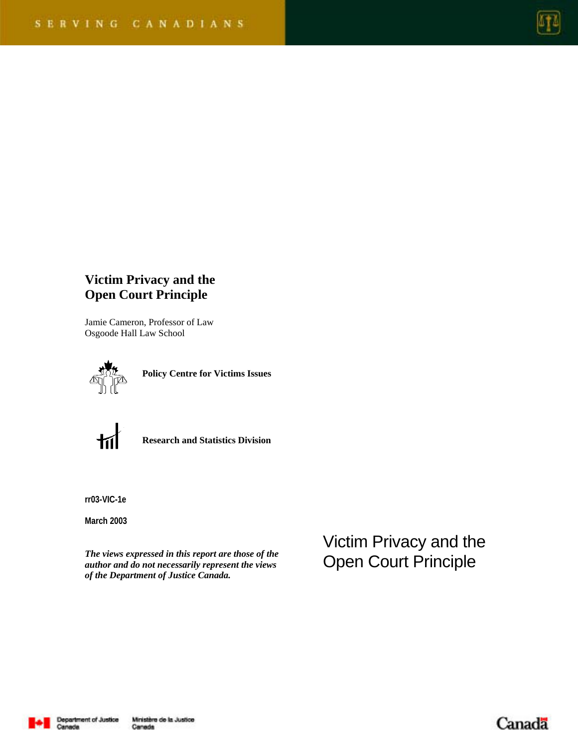

# **Victim Privacy and the Open Court Principle**

Jamie Cameron, Professor of Law Osgoode Hall Law School



**Policy Centre for Victims Issues** 



**Research and Statistics Division** 

**rr03-VIC-1e** 

**March 2003**

*The views expressed in this report are those of the author and do not necessarily represent the views of the Department of Justice Canada.* 

Victim Privacy and the Open Court Principle



Canada

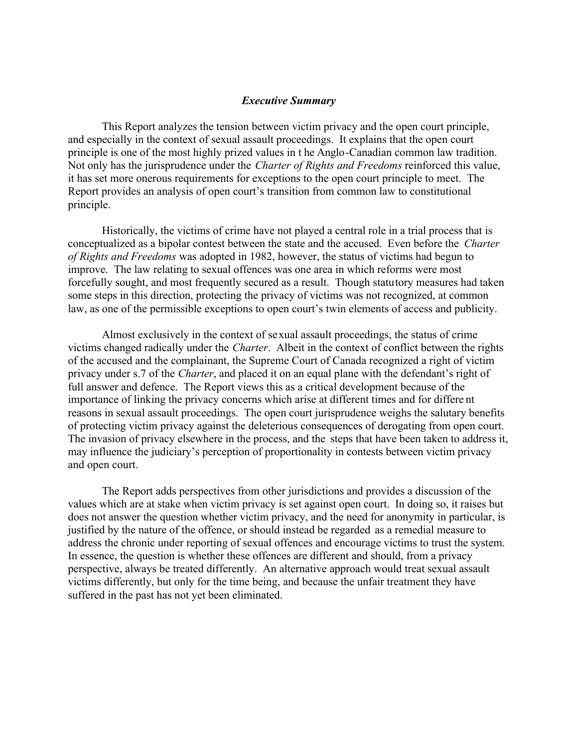### *Executive Summary*

This Report analyzes the tension between victim privacy and the open court principle, and especially in the context of sexual assault proceedings. It explains that the open court principle is one of the most highly prized values in t he Anglo-Canadian common law tradition. Not only has the jurisprudence under the *Charter of Rights and Freedoms* reinforced this value, it has set more onerous requirements for exceptions to the open court principle to meet. The Report provides an analysis of open court's transition from common law to constitutional principle.

Historically, the victims of crime have not played a central role in a trial process that is conceptualized as a bipolar contest between the state and the accused. Even before the *Charter of Rights and Freedoms* was adopted in 1982, however, the status of victims had begun to improve. The law relating to sexual offences was one area in which reforms were most forcefully sought, and most frequently secured as a result. Though statutory measures had taken some steps in this direction, protecting the privacy of victims was not recognized, at common law, as one of the permissible exceptions to open court's twin elements of access and publicity.

Almost exclusively in the context of sexual assault proceedings, the status of crime victims changed radically under the *Charter*. Albeit in the context of conflict between the rights of the accused and the complainant, the Supreme Court of Canada recognized a right of victim privacy under s.7 of the *Charter*, and placed it on an equal plane with the defendant's right of full answer and defence. The Report views this as a critical development because of the importance of linking the privacy concerns which arise at different times and for differe nt reasons in sexual assault proceedings. The open court jurisprudence weighs the salutary benefits of protecting victim privacy against the deleterious consequences of derogating from open court. The invasion of privacy elsewhere in the process, and the steps that have been taken to address it, may influence the judiciary's perception of proportionality in contests between victim privacy and open court.

The Report adds perspectives from other jurisdictions and provides a discussion of the values which are at stake when victim privacy is set against open court. In doing so, it raises but does not answer the question whether victim privacy, and the need for anonymity in particular, is justified by the nature of the offence, or should instead be regarded as a remedial measure to address the chronic under reporting of sexual offences and encourage victims to trust the system. In essence, the question is whether these offences are different and should, from a privacy perspective, always be treated differently. An alternative approach would treat sexual assault victims differently, but only for the time being, and because the unfair treatment they have suffered in the past has not yet been eliminated.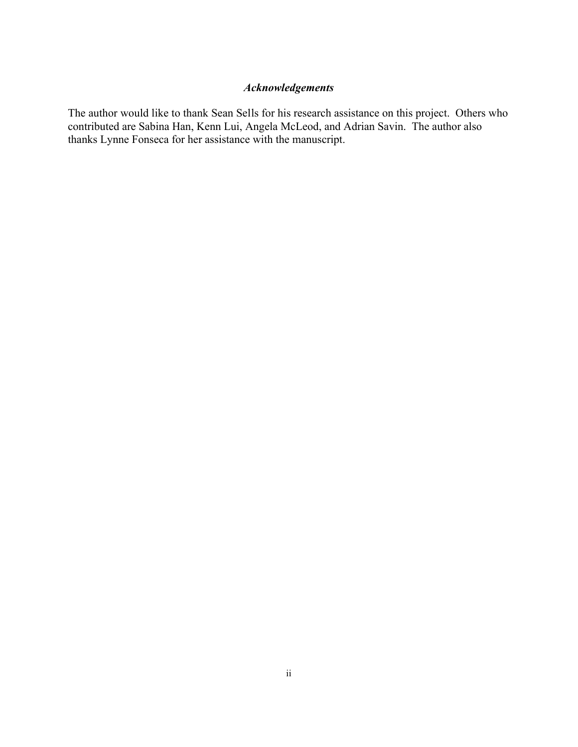# *Acknowledgements*

The author would like to thank Sean Sells for his research assistance on this project. Others who contributed are Sabina Han, Kenn Lui, Angela McLeod, and Adrian Savin. The author also thanks Lynne Fonseca for her assistance with the manuscript.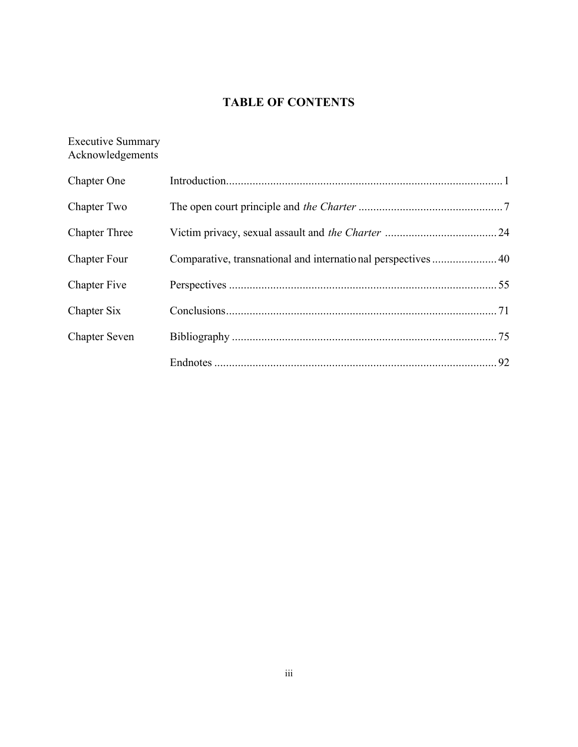# **TABLE OF CONTENTS**

# Executive Summary Acknowledgements

| Chapter One          |  |
|----------------------|--|
| Chapter Two          |  |
| <b>Chapter Three</b> |  |
| <b>Chapter Four</b>  |  |
| <b>Chapter Five</b>  |  |
| Chapter Six          |  |
| <b>Chapter Seven</b> |  |
|                      |  |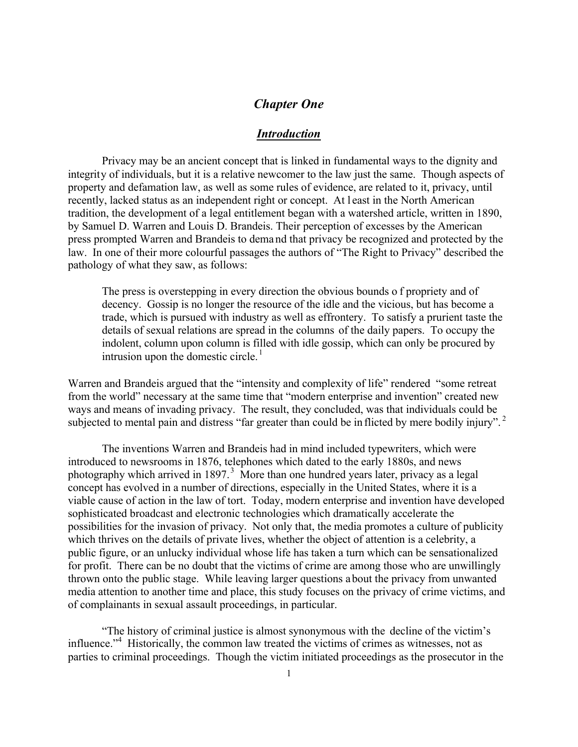# *Chapter One*

### *Introduction*

Privacy may be an ancient concept that is linked in fundamental ways to the dignity and integrity of individuals, but it is a relative newcomer to the law just the same. Though aspects of property and defamation law, as well as some rules of evidence, are related to it, privacy, until recently, lacked status as an independent right or concept. At l east in the North American tradition, the development of a legal entitlement began with a watershed article, written in 1890, by Samuel D. Warren and Louis D. Brandeis. Their perception of excesses by the American press prompted Warren and Brandeis to dema nd that privacy be recognized and protected by the law. In one of their more colourful passages the authors of "The Right to Privacy" described the pathology of what they saw, as follows:

The press is overstepping in every direction the obvious bounds o f propriety and of decency. Gossip is no longer the resource of the idle and the vicious, but has become a trade, which is pursued with industry as well as effrontery. To satisfy a prurient taste the details of sexual relations are spread in the columns of the daily papers. To occupy the indolent, column upon column is filled with idle gossip, which can only be procured by intrusion upon the domestic circle. $<sup>1</sup>$ </sup>

Warren and Brandeis argued that the "intensity and complexity of life" rendered "some retreat from the world" necessary at the same time that "modern enterprise and invention" created new ways and means of invading privacy. The result, they concluded, was that individuals could be subjected to mental pain and distress "far greater than could be in flicted by mere bodily injury".<sup>2</sup>

The inventions Warren and Brandeis had in mind included typewriters, which were introduced to newsrooms in 1876, telephones which dated to the early 1880s, and news photography which arrived in 1897.<sup>3</sup> More than one hundred years later, privacy as a legal concept has evolved in a number of directions, especially in the United States, where it is a viable cause of action in the law of tort. Today, modern enterprise and invention have developed sophisticated broadcast and electronic technologies which dramatically accelerate the possibilities for the invasion of privacy. Not only that, the media promotes a culture of publicity which thrives on the details of private lives, whether the object of attention is a celebrity, a public figure, or an unlucky individual whose life has taken a turn which can be sensationalized for profit. There can be no doubt that the victims of crime are among those who are unwillingly thrown onto the public stage. While leaving larger questions about the privacy from unwanted media attention to another time and place, this study focuses on the privacy of crime victims, and of complainants in sexual assault proceedings, in particular.

"The history of criminal justice is almost synonymous with the decline of the victim's influence."<sup>4</sup> Historically, the common law treated the victims of crimes as witnesses, not as parties to criminal proceedings. Though the victim initiated proceedings as the prosecutor in the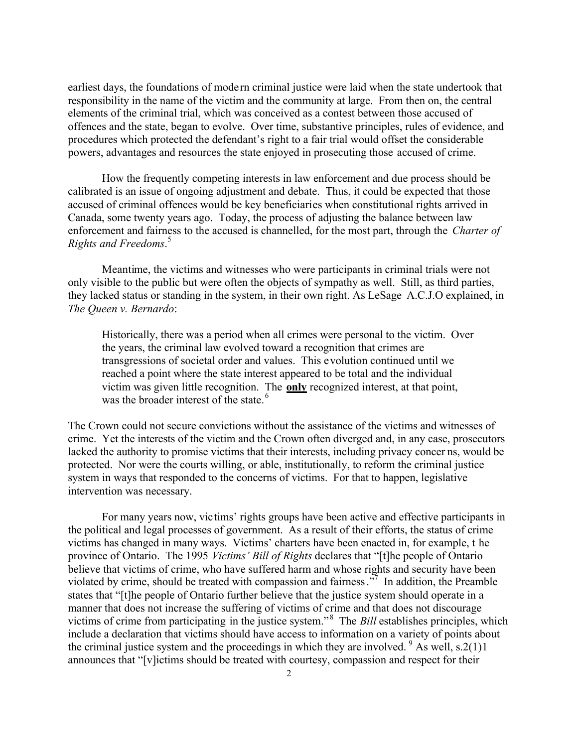earliest days, the foundations of modern criminal justice were laid when the state undertook that responsibility in the name of the victim and the community at large. From then on, the central elements of the criminal trial, which was conceived as a contest between those accused of offences and the state, began to evolve. Over time, substantive principles, rules of evidence, and procedures which protected the defendant's right to a fair trial would offset the considerable powers, advantages and resources the state enjoyed in prosecuting those accused of crime.

How the frequently competing interests in law enforcement and due process should be calibrated is an issue of ongoing adjustment and debate. Thus, it could be expected that those accused of criminal offences would be key beneficiaries when constitutional rights arrived in Canada, some twenty years ago. Today, the process of adjusting the balance between law enforcement and fairness to the accused is channelled, for the most part, through the *Charter of Rights and Freedoms*. 5

Meantime, the victims and witnesses who were participants in criminal trials were not only visible to the public but were often the objects of sympathy as well. Still, as third parties, they lacked status or standing in the system, in their own right. As LeSage A.C.J.O explained, in *The Queen v. Bernardo*:

Historically, there was a period when all crimes were personal to the victim. Over the years, the criminal law evolved toward a recognition that crimes are transgressions of societal order and values. This evolution continued until we reached a point where the state interest appeared to be total and the individual victim was given little recognition. The **only** recognized interest, at that point, was the broader interest of the state.<sup>6</sup>

The Crown could not secure convictions without the assistance of the victims and witnesses of crime. Yet the interests of the victim and the Crown often diverged and, in any case, prosecutors lacked the authority to promise victims that their interests, including privacy concer ns, would be protected. Nor were the courts willing, or able, institutionally, to reform the criminal justice system in ways that responded to the concerns of victims. For that to happen, legislative intervention was necessary.

For many years now, victims' rights groups have been active and effective participants in the political and legal processes of government. As a result of their efforts, the status of crime victims has changed in many ways. Victims' charters have been enacted in, for example, t he province of Ontario. The 1995 *Victims' Bill of Rights* declares that "[t]he people of Ontario believe that victims of crime, who have suffered harm and whose rights and security have been violated by crime, should be treated with compassion and fairness. $\frac{3}{2}$  In addition, the Preamble states that "[t]he people of Ontario further believe that the justice system should operate in a manner that does not increase the suffering of victims of crime and that does not discourage victims of crime from participating in the justice system."<sup>8</sup> The *Bill* establishes principles, which include a declaration that victims should have access to information on a variety of points about the criminal justice system and the proceedings in which they are involved.  $9$  As well, s.2(1)1 announces that "[v]ictims should be treated with courtesy, compassion and respect for their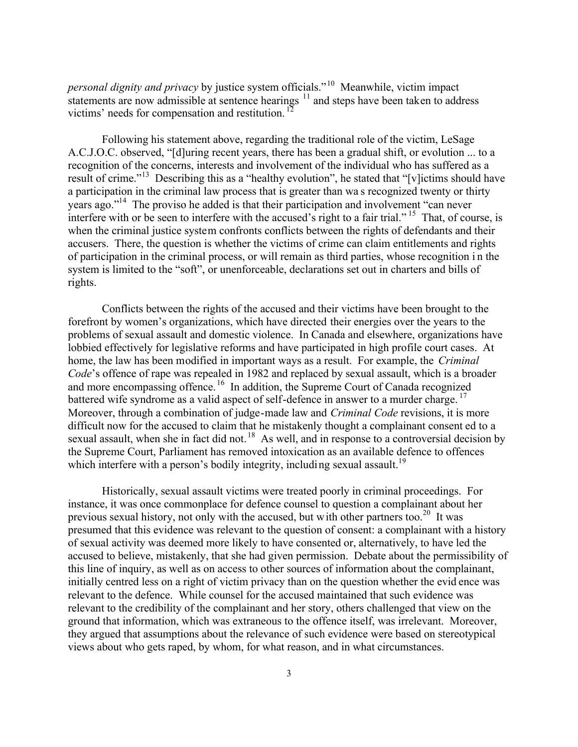*personal dignity and privacy* by justice system officials."<sup>10</sup> Meanwhile, victim impact statements are now admissible at sentence hearings  $11$  and steps have been taken to address victims' needs for compensation and restitution.<sup>12</sup>

Following his statement above, regarding the traditional role of the victim, LeSage A.C.J.O.C. observed, "[d]uring recent years, there has been a gradual shift, or evolution ... to a recognition of the concerns, interests and involvement of the individual who has suffered as a result of crime."<sup>13</sup> Describing this as a "healthy evolution", he stated that "[v]ictims should have a participation in the criminal law process that is greater than wa s recognized twenty or thirty years ago."<sup>14</sup> The proviso he added is that their participation and involvement "can never interfere with or be seen to interfere with the accused's right to a fair trial." <sup>15</sup> That, of course, is when the criminal justice system confronts conflicts between the rights of defendants and their accusers. There, the question is whether the victims of crime can claim entitlements and rights of participation in the criminal process, or will remain as third parties, whose recognition i n the system is limited to the "soft", or unenforceable, declarations set out in charters and bills of rights.

Conflicts between the rights of the accused and their victims have been brought to the forefront by women's organizations, which have directed their energies over the years to the problems of sexual assault and domestic violence. In Canada and elsewhere, organizations have lobbied effectively for legislative reforms and have participated in high profile court cases. At home, the law has been modified in important ways as a result. For example, the *Criminal Code*'s offence of rape was repealed in 1982 and replaced by sexual assault, which is a broader and more encompassing offence. <sup>16</sup> In addition, the Supreme Court of Canada recognized battered wife syndrome as a valid aspect of self-defence in answer to a murder charge.<sup>17</sup> Moreover, through a combination of judge-made law and *Criminal Code* revisions, it is more difficult now for the accused to claim that he mistakenly thought a complainant consent ed to a sexual assault, when she in fact did not.<sup>18</sup> As well, and in response to a controversial decision by the Supreme Court, Parliament has removed intoxication as an available defence to offences which interfere with a person's bodily integrity, including sexual assault.<sup>19</sup>

Historically, sexual assault victims were treated poorly in criminal proceedings. For instance, it was once commonplace for defence counsel to question a complainant about her previous sexual history, not only with the accused, but with other partners too.<sup>20</sup> It was presumed that this evidence was relevant to the question of consent: a complainant with a history of sexual activity was deemed more likely to have consented or, alternatively, to have led the accused to believe, mistakenly, that she had given permission. Debate about the permissibility of this line of inquiry, as well as on access to other sources of information about the complainant, initially centred less on a right of victim privacy than on the question whether the evid ence was relevant to the defence. While counsel for the accused maintained that such evidence was relevant to the credibility of the complainant and her story, others challenged that view on the ground that information, which was extraneous to the offence itself, was irrelevant. Moreover, they argued that assumptions about the relevance of such evidence were based on stereotypical views about who gets raped, by whom, for what reason, and in what circumstances.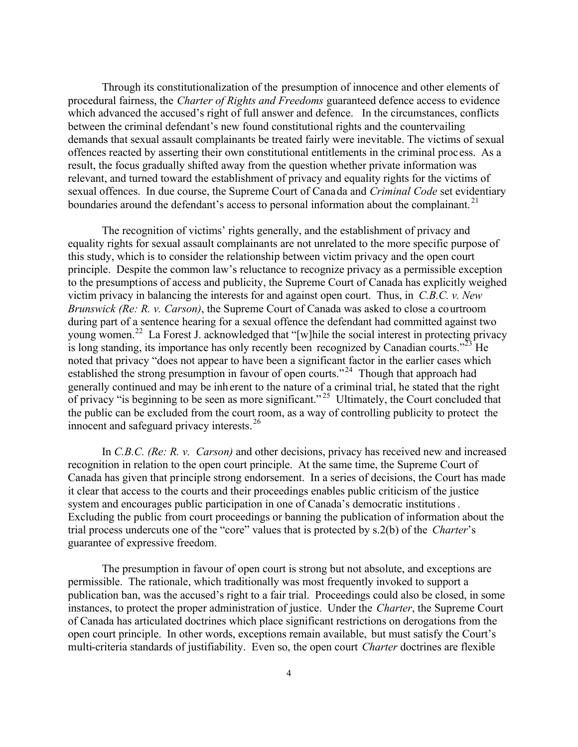Through its constitutionalization of the presumption of innocence and other elements of procedural fairness, the *Charter of Rights and Freedoms* guaranteed defence access to evidence which advanced the accused's right of full answer and defence. In the circumstances, conflicts between the criminal defendant's new found constitutional rights and the countervailing demands that sexual assault complainants be treated fairly were inevitable. The victims of sexual offences reacted by asserting their own constitutional entitlements in the criminal process. As a result, the focus gradually shifted away from the question whether private information was relevant, and turned toward the establishment of privacy and equality rights for the victims of sexual offences. In due course, the Supreme Court of Canada and *Criminal Code* set evidentiary boundaries around the defendant's access to personal information about the complainant.<sup>21</sup>

The recognition of victims' rights generally, and the establishment of privacy and equality rights for sexual assault complainants are not unrelated to the more specific purpose of this study, which is to consider the relationship between victim privacy and the open court principle. Despite the common law's reluctance to recognize privacy as a permissible exception to the presumptions of access and publicity, the Supreme Court of Canada has explicitly weighed victim privacy in balancing the interests for and against open court. Thus, in *C.B.C. v. New Brunswick (Re: R. v. Carson)*, the Supreme Court of Canada was asked to close a courtroom during part of a sentence hearing for a sexual offence the defendant had committed against two young women.<sup>22</sup> La Forest J. acknowledged that "[w]hile the social interest in protecting privacy is long standing, its importance has only recently been recognized by Canadian courts.<sup> $23$ </sup> He noted that privacy "does not appear to have been a significant factor in the earlier cases which established the strong presumption in favour of open courts."<sup>24</sup> Though that approach had generally continued and may be inh erent to the nature of a criminal trial, he stated that the right of privacy "is beginning to be seen as more significant."<sup>25</sup> Ultimately, the Court concluded that the public can be excluded from the court room, as a way of controlling publicity to protect the innocent and safeguard privacy interests. <sup>26</sup>

In *C.B.C. (Re: R. v. Carson)* and other decisions, privacy has received new and increased recognition in relation to the open court principle. At the same time, the Supreme Court of Canada has given that principle strong endorsement. In a series of decisions, the Court has made it clear that access to the courts and their proceedings enables public criticism of the justice system and encourages public participation in one of Canada's democratic institutions. Excluding the public from court proceedings or banning the publication of information about the trial process undercuts one of the "core" values that is protected by s.2(b) of the *Charter*'s guarantee of expressive freedom.

The presumption in favour of open court is strong but not absolute, and exceptions are permissible. The rationale, which traditionally was most frequently invoked to support a publication ban, was the accused's right to a fair trial. Proceedings could also be closed, in some instances, to protect the proper administration of justice. Under the *Charter*, the Supreme Court of Canada has articulated doctrines which place significant restrictions on derogations from the open court principle. In other words, exceptions remain available, but must satisfy the Court's multi-criteria standards of justifiability. Even so, the open court *Charter* doctrines are flexible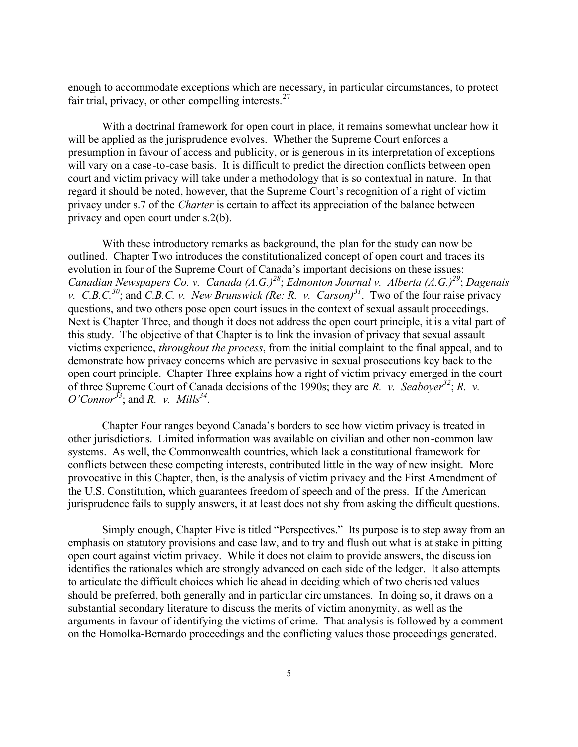enough to accommodate exceptions which are necessary, in particular circumstances, to protect fair trial, privacy, or other compelling interests. $27$ 

With a doctrinal framework for open court in place, it remains somewhat unclear how it will be applied as the jurisprudence evolves. Whether the Supreme Court enforces a presumption in favour of access and publicity, or is generous in its interpretation of exceptions will vary on a case-to-case basis. It is difficult to predict the direction conflicts between open court and victim privacy will take under a methodology that is so contextual in nature. In that regard it should be noted, however, that the Supreme Court's recognition of a right of victim privacy under s.7 of the *Charter* is certain to affect its appreciation of the balance between privacy and open court under s.2(b).

With these introductory remarks as background, the plan for the study can now be outlined. Chapter Two introduces the constitutionalized concept of open court and traces its evolution in four of the Supreme Court of Canada's important decisions on these issues: *Canadian Newspapers Co. v. Canada (A.G.)<sup>28</sup>*; *Edmonton Journal v. Alberta (A.G.)<sup>29</sup>*; *Dagenais v. C.B.C.<sup>30</sup>*; and *C.B.C. v. New Brunswick (Re: R. v. Carson)<sup>31</sup>*. Two of the four raise privacy questions, and two others pose open court issues in the context of sexual assault proceedings. Next is Chapter Three, and though it does not address the open court principle, it is a vital part of this study. The objective of that Chapter is to link the invasion of privacy that sexual assault victims experience, *throughout the process*, from the initial complaint to the final appeal, and to demonstrate how privacy concerns which are pervasive in sexual prosecutions key back to the open court principle. Chapter Three explains how a right of victim privacy emerged in the court of three Supreme Court of Canada decisions of the 1990s; they are *R. v. Seaboyer<sup>32</sup>*; *R. v. O'Connor<sup>33</sup>*; and *R. v. Mills<sup>34</sup>* .

Chapter Four ranges beyond Canada's borders to see how victim privacy is treated in other jurisdictions. Limited information was available on civilian and other non-common law systems. As well, the Commonwealth countries, which lack a constitutional framework for conflicts between these competing interests, contributed little in the way of new insight. More provocative in this Chapter, then, is the analysis of victim privacy and the First Amendment of the U.S. Constitution, which guarantees freedom of speech and of the press. If the American jurisprudence fails to supply answers, it at least does not shy from asking the difficult questions.

Simply enough, Chapter Five is titled "Perspectives." Its purpose is to step away from an emphasis on statutory provisions and case law, and to try and flush out what is at stake in pitting open court against victim privacy. While it does not claim to provide answers, the discussion identifies the rationales which are strongly advanced on each side of the ledger. It also attempts to articulate the difficult choices which lie ahead in deciding which of two cherished values should be preferred, both generally and in particular circumstances. In doing so, it draws on a substantial secondary literature to discuss the merits of victim anonymity, as well as the arguments in favour of identifying the victims of crime. That analysis is followed by a comment on the Homolka-Bernardo proceedings and the conflicting values those proceedings generated.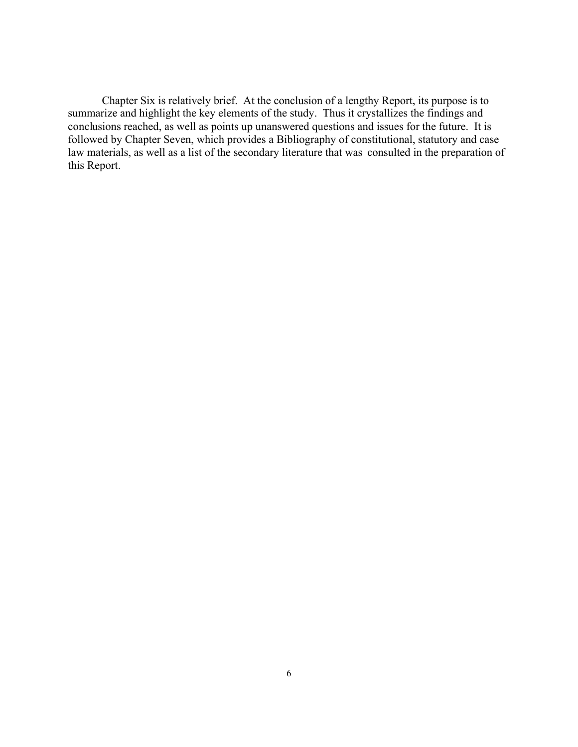Chapter Six is relatively brief. At the conclusion of a lengthy Report, its purpose is to summarize and highlight the key elements of the study. Thus it crystallizes the findings and conclusions reached, as well as points up unanswered questions and issues for the future. It is followed by Chapter Seven, which provides a Bibliography of constitutional, statutory and case law materials, as well as a list of the secondary literature that was consulted in the preparation of this Report.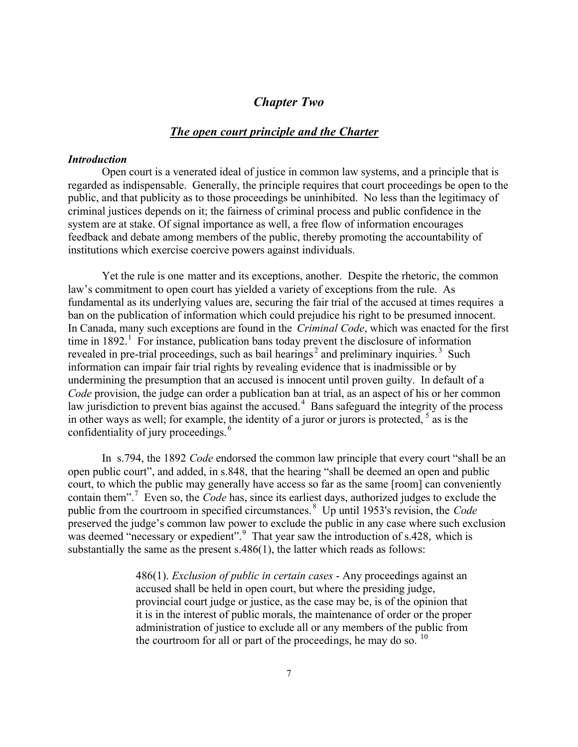# *Chapter Two*

### *The open court principle and the Charter*

#### *Introduction*

Open court is a venerated ideal of justice in common law systems, and a principle that is regarded as indispensable. Generally, the principle requires that court proceedings be open to the public, and that publicity as to those proceedings be uninhibited. No less than the legitimacy of criminal justices depends on it; the fairness of criminal process and public confidence in the system are at stake. Of signal importance as well, a free flow of information encourages feedback and debate among members of the public, thereby promoting the accountability of institutions which exercise coercive powers against individuals.

Yet the rule is one matter and its exceptions, another. Despite the rhetoric, the common law's commitment to open court has yielded a variety of exceptions from the rule. As fundamental as its underlying values are, securing the fair trial of the accused at times requires a ban on the publication of information which could prejudice his right to be presumed innocent. In Canada, many such exceptions are found in the *Criminal Code*, which was enacted for the first time in  $1892<sup>1</sup>$  For instance, publication bans today prevent the disclosure of information revealed in pre-trial proceedings, such as bail hearings<sup>2</sup> and preliminary inquiries.<sup>3</sup> Such information can impair fair trial rights by revealing evidence that is inadmissible or by undermining the presumption that an accused is innocent until proven guilty. In default of a *Code* provision, the judge can order a publication ban at trial, as an aspect of his or her common law jurisdiction to prevent bias against the accused.<sup>4</sup> Bans safeguard the integrity of the process in other ways as well; for example, the identity of a juror or jurors is protected,  $5$  as is the confidentiality of jury proceedings.<sup>6</sup>

In s.794, the 1892 *Code* endorsed the common law principle that every court "shall be an open public court", and added, in s.848, that the hearing "shall be deemed an open and public court, to which the public may generally have access so far as the same [room] can conveniently contain them".<sup>7</sup> Even so, the *Code* has, since its earliest days, authorized judges to exclude the public from the courtroom in specified circumstances. <sup>8</sup> Up until 1953's revision, the *Code* preserved the judge's common law power to exclude the public in any case where such exclusion was deemed "necessary or expedient".<sup>9</sup> That year saw the introduction of s.428, which is substantially the same as the present s.486(1), the latter which reads as follows:

> 486(1). *Exclusion of public in certain cases* - Any proceedings against an accused shall be held in open court, but where the presiding judge, provincial court judge or justice, as the case may be, is of the opinion that it is in the interest of public morals, the maintenance of order or the proper administration of justice to exclude all or any members of the public from the courtroom for all or part of the proceedings, he may do so.  $10$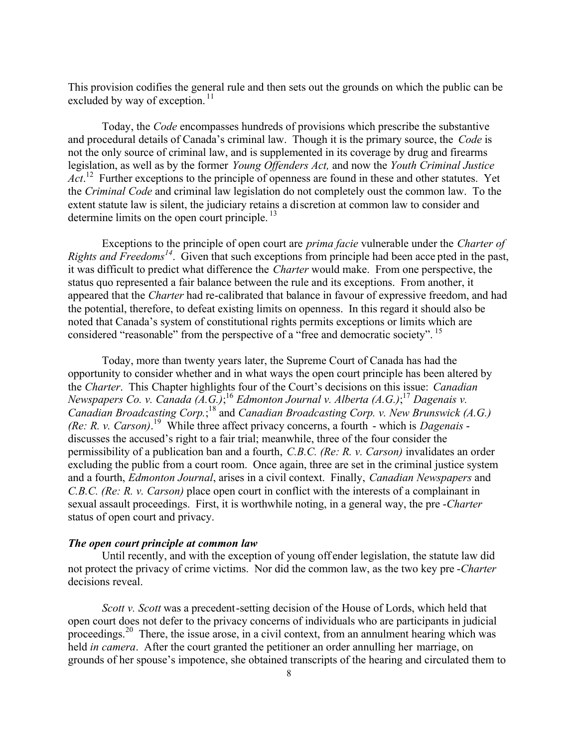This provision codifies the general rule and then sets out the grounds on which the public can be excluded by way of exception.<sup>11</sup>

Today, the *Code* encompasses hundreds of provisions which prescribe the substantive and procedural details of Canada's criminal law. Though it is the primary source, the *Code* is not the only source of criminal law, and is supplemented in its coverage by drug and firearms legislation, as well as by the former *Young Offenders Act,* and now the *Youth Criminal Justice*  Act.<sup>12</sup> Further exceptions to the principle of openness are found in these and other statutes. Yet the *Criminal Code* and criminal law legislation do not completely oust the common law. To the extent statute law is silent, the judiciary retains a discretion at common law to consider and determine limits on the open court principle.<sup>13</sup>

Exceptions to the principle of open court are *prima facie* vulnerable under the *Charter of Rights and Freedoms<sup>14</sup>*. Given that such exceptions from principle had been acce pted in the past, it was difficult to predict what difference the *Charter* would make. From one perspective, the status quo represented a fair balance between the rule and its exceptions. From another, it appeared that the *Charter* had re-calibrated that balance in favour of expressive freedom, and had the potential, therefore, to defeat existing limits on openness. In this regard it should also be noted that Canada's system of constitutional rights permits exceptions or limits which are considered "reasonable" from the perspective of a "free and democratic society". <sup>15</sup>

Today, more than twenty years later, the Supreme Court of Canada has had the opportunity to consider whether and in what ways the open court principle has been altered by the *Charter*. This Chapter highlights four of the Court's decisions on this issue: *Canadian Newspapers Co. v. Canada (A.G.)*; <sup>16</sup> *Edmonton Journal v. Alberta (A.G.)*; <sup>17</sup> *Dagenais v.*  Canadian Broadcasting Corp.;<sup>18</sup> and *Canadian Broadcasting Corp. v. New Brunswick (A.G.) (Re: R. v. Carson)*. <sup>19</sup> While three affect privacy concerns, a fourth - which is *Dagenais* discusses the accused's right to a fair trial; meanwhile, three of the four consider the permissibility of a publication ban and a fourth, *C.B.C. (Re: R. v. Carson)* invalidates an order excluding the public from a court room. Once again, three are set in the criminal justice system and a fourth, *Edmonton Journal*, arises in a civil context. Finally, *Canadian Newspapers* and *C.B.C. (Re: R. v. Carson)* place open court in conflict with the interests of a complainant in sexual assault proceedings. First, it is worthwhile noting, in a general way, the pre -*Charter* status of open court and privacy.

### *The open court principle at common law*

Until recently, and with the exception of young off ender legislation, the statute law did not protect the privacy of crime victims. Nor did the common law, as the two key pre -*Charter* decisions reveal.

*Scott v. Scott* was a precedent-setting decision of the House of Lords, which held that open court does not defer to the privacy concerns of individuals who are participants in judicial proceedings.<sup>20</sup> There, the issue arose, in a civil context, from an annulment hearing which was held *in camera*. After the court granted the petitioner an order annulling her marriage, on grounds of her spouse's impotence, she obtained transcripts of the hearing and circulated them to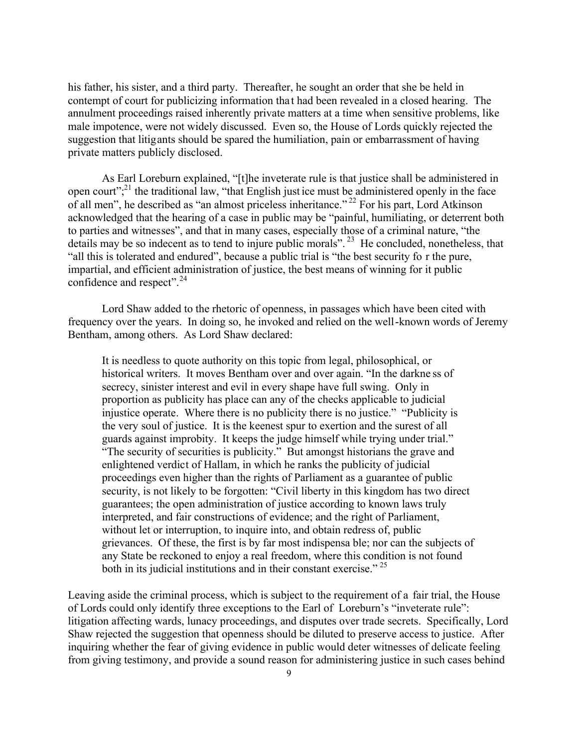his father, his sister, and a third party. Thereafter, he sought an order that she be held in contempt of court for publicizing information tha t had been revealed in a closed hearing. The annulment proceedings raised inherently private matters at a time when sensitive problems, like male impotence, were not widely discussed. Even so, the House of Lords quickly rejected the suggestion that litigants should be spared the humiliation, pain or embarrassment of having private matters publicly disclosed.

As Earl Loreburn explained, "[t]he inveterate rule is that justice shall be administered in open court"; $^{21}$  the traditional law, "that English just ice must be administered openly in the face of all men", he described as "an almost priceless inheritance." <sup>22</sup> For his part, Lord Atkinson acknowledged that the hearing of a case in public may be "painful, humiliating, or deterrent both to parties and witnesses", and that in many cases, especially those of a criminal nature, "the details may be so indecent as to tend to injure public morals".<sup>23</sup> He concluded, nonetheless, that "all this is tolerated and endured", because a public trial is "the best security fo r the pure, impartial, and efficient administration of justice, the best means of winning for it public confidence and respect".<sup>24</sup>

Lord Shaw added to the rhetoric of openness, in passages which have been cited with frequency over the years. In doing so, he invoked and relied on the well-known words of Jeremy Bentham, among others. As Lord Shaw declared:

It is needless to quote authority on this topic from legal, philosophical, or historical writers. It moves Bentham over and over again. "In the darkne ss of secrecy, sinister interest and evil in every shape have full swing. Only in proportion as publicity has place can any of the checks applicable to judicial injustice operate. Where there is no publicity there is no justice." "Publicity is the very soul of justice. It is the keenest spur to exertion and the surest of all guards against improbity. It keeps the judge himself while trying under trial." "The security of securities is publicity." But amongst historians the grave and enlightened verdict of Hallam, in which he ranks the publicity of judicial proceedings even higher than the rights of Parliament as a guarantee of public security, is not likely to be forgotten: "Civil liberty in this kingdom has two direct guarantees; the open administration of justice according to known laws truly interpreted, and fair constructions of evidence; and the right of Parliament, without let or interruption, to inquire into, and obtain redress of, public grievances. Of these, the first is by far most indispensa ble; nor can the subjects of any State be reckoned to enjoy a real freedom, where this condition is not found both in its judicial institutions and in their constant exercise."<sup>25</sup>

Leaving aside the criminal process, which is subject to the requirement of a fair trial, the House of Lords could only identify three exceptions to the Earl of Loreburn's "inveterate rule": litigation affecting wards, lunacy proceedings, and disputes over trade secrets. Specifically, Lord Shaw rejected the suggestion that openness should be diluted to preserve access to justice. After inquiring whether the fear of giving evidence in public would deter witnesses of delicate feeling from giving testimony, and provide a sound reason for administering justice in such cases behind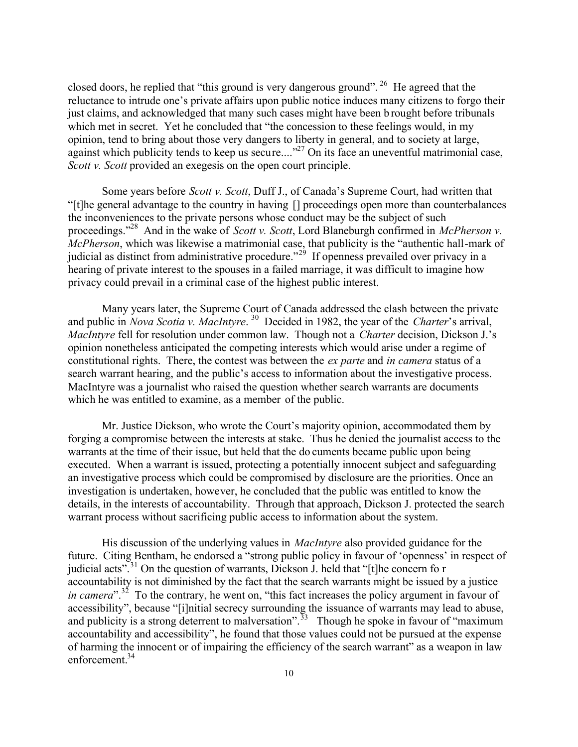closed doors, he replied that "this ground is very dangerous ground". <sup>26</sup> He agreed that the reluctance to intrude one's private affairs upon public notice induces many citizens to forgo their just claims, and acknowledged that many such cases might have been b rought before tribunals which met in secret. Yet he concluded that "the concession to these feelings would, in my opinion, tend to bring about those very dangers to liberty in general, and to society at large, against which publicity tends to keep us secure...."<sup>27</sup> On its face an uneventful matrimonial case, *Scott v. Scott* provided an exegesis on the open court principle.

Some years before *Scott v. Scott*, Duff J., of Canada's Supreme Court, had written that "[t]he general advantage to the country in having [] proceedings open more than counterbalances the inconveniences to the private persons whose conduct may be the subject of such proceedings."<sup>28</sup> And in the wake of *Scott v. Scott*, Lord Blaneburgh confirmed in *McPherson v. McPherson*, which was likewise a matrimonial case, that publicity is the "authentic hall-mark of judicial as distinct from administrative procedure.<sup> $2^{29}$ </sup> If openness prevailed over privacy in a hearing of private interest to the spouses in a failed marriage, it was difficult to imagine how privacy could prevail in a criminal case of the highest public interest.

Many years later, the Supreme Court of Canada addressed the clash between the private and public in *Nova Scotia v. MacIntyre*. <sup>30</sup> Decided in 1982, the year of the *Charter*'s arrival, *MacIntyre* fell for resolution under common law. Though not a *Charter* decision, Dickson J.'s opinion nonetheless anticipated the competing interests which would arise under a regime of constitutional rights. There, the contest was between the *ex parte* and *in camera* status of a search warrant hearing, and the public's access to information about the investigative process. MacIntyre was a journalist who raised the question whether search warrants are documents which he was entitled to examine, as a member of the public.

Mr. Justice Dickson, who wrote the Court's majority opinion, accommodated them by forging a compromise between the interests at stake. Thus he denied the journalist access to the warrants at the time of their issue, but held that the do cuments became public upon being executed. When a warrant is issued, protecting a potentially innocent subject and safeguarding an investigative process which could be compromised by disclosure are the priorities. Once an investigation is undertaken, however, he concluded that the public was entitled to know the details, in the interests of accountability. Through that approach, Dickson J. protected the search warrant process without sacrificing public access to information about the system.

His discussion of the underlying values in *MacIntyre* also provided guidance for the future. Citing Bentham, he endorsed a "strong public policy in favour of 'openness' in respect of judicial acts".<sup>31</sup> On the question of warrants, Dickson J. held that "[t]he concern fo r accountability is not diminished by the fact that the search warrants might be issued by a justice *in camera*<sup>".32</sup> To the contrary, he went on, "this fact increases the policy argument in favour of accessibility", because "[i]nitial secrecy surrounding the issuance of warrants may lead to abuse, and publicity is a strong deterrent to malversation".<sup>33</sup> Though he spoke in favour of "maximum" accountability and accessibility", he found that those values could not be pursued at the expense of harming the innocent or of impairing the efficiency of the search warrant" as a weapon in law enforcement.<sup>34</sup>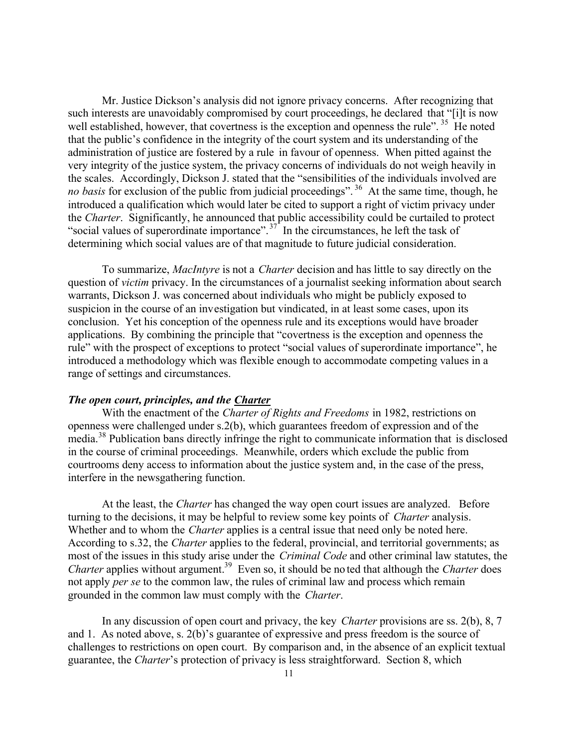Mr. Justice Dickson's analysis did not ignore privacy concerns. After recognizing that such interests are unavoidably compromised by court proceedings, he declared that "[i]t is now well established, however, that covertness is the exception and openness the rule".  $35$  He noted that the public's confidence in the integrity of the court system and its understanding of the administration of justice are fostered by a rule in favour of openness. When pitted against the very integrity of the justice system, the privacy concerns of individuals do not weigh heavily in the scales. Accordingly, Dickson J. stated that the "sensibilities of the individuals involved are *no basis* for exclusion of the public from judicial proceedings". <sup>36</sup> At the same time, though, he introduced a qualification which would later be cited to support a right of victim privacy under the *Charter*. Significantly, he announced that public accessibility could be curtailed to protect "social values of superordinate importance".<sup>37</sup> In the circumstances, he left the task of determining which social values are of that magnitude to future judicial consideration.

To summarize, *MacIntyre* is not a *Charter* decision and has little to say directly on the question of *victim* privacy. In the circumstances of a journalist seeking information about search warrants, Dickson J. was concerned about individuals who might be publicly exposed to suspicion in the course of an investigation but vindicated, in at least some cases, upon its conclusion. Yet his conception of the openness rule and its exceptions would have broader applications. By combining the principle that "covertness is the exception and openness the rule" with the prospect of exceptions to protect "social values of superordinate importance", he introduced a methodology which was flexible enough to accommodate competing values in a range of settings and circumstances.

### *The open court, principles, and the Charter*

With the enactment of the *Charter of Rights and Freedoms* in 1982, restrictions on openness were challenged under s.2(b), which guarantees freedom of expression and of the media.<sup>38</sup> Publication bans directly infringe the right to communicate information that is disclosed in the course of criminal proceedings. Meanwhile, orders which exclude the public from courtrooms deny access to information about the justice system and, in the case of the press, interfere in the newsgathering function.

At the least, the *Charter* has changed the way open court issues are analyzed. Before turning to the decisions, it may be helpful to review some key points of *Charter* analysis. Whether and to whom the *Charter* applies is a central issue that need only be noted here. According to s.32, the *Charter* applies to the federal, provincial, and territorial governments; as most of the issues in this study arise under the *Criminal Code* and other criminal law statutes, the *Charter* applies without argument.<sup>39</sup> Even so, it should be no ted that although the *Charter* does not apply *per se* to the common law, the rules of criminal law and process which remain grounded in the common law must comply with the *Charter*.

In any discussion of open court and privacy, the key *Charter* provisions are ss. 2(b), 8, 7 and 1. As noted above, s. 2(b)'s guarantee of expressive and press freedom is the source of challenges to restrictions on open court. By comparison and, in the absence of an explicit textual guarantee, the *Charter*'s protection of privacy is less straightforward. Section 8, which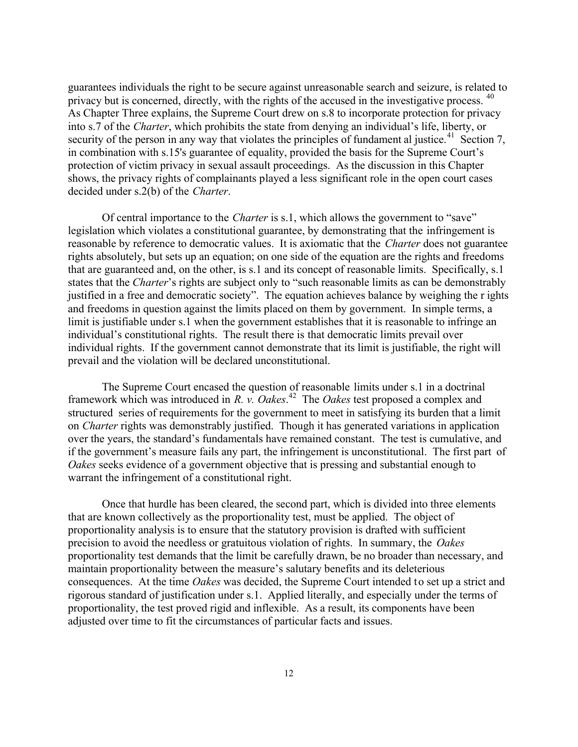guarantees individuals the right to be secure against unreasonable search and seizure, is related to privacy but is concerned, directly, with the rights of the accused in the investigative process. <sup>40</sup> As Chapter Three explains, the Supreme Court drew on s.8 to incorporate protection for privacy into s.7 of the *Charter*, which prohibits the state from denying an individual's life, liberty, or security of the person in any way that violates the principles of fundament al justice.<sup>41</sup> Section 7, in combination with s.15's guarantee of equality, provided the basis for the Supreme Court's protection of victim privacy in sexual assault proceedings. As the discussion in this Chapter shows, the privacy rights of complainants played a less significant role in the open court cases decided under s.2(b) of the *Charter*.

Of central importance to the *Charter* is s.1, which allows the government to "save" legislation which violates a constitutional guarantee, by demonstrating that the infringement is reasonable by reference to democratic values. It is axiomatic that the *Charter* does not guarantee rights absolutely, but sets up an equation; on one side of the equation are the rights and freedoms that are guaranteed and, on the other, is s.1 and its concept of reasonable limits. Specifically, s.1 states that the *Charter*'s rights are subject only to "such reasonable limits as can be demonstrably justified in a free and democratic society". The equation achieves balance by weighing the r ights and freedoms in question against the limits placed on them by government. In simple terms, a limit is justifiable under s.1 when the government establishes that it is reasonable to infringe an individual's constitutional rights. The result there is that democratic limits prevail over individual rights. If the government cannot demonstrate that its limit is justifiable, the right will prevail and the violation will be declared unconstitutional.

The Supreme Court encased the question of reasonable limits under s.1 in a doctrinal framework which was introduced in *R. v. Oakes*. <sup>42</sup> The *Oakes* test proposed a complex and structured series of requirements for the government to meet in satisfying its burden that a limit on *Charter* rights was demonstrably justified. Though it has generated variations in application over the years, the standard's fundamentals have remained constant. The test is cumulative, and if the government's measure fails any part, the infringement is unconstitutional. The first part of *Oakes* seeks evidence of a government objective that is pressing and substantial enough to warrant the infringement of a constitutional right.

Once that hurdle has been cleared, the second part, which is divided into three elements that are known collectively as the proportionality test, must be applied. The object of proportionality analysis is to ensure that the statutory provision is drafted with sufficient precision to avoid the needless or gratuitous violation of rights. In summary, the *Oakes* proportionality test demands that the limit be carefully drawn, be no broader than necessary, and maintain proportionality between the measure's salutary benefits and its deleterious consequences. At the time *Oakes* was decided, the Supreme Court intended to set up a strict and rigorous standard of justification under s.1. Applied literally, and especially under the terms of proportionality, the test proved rigid and inflexible. As a result, its components have been adjusted over time to fit the circumstances of particular facts and issues.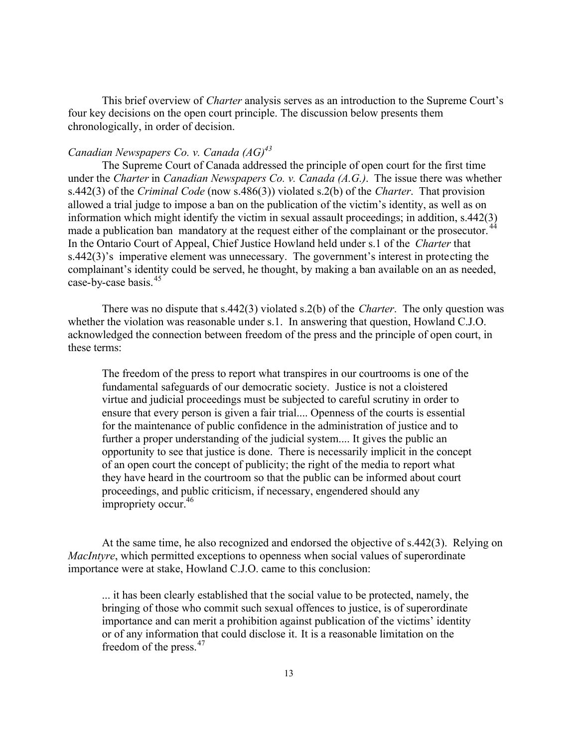This brief overview of *Charter* analysis serves as an introduction to the Supreme Court's four key decisions on the open court principle. The discussion below presents them chronologically, in order of decision.

# *Canadian Newspapers Co. v. Canada (AG)<sup>43</sup>*

The Supreme Court of Canada addressed the principle of open court for the first time under the *Charter* in *Canadian Newspapers Co. v. Canada (A.G.)*. The issue there was whether s.442(3) of the *Criminal Code* (now s.486(3)) violated s.2(b) of the *Charter*. That provision allowed a trial judge to impose a ban on the publication of the victim's identity, as well as on information which might identify the victim in sexual assault proceedings; in addition, s.442(3) made a publication ban mandatory at the request either of the complainant or the prosecutor.<sup>4</sup> In the Ontario Court of Appeal, Chief Justice Howland held under s.1 of the *Charter* that s.442(3)'s imperative element was unnecessary. The government's interest in protecting the complainant's identity could be served, he thought, by making a ban available on an as needed, case-by-case basis.<sup>45</sup>

There was no dispute that s.442(3) violated s.2(b) of the *Charter*. The only question was whether the violation was reasonable under s.1. In answering that question, Howland C.J.O. acknowledged the connection between freedom of the press and the principle of open court, in these terms:

The freedom of the press to report what transpires in our courtrooms is one of the fundamental safeguards of our democratic society. Justice is not a cloistered virtue and judicial proceedings must be subjected to careful scrutiny in order to ensure that every person is given a fair trial.... Openness of the courts is essential for the maintenance of public confidence in the administration of justice and to further a proper understanding of the judicial system.... It gives the public an opportunity to see that justice is done. There is necessarily implicit in the concept of an open court the concept of publicity; the right of the media to report what they have heard in the courtroom so that the public can be informed about court proceedings, and public criticism, if necessary, engendered should any impropriety occur.<sup>46</sup>

At the same time, he also recognized and endorsed the objective of s.442(3). Relying on *MacIntyre*, which permitted exceptions to openness when social values of superordinate importance were at stake, Howland C.J.O. came to this conclusion:

... it has been clearly established that the social value to be protected, namely, the bringing of those who commit such sexual offences to justice, is of superordinate importance and can merit a prohibition against publication of the victims' identity or of any information that could disclose it. It is a reasonable limitation on the freedom of the press.<sup>47</sup>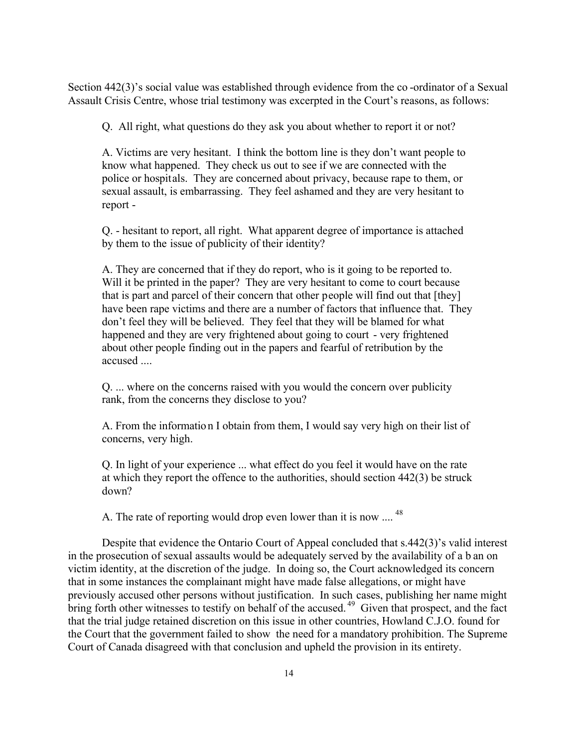Section 442(3)'s social value was established through evidence from the co -ordinator of a Sexual Assault Crisis Centre, whose trial testimony was excerpted in the Court's reasons, as follows:

Q. All right, what questions do they ask you about whether to report it or not?

A. Victims are very hesitant. I think the bottom line is they don't want people to know what happened. They check us out to see if we are connected with the police or hospitals. They are concerned about privacy, because rape to them, or sexual assault, is embarrassing. They feel ashamed and they are very hesitant to report -

Q. - hesitant to report, all right. What apparent degree of importance is attached by them to the issue of publicity of their identity?

A. They are concerned that if they do report, who is it going to be reported to. Will it be printed in the paper? They are very hesitant to come to court because that is part and parcel of their concern that other people will find out that [they] have been rape victims and there are a number of factors that influence that. They don't feel they will be believed. They feel that they will be blamed for what happened and they are very frightened about going to court - very frightened about other people finding out in the papers and fearful of retribution by the accused ....

Q. ... where on the concerns raised with you would the concern over publicity rank, from the concerns they disclose to you?

A. From the information I obtain from them, I would say very high on their list of concerns, very high.

Q. In light of your experience ... what effect do you feel it would have on the rate at which they report the offence to the authorities, should section 442(3) be struck down?

A. The rate of reporting would drop even lower than it is now .... <sup>48</sup>

Despite that evidence the Ontario Court of Appeal concluded that s.442(3)'s valid interest in the prosecution of sexual assaults would be adequately served by the availability of a b an on victim identity, at the discretion of the judge. In doing so, the Court acknowledged its concern that in some instances the complainant might have made false allegations, or might have previously accused other persons without justification. In such cases, publishing her name might bring forth other witnesses to testify on behalf of the accused.<sup>49</sup> Given that prospect, and the fact that the trial judge retained discretion on this issue in other countries, Howland C.J.O. found for the Court that the government failed to show the need for a mandatory prohibition. The Supreme Court of Canada disagreed with that conclusion and upheld the provision in its entirety.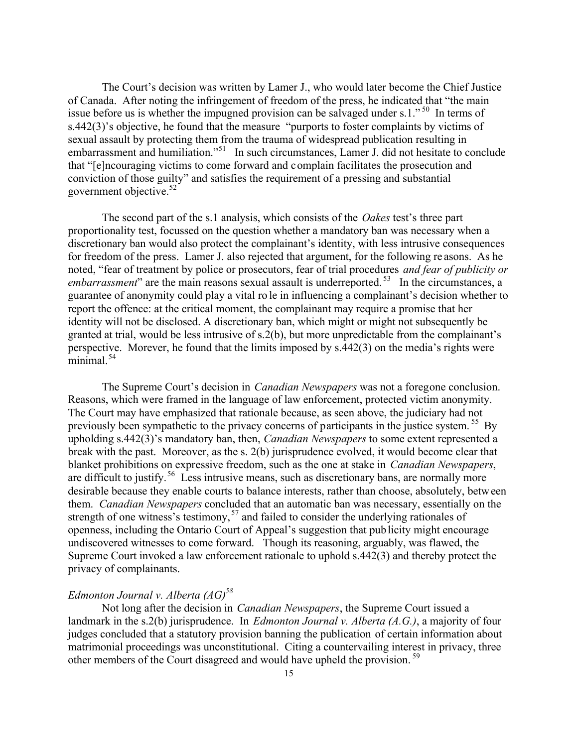The Court's decision was written by Lamer J., who would later become the Chief Justice of Canada. After noting the infringement of freedom of the press, he indicated that "the main issue before us is whether the impugned provision can be salvaged under s.1."<sup>50</sup> In terms of s.442(3)'s objective, he found that the measure "purports to foster complaints by victims of sexual assault by protecting them from the trauma of widespread publication resulting in embarrassment and humiliation."<sup>51</sup> In such circumstances, Lamer J. did not hesitate to conclude that "[e]ncouraging victims to come forward and complain facilitates the prosecution and conviction of those guilty" and satisfies the requirement of a pressing and substantial government objective.<sup>52</sup>

The second part of the s.1 analysis, which consists of the *Oakes* test's three part proportionality test, focussed on the question whether a mandatory ban was necessary when a discretionary ban would also protect the complainant's identity, with less intrusive consequences for freedom of the press. Lamer J. also rejected that argument, for the following re asons. As he noted, "fear of treatment by police or prosecutors, fear of trial procedures *and fear of publicity or embarrassment*" are the main reasons sexual assault is underreported.<sup>53</sup> In the circumstances, a guarantee of anonymity could play a vital ro le in influencing a complainant's decision whether to report the offence: at the critical moment, the complainant may require a promise that her identity will not be disclosed. A discretionary ban, which might or might not subsequently be granted at trial, would be less intrusive of s.2(b), but more unpredictable from the complainant's perspective. Morever, he found that the limits imposed by s.442(3) on the media's rights were minimal. $54$ 

The Supreme Court's decision in *Canadian Newspapers* was not a foregone conclusion. Reasons, which were framed in the language of law enforcement, protected victim anonymity. The Court may have emphasized that rationale because, as seen above, the judiciary had not previously been sympathetic to the privacy concerns of participants in the justice system.<sup>55</sup> By upholding s.442(3)'s mandatory ban, then, *Canadian Newspapers* to some extent represented a break with the past. Moreover, as the s. 2(b) jurisprudence evolved, it would become clear that blanket prohibitions on expressive freedom, such as the one at stake in *Canadian Newspapers*, are difficult to justify.<sup>56</sup> Less intrusive means, such as discretionary bans, are normally more desirable because they enable courts to balance interests, rather than choose, absolutely, between them. *Canadian Newspapers* concluded that an automatic ban was necessary, essentially on the strength of one witness's testimony,<sup>57</sup> and failed to consider the underlying rationales of openness, including the Ontario Court of Appeal's suggestion that publicity might encourage undiscovered witnesses to come forward. Though its reasoning, arguably, was flawed, the Supreme Court invoked a law enforcement rationale to uphold s.442(3) and thereby protect the privacy of complainants.

### *Edmonton Journal v. Alberta (AG)<sup>58</sup>*

Not long after the decision in *Canadian Newspapers*, the Supreme Court issued a landmark in the s.2(b) jurisprudence. In *Edmonton Journal v. Alberta (A.G.)*, a majority of four judges concluded that a statutory provision banning the publication of certain information about matrimonial proceedings was unconstitutional. Citing a countervailing interest in privacy, three other members of the Court disagreed and would have upheld the provision. <sup>59</sup>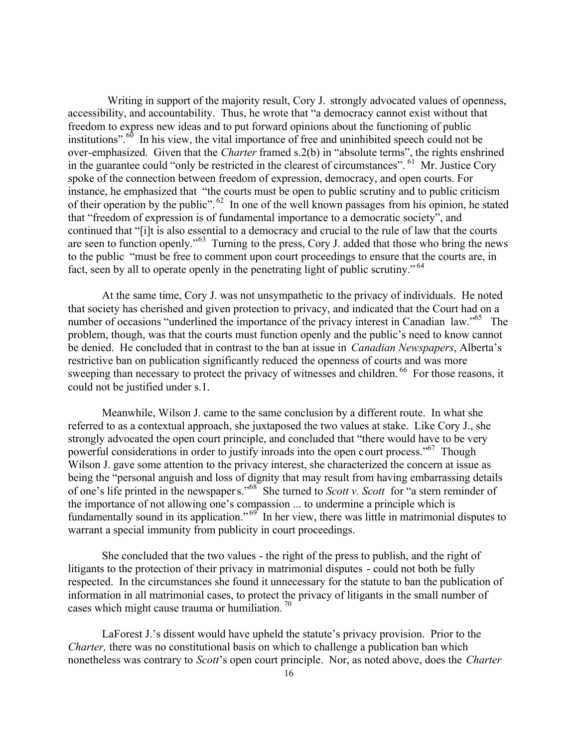Writing in support of the majority result, Cory J. strongly advocated values of openness, accessibility, and accountability. Thus, he wrote that "a democracy cannot exist without that freedom to express new ideas and to put forward opinions about the functioning of public institutions".<sup>60</sup> In his view, the vital importance of free and uninhibited speech could not be over-emphasized. Given that the *Charter* framed s.2(b) in "absolute terms", the rights enshrined in the guarantee could "only be restricted in the clearest of circumstances". <sup>61</sup> Mr. Justice Cory spoke of the connection between freedom of expression, democracy, and open courts. For instance, he emphasized that "the courts must be open to public scrutiny and to public criticism of their operation by the public". <sup>62</sup> In one of the well known passages from his opinion, he stated that "freedom of expression is of fundamental importance to a democratic society", and continued that "[i]t is also essential to a democracy and crucial to the rule of law that the courts are seen to function openly."<sup>63</sup> Turning to the press, Cory J. added that those who bring the news to the public "must be free to comment upon court proceedings to ensure that the courts are, in fact, seen by all to operate openly in the penetrating light of public scrutiny."<sup>64</sup>

At the same time, Cory J. was not unsympathetic to the privacy of individuals. He noted that society has cherished and given protection to privacy, and indicated that the Court had on a number of occasions "underlined the importance of the privacy interest in Canadian law."<sup>65</sup> The problem, though, was that the courts must function openly and the public's need to know cannot be denied. He concluded that in contrast to the ban at issue in *Canadian Newspapers*, Alberta's restrictive ban on publication significantly reduced the openness of courts and was more sweeping than necessary to protect the privacy of witnesses and children. <sup>66</sup> For those reasons, it could not be justified under s.1.

Meanwhile, Wilson J. came to the same conclusion by a different route. In what she referred to as a contextual approach, she juxtaposed the two values at stake. Like Cory J., she strongly advocated the open court principle, and concluded that "there would have to be very powerful considerations in order to justify inroads into the open court process."<sup>67</sup> Though Wilson J. gave some attention to the privacy interest, she characterized the concern at issue as being the "personal anguish and loss of dignity that may result from having embarrassing details of one's life printed in the newspapers."<sup>68</sup> She turned to *Scott v. Scott* for "a stern reminder of the importance of not allowing one's compassion ... to undermine a principle which is fundamentally sound in its application."<sup>69</sup> In her view, there was little in matrimonial disputes to warrant a special immunity from publicity in court proceedings.

She concluded that the two values - the right of the press to publish, and the right of litigants to the protection of their privacy in matrimonial disputes - could not both be fully respected. In the circumstances she found it unnecessary for the statute to ban the publication of information in all matrimonial cases, to protect the privacy of litigants in the small number of cases which might cause trauma or humiliation.<sup>70</sup>

LaForest J.'s dissent would have upheld the statute's privacy provision. Prior to the *Charter,* there was no constitutional basis on which to challenge a publication ban which nonetheless was contrary to *Scott*'s open court principle. Nor, as noted above, does the *Charter*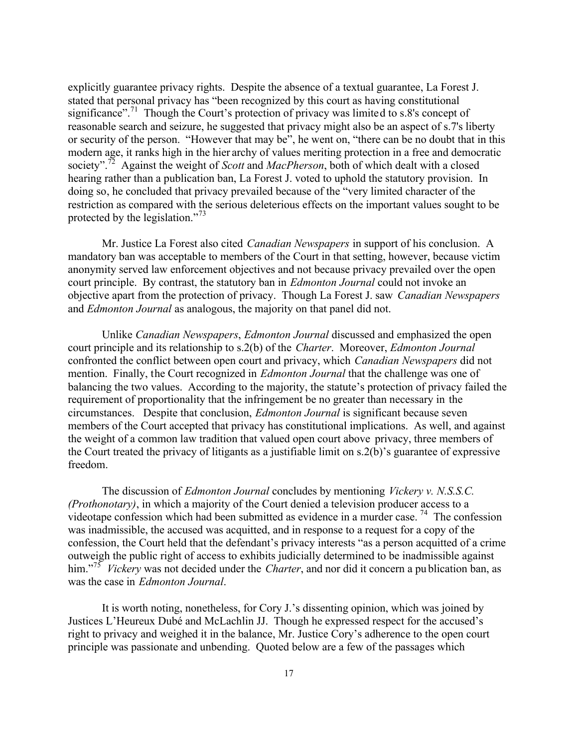explicitly guarantee privacy rights. Despite the absence of a textual guarantee, La Forest J. stated that personal privacy has "been recognized by this court as having constitutional significance".<sup>71</sup> Though the Court's protection of privacy was limited to s.8's concept of reasonable search and seizure, he suggested that privacy might also be an aspect of s.7's liberty or security of the person. "However that may be", he went on, "there can be no doubt that in this modern age, it ranks high in the hier archy of values meriting protection in a free and democratic society".<sup>72</sup> Against the weight of *Scott* and *MacPherson*, both of which dealt with a closed hearing rather than a publication ban, La Forest J. voted to uphold the statutory provision. In doing so, he concluded that privacy prevailed because of the "very limited character of the restriction as compared with the serious deleterious effects on the important values sought to be protected by the legislation."<sup>73</sup>

Mr. Justice La Forest also cited *Canadian Newspapers* in support of his conclusion. A mandatory ban was acceptable to members of the Court in that setting, however, because victim anonymity served law enforcement objectives and not because privacy prevailed over the open court principle. By contrast, the statutory ban in *Edmonton Journal* could not invoke an objective apart from the protection of privacy. Though La Forest J. saw *Canadian Newspapers* and *Edmonton Journal* as analogous, the majority on that panel did not.

Unlike *Canadian Newspapers*, *Edmonton Journal* discussed and emphasized the open court principle and its relationship to s.2(b) of the *Charter*. Moreover, *Edmonton Journal* confronted the conflict between open court and privacy, which *Canadian Newspapers* did not mention. Finally, the Court recognized in *Edmonton Journal* that the challenge was one of balancing the two values. According to the majority, the statute's protection of privacy failed the requirement of proportionality that the infringement be no greater than necessary in the circumstances. Despite that conclusion, *Edmonton Journal* is significant because seven members of the Court accepted that privacy has constitutional implications. As well, and against the weight of a common law tradition that valued open court above privacy, three members of the Court treated the privacy of litigants as a justifiable limit on s.2(b)'s guarantee of expressive freedom.

The discussion of *Edmonton Journal* concludes by mentioning *Vickery v. N.S.S.C. (Prothonotary)*, in which a majority of the Court denied a television producer access to a videotape confession which had been submitted as evidence in a murder case. <sup>74</sup> The confession was inadmissible, the accused was acquitted, and in response to a request for a copy of the confession, the Court held that the defendant's privacy interests "as a person acquitted of a crime outweigh the public right of access to exhibits judicially determined to be inadmissible against him."<sup>75</sup> *Vickery* was not decided under the *Charter*, and nor did it concern a pu blication ban, as was the case in *Edmonton Journal*.

It is worth noting, nonetheless, for Cory J.'s dissenting opinion, which was joined by Justices L'Heureux Dubé and McLachlin JJ. Though he expressed respect for the accused's right to privacy and weighed it in the balance, Mr. Justice Cory's adherence to the open court principle was passionate and unbending. Quoted below are a few of the passages which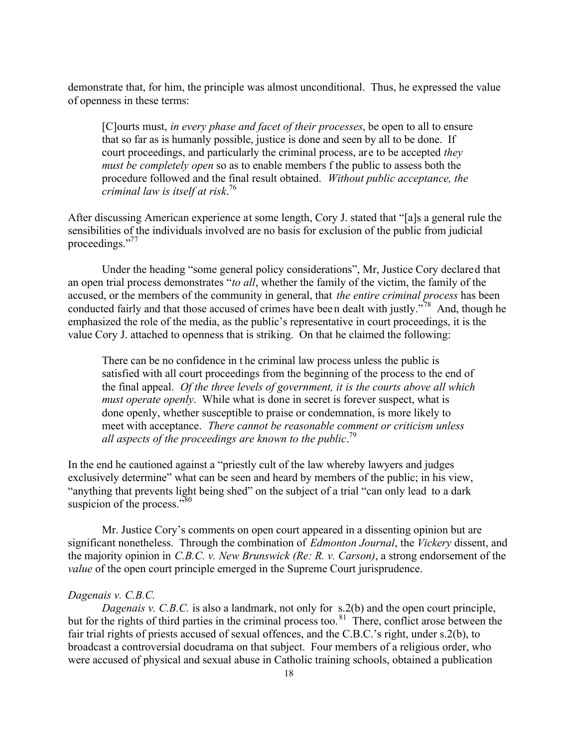demonstrate that, for him, the principle was almost unconditional. Thus, he expressed the value of openness in these terms:

[C]ourts must, *in every phase and facet of their processes*, be open to all to ensure that so far as is humanly possible, justice is done and seen by all to be done. If court proceedings, and particularly the criminal process, are to be accepted *they must be completely open* so as to enable members f the public to assess both the procedure followed and the final result obtained. *Without public acceptance, the criminal law is itself at risk*. 76

After discussing American experience at some length, Cory J. stated that "[a]s a general rule the sensibilities of the individuals involved are no basis for exclusion of the public from judicial proceedings."<sup>77</sup>

Under the heading "some general policy considerations", Mr, Justice Cory declared that an open trial process demonstrates "*to all*, whether the family of the victim, the family of the accused, or the members of the community in general, that *the entire criminal process* has been conducted fairly and that those accused of crimes have been dealt with justly.<sup>778</sup> And, though he emphasized the role of the media, as the public's representative in court proceedings, it is the value Cory J. attached to openness that is striking. On that he claimed the following:

There can be no confidence in t he criminal law process unless the public is satisfied with all court proceedings from the beginning of the process to the end of the final appeal. *Of the three levels of government, it is the courts above all which must operate openly*. While what is done in secret is forever suspect, what is done openly, whether susceptible to praise or condemnation, is more likely to meet with acceptance. *There cannot be reasonable comment or criticism unless all aspects of the proceedings are known to the public*. 79

In the end he cautioned against a "priestly cult of the law whereby lawyers and judges exclusively determine" what can be seen and heard by members of the public; in his view, "anything that prevents light being shed" on the subject of a trial "can only lead to a dark suspicion of the process." $80$ 

Mr. Justice Cory's comments on open court appeared in a dissenting opinion but are significant nonetheless. Through the combination of *Edmonton Journal*, the *Vickery* dissent, and the majority opinion in *C.B.C. v. New Brunswick (Re: R. v. Carson)*, a strong endorsement of the *value* of the open court principle emerged in the Supreme Court jurisprudence.

### *Dagenais v. C.B.C.*

*Dagenais v. C.B.C.* is also a landmark, not only for s.2(b) and the open court principle, but for the rights of third parties in the criminal process too.<sup>81</sup> There, conflict arose between the fair trial rights of priests accused of sexual offences, and the C.B.C.'s right, under s.2(b), to broadcast a controversial docudrama on that subject. Four members of a religious order, who were accused of physical and sexual abuse in Catholic training schools, obtained a publication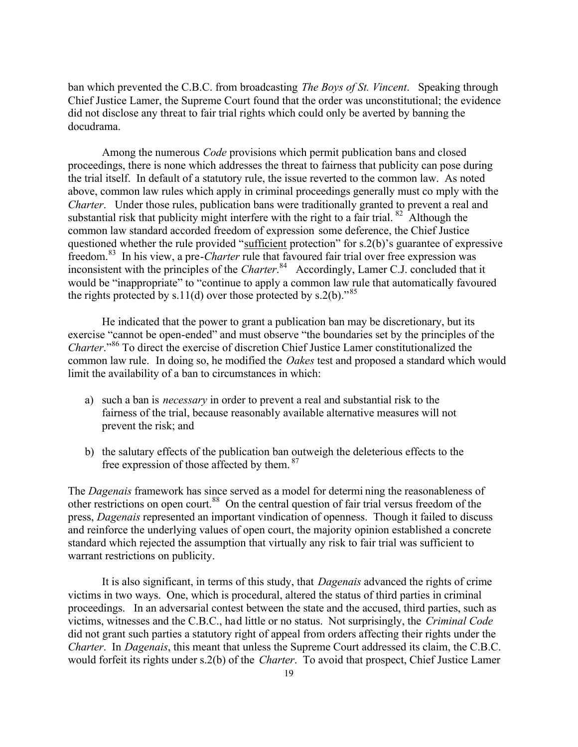ban which prevented the C.B.C. from broadcasting *The Boys of St. Vincent*. Speaking through Chief Justice Lamer, the Supreme Court found that the order was unconstitutional; the evidence did not disclose any threat to fair trial rights which could only be averted by banning the docudrama.

Among the numerous *Code* provisions which permit publication bans and closed proceedings, there is none which addresses the threat to fairness that publicity can pose during the trial itself. In default of a statutory rule, the issue reverted to the common law. As noted above, common law rules which apply in criminal proceedings generally must co mply with the *Charter*. Under those rules, publication bans were traditionally granted to prevent a real and substantial risk that publicity might interfere with the right to a fair trial.  $82$  Although the common law standard accorded freedom of expression some deference, the Chief Justice questioned whether the rule provided "sufficient protection" for s.2(b)'s guarantee of expressive freedom.<sup>83</sup> In his view, a pre-*Charter* rule that favoured fair trial over free expression was inconsistent with the principles of the *Charter*. <sup>84</sup> Accordingly, Lamer C.J. concluded that it would be "inappropriate" to "continue to apply a common law rule that automatically favoured the rights protected by s.11(d) over those protected by s.2(b).<sup>585</sup>

He indicated that the power to grant a publication ban may be discretionary, but its exercise "cannot be open-ended" and must observe "the boundaries set by the principles of the *Charter*."<sup>86</sup> To direct the exercise of discretion Chief Justice Lamer constitutionalized the common law rule. In doing so, he modified the *Oakes* test and proposed a standard which would limit the availability of a ban to circumstances in which:

- a) such a ban is *necessary* in order to prevent a real and substantial risk to the fairness of the trial, because reasonably available alternative measures will not prevent the risk; and
- b) the salutary effects of the publication ban outweigh the deleterious effects to the free expression of those affected by them.<sup>87</sup>

The *Dagenais* framework has since served as a model for determi ning the reasonableness of other restrictions on open court.<sup>88</sup> On the central question of fair trial versus freedom of the press, *Dagenais* represented an important vindication of openness. Though it failed to discuss and reinforce the underlying values of open court, the majority opinion established a concrete standard which rejected the assumption that virtually any risk to fair trial was sufficient to warrant restrictions on publicity.

It is also significant, in terms of this study, that *Dagenais* advanced the rights of crime victims in two ways. One, which is procedural, altered the status of third parties in criminal proceedings. In an adversarial contest between the state and the accused, third parties, such as victims, witnesses and the C.B.C., had little or no status. Not surprisingly, the *Criminal Code* did not grant such parties a statutory right of appeal from orders affecting their rights under the *Charter*. In *Dagenais*, this meant that unless the Supreme Court addressed its claim, the C.B.C. would forfeit its rights under s.2(b) of the *Charter*. To avoid that prospect, Chief Justice Lamer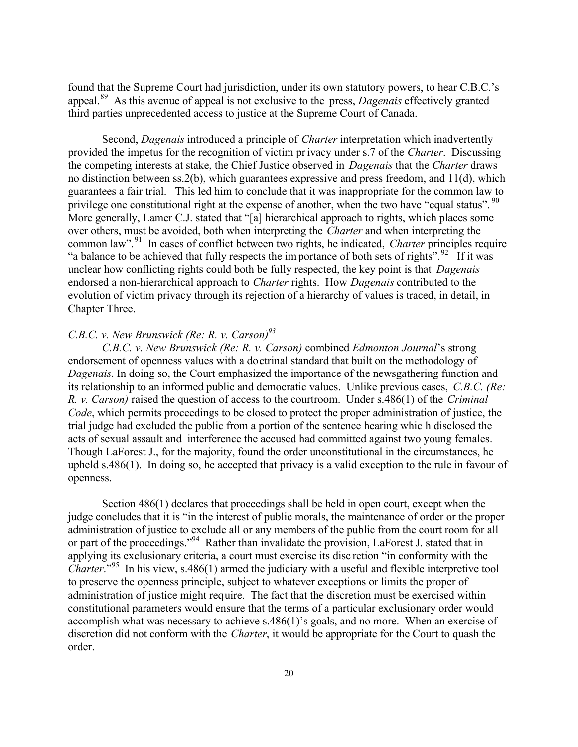found that the Supreme Court had jurisdiction, under its own statutory powers, to hear C.B.C.'s appeal.<sup>89</sup> As this avenue of appeal is not exclusive to the press, *Dagenais* effectively granted third parties unprecedented access to justice at the Supreme Court of Canada.

Second, *Dagenais* introduced a principle of *Charter* interpretation which inadvertently provided the impetus for the recognition of victim privacy under s.7 of the *Charter*. Discussing the competing interests at stake, the Chief Justice observed in *Dagenais* that the *Charter* draws no distinction between ss.2(b), which guarantees expressive and press freedom, and 11(d), which guarantees a fair trial. This led him to conclude that it was inappropriate for the common law to privilege one constitutional right at the expense of another, when the two have "equal status". <sup>90</sup> More generally, Lamer C.J. stated that "[a] hierarchical approach to rights, which places some over others, must be avoided, both when interpreting the *Charter* and when interpreting the common law".<sup>91</sup> In cases of conflict between two rights, he indicated, *Charter* principles require "a balance to be achieved that fully respects the importance of both sets of rights". <sup>92</sup> If it was unclear how conflicting rights could both be fully respected, the key point is that *Dagenais* endorsed a non-hierarchical approach to *Charter* rights. How *Dagenais* contributed to the evolution of victim privacy through its rejection of a hierarchy of values is traced, in detail, in Chapter Three.

# *C.B.C. v. New Brunswick (Re: R. v. Carson)<sup>93</sup>*

*C.B.C. v. New Brunswick (Re: R. v. Carson)* combined *Edmonton Journal*'s strong endorsement of openness values with a doctrinal standard that built on the methodology of *Dagenais*. In doing so, the Court emphasized the importance of the newsgathering function and its relationship to an informed public and democratic values. Unlike previous cases, *C.B.C. (Re: R. v. Carson)* raised the question of access to the courtroom. Under s.486(1) of the *Criminal Code*, which permits proceedings to be closed to protect the proper administration of justice, the trial judge had excluded the public from a portion of the sentence hearing whic h disclosed the acts of sexual assault and interference the accused had committed against two young females. Though LaForest J., for the majority, found the order unconstitutional in the circumstances, he upheld s.486(1). In doing so, he accepted that privacy is a valid exception to the rule in favour of openness.

Section 486(1) declares that proceedings shall be held in open court, except when the judge concludes that it is "in the interest of public morals, the maintenance of order or the proper administration of justice to exclude all or any members of the public from the court room for all or part of the proceedings."<sup>94</sup> Rather than invalidate the provision, LaForest J. stated that in applying its exclusionary criteria, a court must exercise its disc retion "in conformity with the *Charter*."<sup>95</sup> In his view, s.486(1) armed the judiciary with a useful and flexible interpretive tool to preserve the openness principle, subject to whatever exceptions or limits the proper of administration of justice might require. The fact that the discretion must be exercised within constitutional parameters would ensure that the terms of a particular exclusionary order would accomplish what was necessary to achieve s.486(1)'s goals, and no more. When an exercise of discretion did not conform with the *Charter*, it would be appropriate for the Court to quash the order.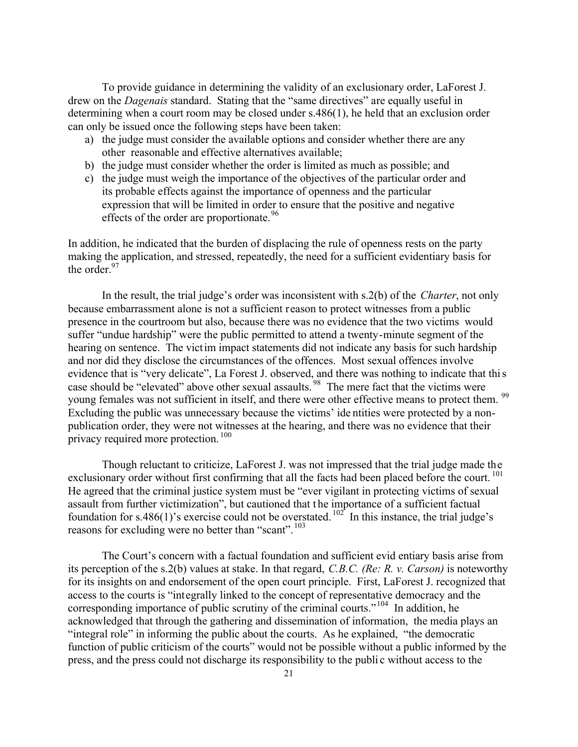To provide guidance in determining the validity of an exclusionary order, LaForest J. drew on the *Dagenais* standard. Stating that the "same directives" are equally useful in determining when a court room may be closed under s.486(1), he held that an exclusion order can only be issued once the following steps have been taken:

- a) the judge must consider the available options and consider whether there are any other reasonable and effective alternatives available;
- b) the judge must consider whether the order is limited as much as possible; and
- c) the judge must weigh the importance of the objectives of the particular order and its probable effects against the importance of openness and the particular expression that will be limited in order to ensure that the positive and negative effects of the order are proportionate.<sup>96</sup>

In addition, he indicated that the burden of displacing the rule of openness rests on the party making the application, and stressed, repeatedly, the need for a sufficient evidentiary basis for the order. $97$ 

In the result, the trial judge's order was inconsistent with s.2(b) of the *Charter*, not only because embarrassment alone is not a sufficient reason to protect witnesses from a public presence in the courtroom but also, because there was no evidence that the two victims would suffer "undue hardship" were the public permitted to attend a twenty-minute segment of the hearing on sentence. The victim impact statements did not indicate any basis for such hardship and nor did they disclose the circumstances of the offences. Most sexual offences involve evidence that is "very delicate", La Forest J. observed, and there was nothing to indicate that this case should be "elevated" above other sexual assaults. <sup>98</sup> The mere fact that the victims were young females was not sufficient in itself, and there were other effective means to protect them. <sup>99</sup> Excluding the public was unnecessary because the victims' ide ntities were protected by a nonpublication order, they were not witnesses at the hearing, and there was no evidence that their privacy required more protection.<sup>100</sup>

Though reluctant to criticize, LaForest J. was not impressed that the trial judge made the exclusionary order without first confirming that all the facts had been placed before the court.<sup>101</sup> He agreed that the criminal justice system must be "ever vigilant in protecting victims of sexual assault from further victimization", but cautioned that t he importance of a sufficient factual foundation for s.486(1)'s exercise could not be overstated.  $102^{\circ}$  In this instance, the trial judge's reasons for excluding were no better than "scant".<sup>103</sup>

The Court's concern with a factual foundation and sufficient evid entiary basis arise from its perception of the s.2(b) values at stake. In that regard, *C.B.C. (Re: R. v. Carson)* is noteworthy for its insights on and endorsement of the open court principle. First, LaForest J. recognized that access to the courts is "integrally linked to the concept of representative democracy and the corresponding importance of public scrutiny of the criminal courts."<sup>104</sup> In addition, he acknowledged that through the gathering and dissemination of information, the media plays an "integral role" in informing the public about the courts. As he explained, "the democratic function of public criticism of the courts" would not be possible without a public informed by the press, and the press could not discharge its responsibility to the publi c without access to the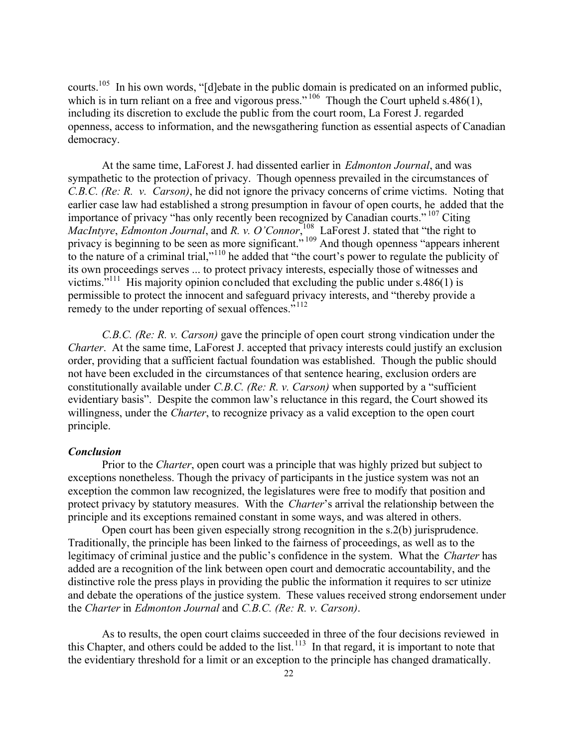courts.<sup>105</sup> In his own words, "[d]ebate in the public domain is predicated on an informed public, which is in turn reliant on a free and vigorous press."<sup>106</sup> Though the Court upheld s.486(1), including its discretion to exclude the public from the court room, La Forest J. regarded openness, access to information, and the newsgathering function as essential aspects of Canadian democracy.

At the same time, LaForest J. had dissented earlier in *Edmonton Journal*, and was sympathetic to the protection of privacy. Though openness prevailed in the circumstances of *C.B.C. (Re: R. v. Carson)*, he did not ignore the privacy concerns of crime victims. Noting that earlier case law had established a strong presumption in favour of open courts, he added that the importance of privacy "has only recently been recognized by Canadian courts." <sup>107</sup> Citing *MacIntyre*, *Edmonton Journal*, and *R. v. O'Connor*, <sup>108</sup> LaForest J. stated that "the right to privacy is beginning to be seen as more significant."<sup>109</sup> And though openness "appears inherent to the nature of a criminal trial,"<sup>110</sup> he added that "the court's power to regulate the publicity of its own proceedings serves ... to protect privacy interests, especially those of witnesses and victims. $^{111}$  His majority opinion concluded that excluding the public under s.486(1) is permissible to protect the innocent and safeguard privacy interests, and "thereby provide a remedy to the under reporting of sexual offences."<sup>112</sup>

*C.B.C. (Re: R. v. Carson)* gave the principle of open court strong vindication under the *Charter*. At the same time, LaForest J. accepted that privacy interests could justify an exclusion order, providing that a sufficient factual foundation was established. Though the public should not have been excluded in the circumstances of that sentence hearing, exclusion orders are constitutionally available under *C.B.C. (Re: R. v. Carson)* when supported by a "sufficient evidentiary basis". Despite the common law's reluctance in this regard, the Court showed its willingness, under the *Charter*, to recognize privacy as a valid exception to the open court principle.

### *Conclusion*

Prior to the *Charter*, open court was a principle that was highly prized but subject to exceptions nonetheless. Though the privacy of participants in the justice system was not an exception the common law recognized, the legislatures were free to modify that position and protect privacy by statutory measures. With the *Charter*'s arrival the relationship between the principle and its exceptions remained constant in some ways, and was altered in others.

Open court has been given especially strong recognition in the s.2(b) jurisprudence. Traditionally, the principle has been linked to the fairness of proceedings, as well as to the legitimacy of criminal justice and the public's confidence in the system. What the *Charter* has added are a recognition of the link between open court and democratic accountability, and the distinctive role the press plays in providing the public the information it requires to scr utinize and debate the operations of the justice system. These values received strong endorsement under the *Charter* in *Edmonton Journal* and *C.B.C. (Re: R. v. Carson)*.

As to results, the open court claims succeeded in three of the four decisions reviewed in this Chapter, and others could be added to the list.<sup>113</sup> In that regard, it is important to note that the evidentiary threshold for a limit or an exception to the principle has changed dramatically.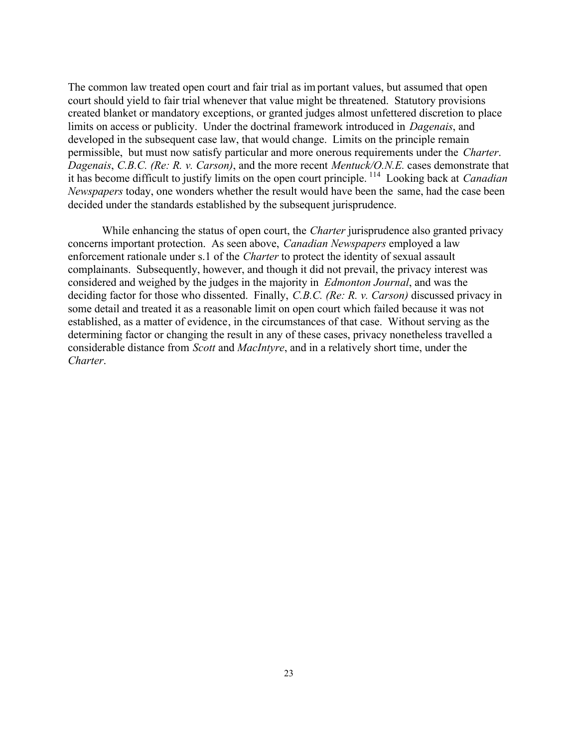The common law treated open court and fair trial as important values, but assumed that open court should yield to fair trial whenever that value might be threatened. Statutory provisions created blanket or mandatory exceptions, or granted judges almost unfettered discretion to place limits on access or publicity. Under the doctrinal framework introduced in *Dagenais*, and developed in the subsequent case law, that would change. Limits on the principle remain permissible, but must now satisfy particular and more onerous requirements under the *Charter*. *Dagenais*, *C.B.C. (Re: R. v. Carson)*, and the more recent *Mentuck/O.N.E.* cases demonstrate that it has become difficult to justify limits on the open court principle. <sup>114</sup> Looking back at *Canadian Newspapers* today, one wonders whether the result would have been the same, had the case been decided under the standards established by the subsequent jurisprudence.

While enhancing the status of open court, the *Charter* jurisprudence also granted privacy concerns important protection. As seen above, *Canadian Newspapers* employed a law enforcement rationale under s.1 of the *Charter* to protect the identity of sexual assault complainants. Subsequently, however, and though it did not prevail, the privacy interest was considered and weighed by the judges in the majority in *Edmonton Journal*, and was the deciding factor for those who dissented. Finally, *C.B.C. (Re: R. v. Carson)* discussed privacy in some detail and treated it as a reasonable limit on open court which failed because it was not established, as a matter of evidence, in the circumstances of that case. Without serving as the determining factor or changing the result in any of these cases, privacy nonetheless travelled a considerable distance from *Scott* and *MacIntyre*, and in a relatively short time, under the *Charter*.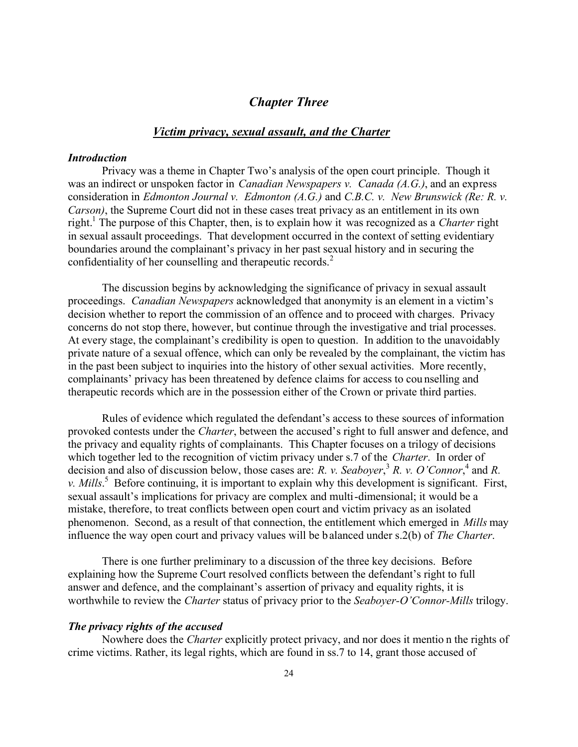# *Chapter Three*

### *Victim privacy, sexual assault, and the Charter*

#### *Introduction*

Privacy was a theme in Chapter Two's analysis of the open court principle. Though it was an indirect or unspoken factor in *Canadian Newspapers v. Canada (A.G.)*, and an express consideration in *Edmonton Journal v. Edmonton (A.G.)* and *C.B.C. v. New Brunswick (Re: R. v. Carson)*, the Supreme Court did not in these cases treat privacy as an entitlement in its own right.<sup>1</sup> The purpose of this Chapter, then, is to explain how it was recognized as a *Charter* right in sexual assault proceedings. That development occurred in the context of setting evidentiary boundaries around the complainant's privacy in her past sexual history and in securing the confidentiality of her counselling and therapeutic records.<sup>2</sup>

The discussion begins by acknowledging the significance of privacy in sexual assault proceedings. *Canadian Newspapers* acknowledged that anonymity is an element in a victim's decision whether to report the commission of an offence and to proceed with charges. Privacy concerns do not stop there, however, but continue through the investigative and trial processes. At every stage, the complainant's credibility is open to question. In addition to the unavoidably private nature of a sexual offence, which can only be revealed by the complainant, the victim has in the past been subject to inquiries into the history of other sexual activities. More recently, complainants' privacy has been threatened by defence claims for access to cou nselling and therapeutic records which are in the possession either of the Crown or private third parties.

Rules of evidence which regulated the defendant's access to these sources of information provoked contests under the *Charter*, between the accused's right to full answer and defence, and the privacy and equality rights of complainants. This Chapter focuses on a trilogy of decisions which together led to the recognition of victim privacy under s.7 of the *Charter*. In order of decision and also of discussion below, those cases are: *R. v. Seaboyer*,<sup>3</sup> *R. v. O'Connor*,<sup>4</sup> and *R. v. Mills*. 5 Before continuing, it is important to explain why this development is significant. First, sexual assault's implications for privacy are complex and multi-dimensional; it would be a mistake, therefore, to treat conflicts between open court and victim privacy as an isolated phenomenon. Second, as a result of that connection, the entitlement which emerged in *Mills* may influence the way open court and privacy values will be balanced under s.2(b) of *The Charter*.

There is one further preliminary to a discussion of the three key decisions. Before explaining how the Supreme Court resolved conflicts between the defendant's right to full answer and defence, and the complainant's assertion of privacy and equality rights, it is worthwhile to review the *Charter* status of privacy prior to the *Seaboyer-O'Connor-Mills* trilogy.

### *The privacy rights of the accused*

Nowhere does the *Charter* explicitly protect privacy, and nor does it mentio n the rights of crime victims. Rather, its legal rights, which are found in ss.7 to 14, grant those accused of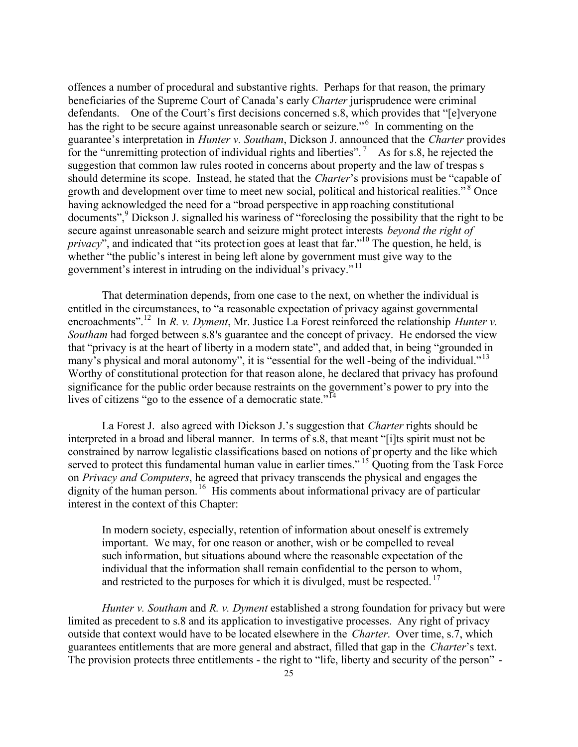offences a number of procedural and substantive rights. Perhaps for that reason, the primary beneficiaries of the Supreme Court of Canada's early *Charter* jurisprudence were criminal defendants. One of the Court's first decisions concerned s.8, which provides that "[e]veryone has the right to be secure against unreasonable search or seizure."<sup>6</sup> In commenting on the guarantee's interpretation in *Hunter v. Southam*, Dickson J. announced that the *Charter* provides for the "unremitting protection of individual rights and liberties".<sup>7</sup> As for s.8, he rejected the suggestion that common law rules rooted in concerns about property and the law of trespas s should determine its scope. Instead, he stated that the *Charter*'s provisions must be "capable of growth and development over time to meet new social, political and historical realities."<sup>8</sup> Once having acknowledged the need for a "broad perspective in app roaching constitutional documents",<sup>9</sup> Dickson J. signalled his wariness of "foreclosing the possibility that the right to be secure against unreasonable search and seizure might protect interests *beyond the right of privacy*<sup>"</sup>, and indicated that "its protection goes at least that far."<sup>10</sup> The question, he held, is whether "the public's interest in being left alone by government must give way to the government's interest in intruding on the individual's privacy."<sup>11</sup>

That determination depends, from one case to t he next, on whether the individual is entitled in the circumstances, to "a reasonable expectation of privacy against governmental encroachments".<sup>12</sup> In *R. v. Dyment*, Mr. Justice La Forest reinforced the relationship *Hunter v. Southam* had forged between s.8's guarantee and the concept of privacy. He endorsed the view that "privacy is at the heart of liberty in a modern state", and added that, in being "grounded in many's physical and moral autonomy", it is "essential for the well-being of the individual."<sup>13</sup> Worthy of constitutional protection for that reason alone, he declared that privacy has profound significance for the public order because restraints on the government's power to pry into the lives of citizens "go to the essence of a democratic state."<sup>14</sup>

La Forest J. also agreed with Dickson J.'s suggestion that *Charter* rights should be interpreted in a broad and liberal manner. In terms of s.8, that meant "[i]ts spirit must not be constrained by narrow legalistic classifications based on notions of pr operty and the like which served to protect this fundamental human value in earlier times." <sup>15</sup> Ouoting from the Task Force on *Privacy and Computers*, he agreed that privacy transcends the physical and engages the dignity of the human person.<sup>16</sup> His comments about informational privacy are of particular interest in the context of this Chapter:

In modern society, especially, retention of information about oneself is extremely important. We may, for one reason or another, wish or be compelled to reveal such information, but situations abound where the reasonable expectation of the individual that the information shall remain confidential to the person to whom, and restricted to the purposes for which it is divulged, must be respected.  $17$ 

*Hunter v. Southam* and *R. v. Dyment* established a strong foundation for privacy but were limited as precedent to s.8 and its application to investigative processes. Any right of privacy outside that context would have to be located elsewhere in the *Charter*. Over time, s.7, which guarantees entitlements that are more general and abstract, filled that gap in the *Charter*'s text. The provision protects three entitlements - the right to "life, liberty and security of the person" -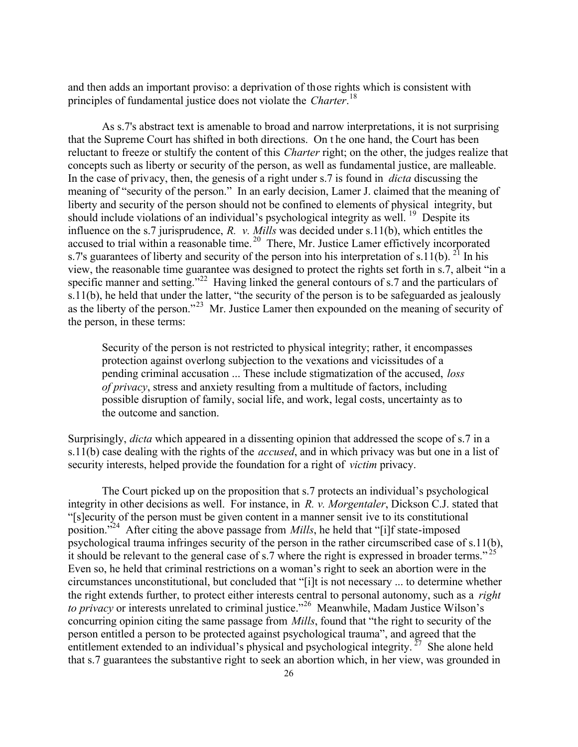and then adds an important proviso: a deprivation of those rights which is consistent with principles of fundamental justice does not violate the *Charter*. 18

As s.7's abstract text is amenable to broad and narrow interpretations, it is not surprising that the Supreme Court has shifted in both directions. On t he one hand, the Court has been reluctant to freeze or stultify the content of this *Charter* right; on the other, the judges realize that concepts such as liberty or security of the person, as well as fundamental justice, are malleable. In the case of privacy, then, the genesis of a right under s.7 is found in *dicta* discussing the meaning of "security of the person." In an early decision, Lamer J. claimed that the meaning of liberty and security of the person should not be confined to elements of physical integrity, but should include violations of an individual's psychological integrity as well. <sup>19</sup> Despite its influence on the s.7 jurisprudence, *R. v. Mills* was decided under s.11(b), which entitles the accused to trial within a reasonable time.<sup>20</sup> There, Mr. Justice Lamer effictively incorporated s.7's guarantees of liberty and security of the person into his interpretation of s.11(b). <sup>21</sup> In his view, the reasonable time guarantee was designed to protect the rights set forth in s.7, albeit "in a specific manner and setting."<sup>22</sup> Having linked the general contours of s.7 and the particulars of s.11(b), he held that under the latter, "the security of the person is to be safeguarded as jealously as the liberty of the person."<sup>23</sup> Mr. Justice Lamer then expounded on the meaning of security of the person, in these terms:

Security of the person is not restricted to physical integrity; rather, it encompasses protection against overlong subjection to the vexations and vicissitudes of a pending criminal accusation ... These include stigmatization of the accused, *loss of privacy*, stress and anxiety resulting from a multitude of factors, including possible disruption of family, social life, and work, legal costs, uncertainty as to the outcome and sanction.

Surprisingly, *dicta* which appeared in a dissenting opinion that addressed the scope of s.7 in a s.11(b) case dealing with the rights of the *accused*, and in which privacy was but one in a list of security interests, helped provide the foundation for a right of *victim* privacy.

The Court picked up on the proposition that s.7 protects an individual's psychological integrity in other decisions as well. For instance, in *R. v. Morgentaler*, Dickson C.J. stated that "[s]ecurity of the person must be given content in a manner sensit ive to its constitutional position."<sup>24</sup> After citing the above passage from *Mills*, he held that "[i]f state-imposed psychological trauma infringes security of the person in the rather circumscribed case of s.11(b), it should be relevant to the general case of s.7 where the right is expressed in broader terms."<sup>2</sup> Even so, he held that criminal restrictions on a woman's right to seek an abortion were in the circumstances unconstitutional, but concluded that "[i]t is not necessary ... to determine whether the right extends further, to protect either interests central to personal autonomy, such as a *right to privacy* or interests unrelated to criminal justice."<sup>26</sup> Meanwhile, Madam Justice Wilson's concurring opinion citing the same passage from *Mills*, found that "the right to security of the person entitled a person to be protected against psychological trauma", and agreed that the entitlement extended to an individual's physical and psychological integrity.  $27$  She alone held that s.7 guarantees the substantive right to seek an abortion which, in her view, was grounded in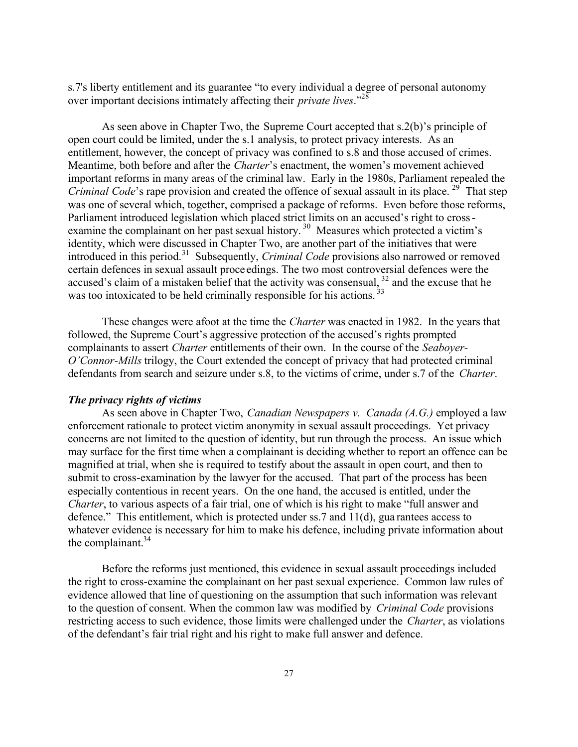s.7's liberty entitlement and its guarantee "to every individual a degree of personal autonomy over important decisions intimately affecting their *private lives*."<sup>28</sup>

As seen above in Chapter Two, the Supreme Court accepted that s.2(b)'s principle of open court could be limited, under the s.1 analysis, to protect privacy interests. As an entitlement, however, the concept of privacy was confined to s.8 and those accused of crimes. Meantime, both before and after the *Charter*'s enactment, the women's movement achieved important reforms in many areas of the criminal law. Early in the 1980s, Parliament repealed the *Criminal Code*'s rape provision and created the offence of sexual assault in its place.<sup>29</sup> That step was one of several which, together, comprised a package of reforms. Even before those reforms, Parliament introduced legislation which placed strict limits on an accused's right to crossexamine the complainant on her past sexual history.<sup>30</sup> Measures which protected a victim's identity, which were discussed in Chapter Two, are another part of the initiatives that were introduced in this period.<sup>31</sup> Subsequently, *Criminal Code* provisions also narrowed or removed certain defences in sexual assault proce edings. The two most controversial defences were the accused's claim of a mistaken belief that the activity was consensual,  $32$  and the excuse that he was too intoxicated to be held criminally responsible for his actions.<sup>33</sup>

These changes were afoot at the time the *Charter* was enacted in 1982. In the years that followed, the Supreme Court's aggressive protection of the accused's rights prompted complainants to assert *Charter* entitlements of their own. In the course of the *Seaboyer-O'Connor-Mills* trilogy, the Court extended the concept of privacy that had protected criminal defendants from search and seizure under s.8, to the victims of crime, under s.7 of the *Charter*.

#### *The privacy rights of victims*

As seen above in Chapter Two, *Canadian Newspapers v. Canada (A.G.)* employed a law enforcement rationale to protect victim anonymity in sexual assault proceedings. Yet privacy concerns are not limited to the question of identity, but run through the process. An issue which may surface for the first time when a complainant is deciding whether to report an offence can be magnified at trial, when she is required to testify about the assault in open court, and then to submit to cross-examination by the lawyer for the accused. That part of the process has been especially contentious in recent years. On the one hand, the accused is entitled, under the *Charter*, to various aspects of a fair trial, one of which is his right to make "full answer and defence." This entitlement, which is protected under ss.7 and 11(d), gua rantees access to whatever evidence is necessary for him to make his defence, including private information about the complainant. $34$ 

Before the reforms just mentioned, this evidence in sexual assault proceedings included the right to cross-examine the complainant on her past sexual experience. Common law rules of evidence allowed that line of questioning on the assumption that such information was relevant to the question of consent. When the common law was modified by *Criminal Code* provisions restricting access to such evidence, those limits were challenged under the *Charter*, as violations of the defendant's fair trial right and his right to make full answer and defence.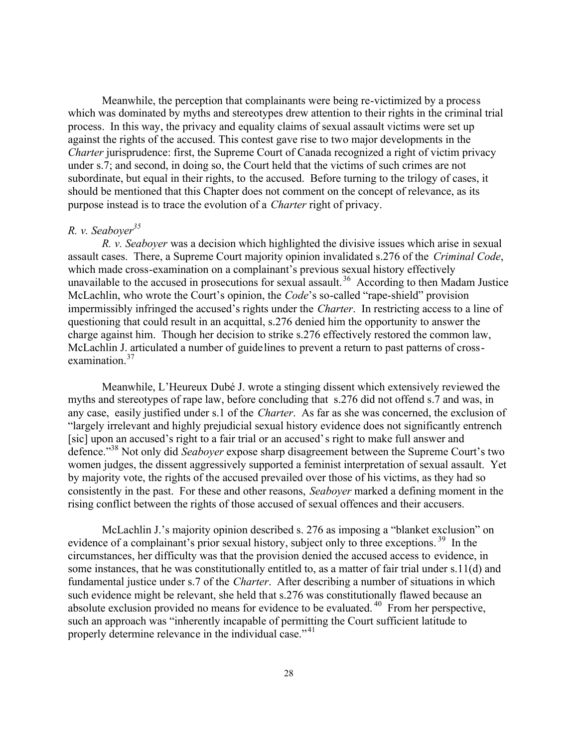Meanwhile, the perception that complainants were being re-victimized by a process which was dominated by myths and stereotypes drew attention to their rights in the criminal trial process. In this way, the privacy and equality claims of sexual assault victims were set up against the rights of the accused. This contest gave rise to two major developments in the *Charter* jurisprudence: first, the Supreme Court of Canada recognized a right of victim privacy under s.7; and second, in doing so, the Court held that the victims of such crimes are not subordinate, but equal in their rights, to the accused. Before turning to the trilogy of cases, it should be mentioned that this Chapter does not comment on the concept of relevance, as its purpose instead is to trace the evolution of a *Charter* right of privacy.

# *R. v. Seaboyer<sup>35</sup>*

*R. v. Seaboyer* was a decision which highlighted the divisive issues which arise in sexual assault cases. There, a Supreme Court majority opinion invalidated s.276 of the *Criminal Code*, which made cross-examination on a complainant's previous sexual history effectively unavailable to the accused in prosecutions for sexual assault.<sup>36</sup> According to then Madam Justice McLachlin, who wrote the Court's opinion, the *Code*'s so-called "rape-shield" provision impermissibly infringed the accused's rights under the *Charter*. In restricting access to a line of questioning that could result in an acquittal, s.276 denied him the opportunity to answer the charge against him. Though her decision to strike s.276 effectively restored the common law, McLachlin J. articulated a number of guidelines to prevent a return to past patterns of crossexamination.<sup>37</sup>

Meanwhile, L'Heureux Dubé J. wrote a stinging dissent which extensively reviewed the myths and stereotypes of rape law, before concluding that s.276 did not offend s.7 and was, in any case, easily justified under s.1 of the *Charter*. As far as she was concerned, the exclusion of "largely irrelevant and highly prejudicial sexual history evidence does not significantly entrench [sic] upon an accused's right to a fair trial or an accused's right to make full answer and defence."<sup>38</sup> Not only did *Seaboyer* expose sharp disagreement between the Supreme Court's two women judges, the dissent aggressively supported a feminist interpretation of sexual assault. Yet by majority vote, the rights of the accused prevailed over those of his victims, as they had so consistently in the past. For these and other reasons, *Seaboyer* marked a defining moment in the rising conflict between the rights of those accused of sexual offences and their accusers.

McLachlin J.'s majority opinion described s. 276 as imposing a "blanket exclusion" on evidence of a complainant's prior sexual history, subject only to three exceptions.<sup>39</sup> In the circumstances, her difficulty was that the provision denied the accused access to evidence, in some instances, that he was constitutionally entitled to, as a matter of fair trial under s.11(d) and fundamental justice under s.7 of the *Charter*. After describing a number of situations in which such evidence might be relevant, she held that s.276 was constitutionally flawed because an absolute exclusion provided no means for evidence to be evaluated. <sup>40</sup> From her perspective, such an approach was "inherently incapable of permitting the Court sufficient latitude to properly determine relevance in the individual case."<sup>41</sup>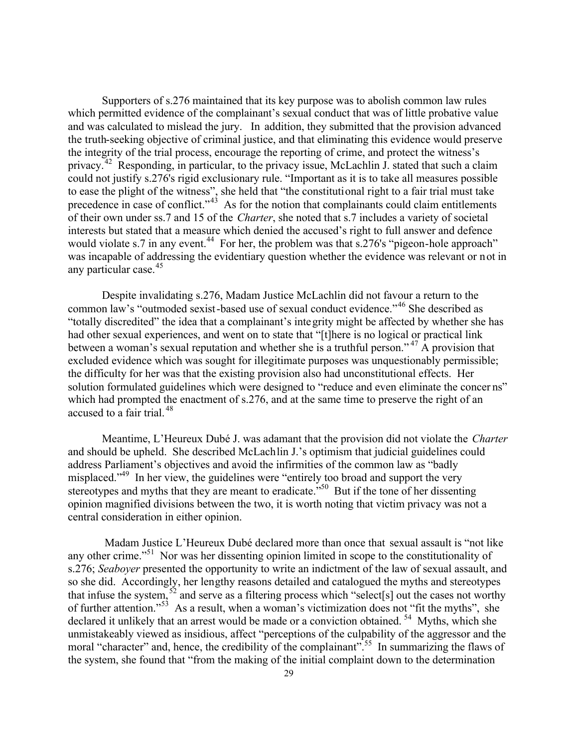Supporters of s.276 maintained that its key purpose was to abolish common law rules which permitted evidence of the complainant's sexual conduct that was of little probative value and was calculated to mislead the jury. In addition, they submitted that the provision advanced the truth-seeking objective of criminal justice, and that eliminating this evidence would preserve the integrity of the trial process, encourage the reporting of crime, and protect the witness's privacy.<sup>42</sup> Responding, in particular, to the privacy issue, McLachlin J. stated that such a claim could not justify s.276's rigid exclusionary rule. "Important as it is to take all measures possible to ease the plight of the witness", she held that "the constitutional right to a fair trial must take precedence in case of conflict." $43$  As for the notion that complainants could claim entitlements of their own under ss.7 and 15 of the *Charter*, she noted that s.7 includes a variety of societal interests but stated that a measure which denied the accused's right to full answer and defence would violate s.7 in any event.<sup>44</sup> For her, the problem was that s.276's "pigeon-hole approach" was incapable of addressing the evidentiary question whether the evidence was relevant or not in any particular case.<sup>45</sup>

Despite invalidating s.276, Madam Justice McLachlin did not favour a return to the common law's "outmoded sexist-based use of sexual conduct evidence."<sup>46</sup> She described as "totally discredited" the idea that a complainant's integrity might be affected by whether she has had other sexual experiences, and went on to state that "[t]here is no logical or practical link between a woman's sexual reputation and whether she is a truthful person."<sup>47</sup> A provision that excluded evidence which was sought for illegitimate purposes was unquestionably permissible; the difficulty for her was that the existing provision also had unconstitutional effects. Her solution formulated guidelines which were designed to "reduce and even eliminate the concer ns" which had prompted the enactment of s.276, and at the same time to preserve the right of an accused to a fair trial.<sup>48</sup>

Meantime, L'Heureux Dubé J. was adamant that the provision did not violate the *Charter* and should be upheld. She described McLachlin J.'s optimism that judicial guidelines could address Parliament's objectives and avoid the infirmities of the common law as "badly misplaced.<sup>"49</sup> In her view, the guidelines were "entirely too broad and support the very stereotypes and myths that they are meant to eradicate.<sup>550</sup> But if the tone of her dissenting opinion magnified divisions between the two, it is worth noting that victim privacy was not a central consideration in either opinion.

 Madam Justice L'Heureux Dubé declared more than once that sexual assault is "not like any other crime."<sup>51</sup> Nor was her dissenting opinion limited in scope to the constitutionality of s.276; *Seaboyer* presented the opportunity to write an indictment of the law of sexual assault, and so she did. Accordingly, her lengthy reasons detailed and catalogued the myths and stereotypes that infuse the system,  $52$  and serve as a filtering process which "select[s] out the cases not worthy of further attention."<sup>53</sup> As a result, when a woman's victimization does not "fit the myths", she declared it unlikely that an arrest would be made or a conviction obtained. <sup>54</sup> Myths, which she unmistakeably viewed as insidious, affect "perceptions of the culpability of the aggressor and the moral "character" and, hence, the credibility of the complainant".<sup>55</sup> In summarizing the flaws of the system, she found that "from the making of the initial complaint down to the determination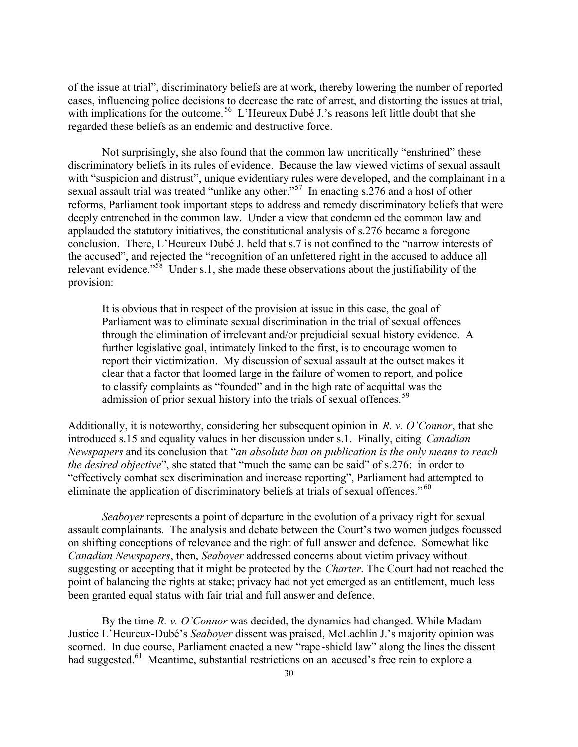of the issue at trial", discriminatory beliefs are at work, thereby lowering the number of reported cases, influencing police decisions to decrease the rate of arrest, and distorting the issues at trial, with implications for the outcome.<sup>56</sup> L'Heureux Dubé J.'s reasons left little doubt that she regarded these beliefs as an endemic and destructive force.

Not surprisingly, she also found that the common law uncritically "enshrined" these discriminatory beliefs in its rules of evidence. Because the law viewed victims of sexual assault with "suspicion and distrust", unique evidentiary rules were developed, and the complainant in a sexual assault trial was treated "unlike any other."<sup>57</sup> In enacting s.276 and a host of other reforms, Parliament took important steps to address and remedy discriminatory beliefs that were deeply entrenched in the common law. Under a view that condemn ed the common law and applauded the statutory initiatives, the constitutional analysis of s.276 became a foregone conclusion. There, L'Heureux Dubé J. held that s.7 is not confined to the "narrow interests of the accused", and rejected the "recognition of an unfettered right in the accused to adduce all relevant evidence."<sup>58</sup> Under s.1, she made these observations about the justifiability of the provision:

It is obvious that in respect of the provision at issue in this case, the goal of Parliament was to eliminate sexual discrimination in the trial of sexual offences through the elimination of irrelevant and/or prejudicial sexual history evidence. A further legislative goal, intimately linked to the first, is to encourage women to report their victimization. My discussion of sexual assault at the outset makes it clear that a factor that loomed large in the failure of women to report, and police to classify complaints as "founded" and in the high rate of acquittal was the admission of prior sexual history into the trials of sexual offences.<sup>59</sup>

Additionally, it is noteworthy, considering her subsequent opinion in *R. v. O'Connor*, that she introduced s.15 and equality values in her discussion under s.1. Finally, citing *Canadian Newspapers* and its conclusion that "*an absolute ban on publication is the only means to reach the desired objective*", she stated that "much the same can be said" of s.276: in order to "effectively combat sex discrimination and increase reporting", Parliament had attempted to eliminate the application of discriminatory beliefs at trials of sexual offences."<sup>60</sup>

*Seaboyer* represents a point of departure in the evolution of a privacy right for sexual assault complainants. The analysis and debate between the Court's two women judges focussed on shifting conceptions of relevance and the right of full answer and defence. Somewhat like *Canadian Newspapers*, then, *Seaboyer* addressed concerns about victim privacy without suggesting or accepting that it might be protected by the *Charter*. The Court had not reached the point of balancing the rights at stake; privacy had not yet emerged as an entitlement, much less been granted equal status with fair trial and full answer and defence.

By the time *R. v. O'Connor* was decided, the dynamics had changed. While Madam Justice L'Heureux-Dubé's *Seaboyer* dissent was praised, McLachlin J.'s majority opinion was scorned. In due course, Parliament enacted a new "rape-shield law" along the lines the dissent had suggested.<sup>61</sup> Meantime, substantial restrictions on an accused's free rein to explore a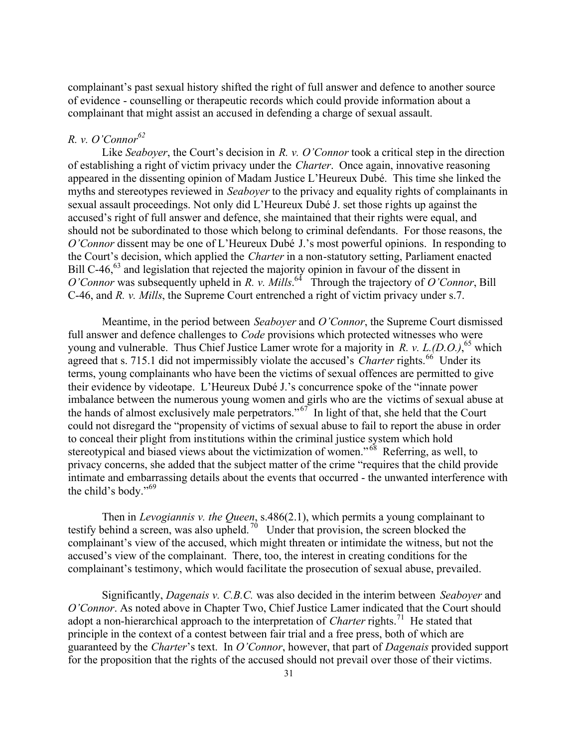complainant's past sexual history shifted the right of full answer and defence to another source of evidence - counselling or therapeutic records which could provide information about a complainant that might assist an accused in defending a charge of sexual assault.

# *R. v. O'Connor<sup>62</sup>*

Like *Seaboyer*, the Court's decision in *R. v. O'Connor* took a critical step in the direction of establishing a right of victim privacy under the *Charter*. Once again, innovative reasoning appeared in the dissenting opinion of Madam Justice L'Heureux Dubé. This time she linked the myths and stereotypes reviewed in *Seaboyer* to the privacy and equality rights of complainants in sexual assault proceedings. Not only did L'Heureux Dubé J. set those rights up against the accused's right of full answer and defence, she maintained that their rights were equal, and should not be subordinated to those which belong to criminal defendants. For those reasons, the *O'Connor* dissent may be one of L'Heureux Dubé J.'s most powerful opinions. In responding to the Court's decision, which applied the *Charter* in a non-statutory setting, Parliament enacted Bill C-46,<sup>63</sup> and legislation that rejected the majority opinion in favour of the dissent in O'Connor was subsequently upheld in *R. v. Mills*.<sup>64</sup> Through the trajectory of O'Connor, Bill C-46, and *R. v. Mills*, the Supreme Court entrenched a right of victim privacy under s.7.

Meantime, in the period between *Seaboyer* and *O'Connor*, the Supreme Court dismissed full answer and defence challenges to *Code* provisions which protected witnesses who were young and vulnerable. Thus Chief Justice Lamer wrote for a majority in *R. v. L.(D.O.)*, <sup>65</sup> which agreed that s. 715.1 did not impermissibly violate the accused's *Charter* rights.<sup>66</sup> Under its terms, young complainants who have been the victims of sexual offences are permitted to give their evidence by videotape. L'Heureux Dubé J.'s concurrence spoke of the "innate power imbalance between the numerous young women and girls who are the victims of sexual abuse at the hands of almost exclusively male perpetrators."<sup> $67$ </sup> In light of that, she held that the Court could not disregard the "propensity of victims of sexual abuse to fail to report the abuse in order to conceal their plight from institutions within the criminal justice system which hold stereotypical and biased views about the victimization of women."<sup>68</sup> Referring, as well, to privacy concerns, she added that the subject matter of the crime "requires that the child provide intimate and embarrassing details about the events that occurred - the unwanted interference with the child's body."<sup>69</sup>

Then in *Levogiannis v. the Queen*, s.486(2.1), which permits a young complainant to testify behind a screen, was also upheld.<sup>70</sup> Under that provision, the screen blocked the complainant's view of the accused, which might threaten or intimidate the witness, but not the accused's view of the complainant. There, too, the interest in creating conditions for the complainant's testimony, which would facilitate the prosecution of sexual abuse, prevailed.

Significantly, *Dagenais v. C.B.C.* was also decided in the interim between *Seaboyer* and *O'Connor*. As noted above in Chapter Two, Chief Justice Lamer indicated that the Court should adopt a non-hierarchical approach to the interpretation of *Charter* rights.<sup>71</sup> He stated that principle in the context of a contest between fair trial and a free press, both of which are guaranteed by the *Charter*'s text. In *O'Connor*, however, that part of *Dagenais* provided support for the proposition that the rights of the accused should not prevail over those of their victims.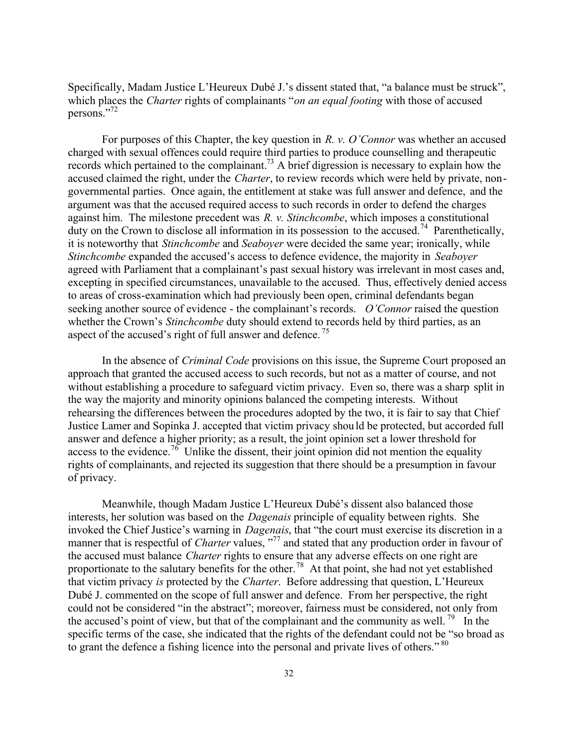Specifically, Madam Justice L'Heureux Dubé J.'s dissent stated that, "a balance must be struck", which places the *Charter* rights of complainants "*on an equal footing* with those of accused persons."<sup>72</sup>

For purposes of this Chapter, the key question in *R. v. O'Connor* was whether an accused charged with sexual offences could require third parties to produce counselling and therapeutic records which pertained to the complainant.<sup>73</sup> A brief digression is necessary to explain how the accused claimed the right, under the *Charter*, to review records which were held by private, nongovernmental parties. Once again, the entitlement at stake was full answer and defence, and the argument was that the accused required access to such records in order to defend the charges against him. The milestone precedent was *R. v. Stinchcombe*, which imposes a constitutional duty on the Crown to disclose all information in its possession to the accused.<sup>74</sup> Parenthetically, it is noteworthy that *Stinchcombe* and *Seaboyer* were decided the same year; ironically, while *Stinchcombe* expanded the accused's access to defence evidence, the majority in *Seaboyer* agreed with Parliament that a complainant's past sexual history was irrelevant in most cases and, excepting in specified circumstances, unavailable to the accused. Thus, effectively denied access to areas of cross-examination which had previously been open, criminal defendants began seeking another source of evidence - the complainant's records. *O'Connor* raised the question whether the Crown's *Stinchcombe* duty should extend to records held by third parties, as an aspect of the accused's right of full answer and defence.<sup>75</sup>

In the absence of *Criminal Code* provisions on this issue, the Supreme Court proposed an approach that granted the accused access to such records, but not as a matter of course, and not without establishing a procedure to safeguard victim privacy. Even so, there was a sharp split in the way the majority and minority opinions balanced the competing interests. Without rehearsing the differences between the procedures adopted by the two, it is fair to say that Chief Justice Lamer and Sopinka J. accepted that victim privacy should be protected, but accorded full answer and defence a higher priority; as a result, the joint opinion set a lower threshold for access to the evidence.<sup>76</sup> Unlike the dissent, their joint opinion did not mention the equality rights of complainants, and rejected its suggestion that there should be a presumption in favour of privacy.

Meanwhile, though Madam Justice L'Heureux Dubé's dissent also balanced those interests, her solution was based on the *Dagenais* principle of equality between rights. She invoked the Chief Justice's warning in *Dagenais*, that "the court must exercise its discretion in a manner that is respectful of *Charter* values, "<sup>77</sup> and stated that any production order in favour of the accused must balance *Charter* rights to ensure that any adverse effects on one right are proportionate to the salutary benefits for the other.<sup>78</sup> At that point, she had not yet established that victim privacy *is* protected by the *Charter*. Before addressing that question, L'Heureux Dubé J. commented on the scope of full answer and defence. From her perspective, the right could not be considered "in the abstract"; moreover, fairness must be considered, not only from the accused's point of view, but that of the complainant and the community as well.<sup>79</sup> In the specific terms of the case, she indicated that the rights of the defendant could not be "so broad as to grant the defence a fishing licence into the personal and private lives of others."<sup>80</sup>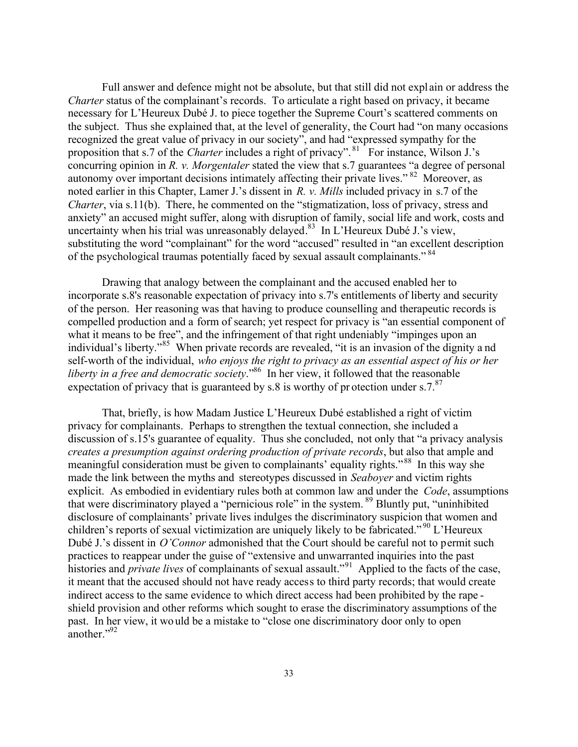Full answer and defence might not be absolute, but that still did not expl ain or address the *Charter* status of the complainant's records. To articulate a right based on privacy, it became necessary for L'Heureux Dubé J. to piece together the Supreme Court's scattered comments on the subject. Thus she explained that, at the level of generality, the Court had "on many occasions recognized the great value of privacy in our society", and had "expressed sympathy for the proposition that s.7 of the *Charter* includes a right of privacy". <sup>81</sup> For instance, Wilson J.'s concurring opinion in *R. v. Morgentaler* stated the view that s.7 guarantees "a degree of personal autonomy over important decisions intimately affecting their private lives."<sup>82</sup> Moreover, as noted earlier in this Chapter, Lamer J.'s dissent in *R. v. Mills* included privacy in s.7 of the *Charter*, via s.11(b). There, he commented on the "stigmatization, loss of privacy, stress and anxiety" an accused might suffer, along with disruption of family, social life and work, costs and uncertainty when his trial was unreasonably delayed. <sup>83</sup> In L'Heureux Dubé J.'s view, substituting the word "complainant" for the word "accused" resulted in "an excellent description of the psychological traumas potentially faced by sexual assault complainants."<sup>84</sup>

Drawing that analogy between the complainant and the accused enabled her to incorporate s.8's reasonable expectation of privacy into s.7's entitlements of liberty and security of the person. Her reasoning was that having to produce counselling and therapeutic records is compelled production and a form of search; yet respect for privacy is "an essential component of what it means to be free", and the infringement of that right undeniably "impinges upon an individual's liberty."<sup>85</sup> When private records are revealed, "it is an invasion of the dignity a nd self-worth of the individual, *who enjoys the right to privacy as an essential aspect of his or her liberty in a free and democratic society*."<sup>86</sup> In her view, it followed that the reasonable expectation of privacy that is guaranteed by s.8 is worthy of pr otection under s.7. $87$ 

That, briefly, is how Madam Justice L'Heureux Dubé established a right of victim privacy for complainants. Perhaps to strengthen the textual connection, she included a discussion of s.15's guarantee of equality. Thus she concluded, not only that "a privacy analysis *creates a presumption against ordering production of private records*, but also that ample and meaningful consideration must be given to complainants' equality rights."<sup>88</sup> In this way she made the link between the myths and stereotypes discussed in *Seaboyer* and victim rights explicit. As embodied in evidentiary rules both at common law and under the *Code*, assumptions that were discriminatory played a "pernicious role" in the system. <sup>89</sup> Bluntly put, "uninhibited disclosure of complainants' private lives indulges the discriminatory suspicion that women and children's reports of sexual victimization are uniquely likely to be fabricated."<sup>90</sup> L'Heureux Dubé J.'s dissent in *O'Connor* admonished that the Court should be careful not to permit such practices to reappear under the guise of "extensive and unwarranted inquiries into the past histories and *private lives* of complainants of sexual assault."<sup>91</sup> Applied to the facts of the case, it meant that the accused should not have ready access to third party records; that would create indirect access to the same evidence to which direct access had been prohibited by the rape shield provision and other reforms which sought to erase the discriminatory assumptions of the past. In her view, it would be a mistake to "close one discriminatory door only to open another."<sup>92</sup>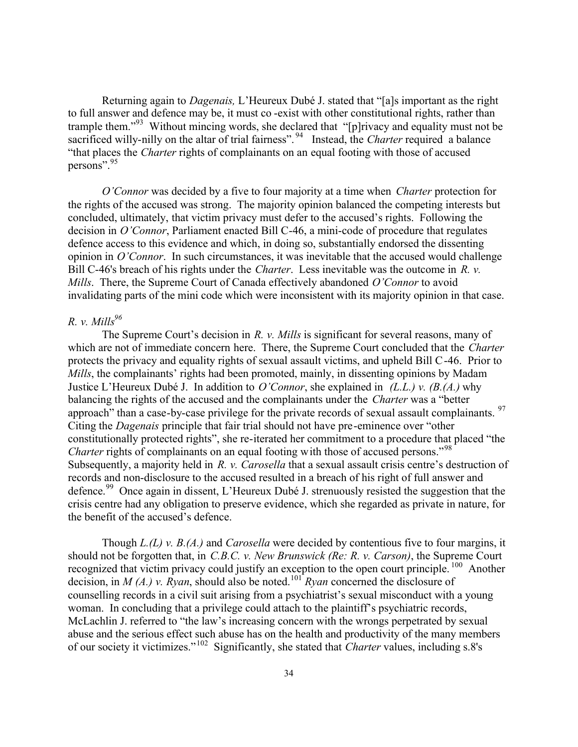Returning again to *Dagenais,* L'Heureux Dubé J. stated that "[a]s important as the right to full answer and defence may be, it must co -exist with other constitutional rights, rather than trample them."<sup>93</sup> Without mincing words, she declared that "[p]rivacy and equality must not be sacrificed willy-nilly on the altar of trial fairness".<sup>94</sup> Instead, the *Charter* required a balance "that places the *Charter* rights of complainants on an equal footing with those of accused persons".<sup>95</sup>

*O'Connor* was decided by a five to four majority at a time when *Charter* protection for the rights of the accused was strong. The majority opinion balanced the competing interests but concluded, ultimately, that victim privacy must defer to the accused's rights. Following the decision in *O'Connor*, Parliament enacted Bill C-46, a mini-code of procedure that regulates defence access to this evidence and which, in doing so, substantially endorsed the dissenting opinion in *O'Connor*. In such circumstances, it was inevitable that the accused would challenge Bill C-46's breach of his rights under the *Charter*. Less inevitable was the outcome in *R. v. Mills*. There, the Supreme Court of Canada effectively abandoned *O'Connor* to avoid invalidating parts of the mini code which were inconsistent with its majority opinion in that case.

# *R. v. Mills<sup>96</sup>*

The Supreme Court's decision in *R. v. Mills* is significant for several reasons, many of which are not of immediate concern here. There, the Supreme Court concluded that the *Charter* protects the privacy and equality rights of sexual assault victims, and upheld Bill C-46. Prior to *Mills*, the complainants' rights had been promoted, mainly, in dissenting opinions by Madam Justice L'Heureux Dubé J. In addition to *O'Connor*, she explained in *(L.L.) v. (B.(A.)* why balancing the rights of the accused and the complainants under the *Charter* was a "better approach" than a case-by-case privilege for the private records of sexual assault complainants. <sup>97</sup> Citing the *Dagenais* principle that fair trial should not have pre-eminence over "other constitutionally protected rights", she re-iterated her commitment to a procedure that placed "the *Charter* rights of complainants on an equal footing with those of accused persons."<sup>98</sup> Subsequently, a majority held in *R. v. Carosella* that a sexual assault crisis centre's destruction of records and non-disclosure to the accused resulted in a breach of his right of full answer and defence.<sup>99</sup> Once again in dissent, L'Heureux Dubé J. strenuously resisted the suggestion that the crisis centre had any obligation to preserve evidence, which she regarded as private in nature, for the benefit of the accused's defence.

Though *L.(L) v. B.(A.)* and *Carosella* were decided by contentious five to four margins, it should not be forgotten that, in *C.B.C. v. New Brunswick (Re: R. v. Carson)*, the Supreme Court recognized that victim privacy could justify an exception to the open court principle. <sup>100</sup> Another decision, in *M (A.) v. Ryan*, should also be noted.<sup>101</sup> *Ryan* concerned the disclosure of counselling records in a civil suit arising from a psychiatrist's sexual misconduct with a young woman. In concluding that a privilege could attach to the plaintiff's psychiatric records, McLachlin J. referred to "the law's increasing concern with the wrongs perpetrated by sexual abuse and the serious effect such abuse has on the health and productivity of the many members of our society it victimizes."<sup>102</sup> Significantly, she stated that *Charter* values, including s.8's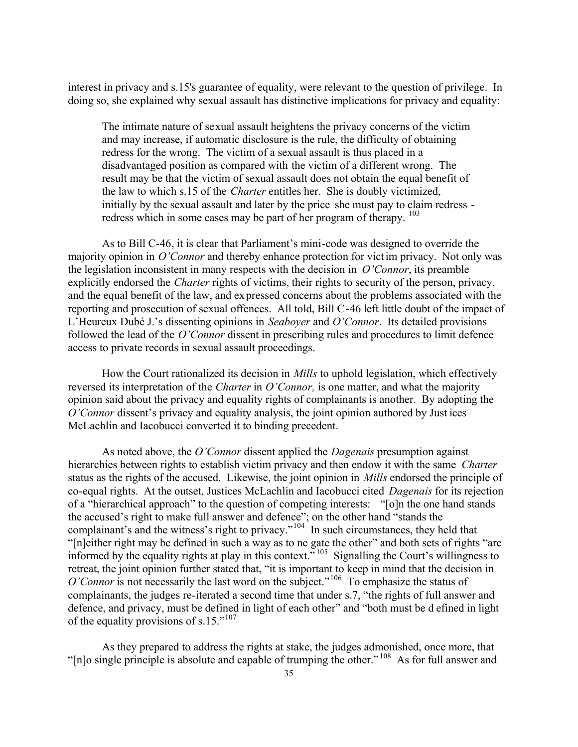interest in privacy and s.15's guarantee of equality, were relevant to the question of privilege. In doing so, she explained why sexual assault has distinctive implications for privacy and equality:

The intimate nature of sexual assault heightens the privacy concerns of the victim and may increase, if automatic disclosure is the rule, the difficulty of obtaining redress for the wrong. The victim of a sexual assault is thus placed in a disadvantaged position as compared with the victim of a different wrong. The result may be that the victim of sexual assault does not obtain the equal benefit of the law to which s.15 of the *Charter* entitles her. She is doubly victimized, initially by the sexual assault and later by the price she must pay to claim redress redress which in some cases may be part of her program of therapy. <sup>103</sup>

As to Bill C-46, it is clear that Parliament's mini-code was designed to override the majority opinion in *O'Connor* and thereby enhance protection for victim privacy. Not only was the legislation inconsistent in many respects with the decision in *O'Connor*, its preamble explicitly endorsed the *Charter* rights of victims, their rights to security of the person, privacy, and the equal benefit of the law, and expressed concerns about the problems associated with the reporting and prosecution of sexual offences. All told, Bill C-46 left little doubt of the impact of L'Heureux Dubé J.'s dissenting opinions in *Seaboyer* and *O'Connor*. Its detailed provisions followed the lead of the *O'Connor* dissent in prescribing rules and procedures to limit defence access to private records in sexual assault proceedings.

How the Court rationalized its decision in *Mills* to uphold legislation, which effectively reversed its interpretation of the *Charter* in *O'Connor,* is one matter, and what the majority opinion said about the privacy and equality rights of complainants is another. By adopting the *O'Connor* dissent's privacy and equality analysis, the joint opinion authored by Just ices McLachlin and Iacobucci converted it to binding precedent.

As noted above, the *O'Connor* dissent applied the *Dagenais* presumption against hierarchies between rights to establish victim privacy and then endow it with the same *Charter* status as the rights of the accused. Likewise, the joint opinion in *Mills* endorsed the principle of co-equal rights. At the outset, Justices McLachlin and Iacobucci cited *Dagenais* for its rejection of a "hierarchical approach" to the question of competing interests: "[o]n the one hand stands the accused's right to make full answer and defence"; on the other hand "stands the complainant's and the witness's right to privacy."<sup>104</sup> In such circumstances, they held that "[n]either right may be defined in such a way as to ne gate the other" and both sets of rights "are informed by the equality rights at play in this context."<sup>105</sup> Signalling the Court's willingness to retreat, the joint opinion further stated that, "it is important to keep in mind that the decision in *O'Connor* is not necessarily the last word on the subject."<sup>106</sup> To emphasize the status of complainants, the judges re-iterated a second time that under s.7, "the rights of full answer and defence, and privacy, must be defined in light of each other" and "both must be d efined in light of the equality provisions of s.15."<sup>107</sup>

As they prepared to address the rights at stake, the judges admonished, once more, that "[n]o single principle is absolute and capable of trumping the other."<sup>108</sup> As for full answer and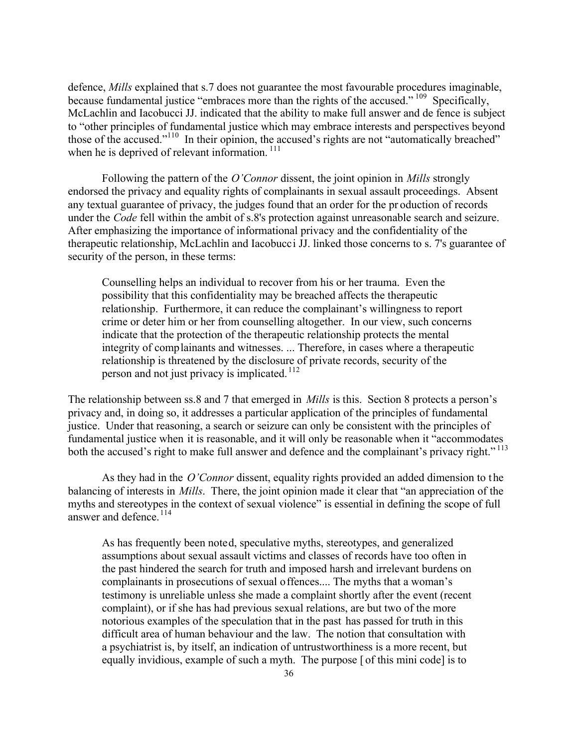defence, *Mills* explained that s.7 does not guarantee the most favourable procedures imaginable, because fundamental justice "embraces more than the rights of the accused." <sup>109</sup> Specifically, McLachlin and Iacobucci JJ. indicated that the ability to make full answer and de fence is subject to "other principles of fundamental justice which may embrace interests and perspectives beyond those of the accused."<sup>110</sup> In their opinion, the accused's rights are not "automatically breached" when he is deprived of relevant information.<sup>111</sup>

Following the pattern of the *O'Connor* dissent, the joint opinion in *Mills* strongly endorsed the privacy and equality rights of complainants in sexual assault proceedings. Absent any textual guarantee of privacy, the judges found that an order for the pr oduction of records under the *Code* fell within the ambit of s.8's protection against unreasonable search and seizure. After emphasizing the importance of informational privacy and the confidentiality of the therapeutic relationship, McLachlin and Iacobucci JJ. linked those concerns to s. 7's guarantee of security of the person, in these terms:

Counselling helps an individual to recover from his or her trauma. Even the possibility that this confidentiality may be breached affects the therapeutic relationship. Furthermore, it can reduce the complainant's willingness to report crime or deter him or her from counselling altogether. In our view, such concerns indicate that the protection of the therapeutic relationship protects the mental integrity of complainants and witnesses. ... Therefore, in cases where a therapeutic relationship is threatened by the disclosure of private records, security of the person and not just privacy is implicated. <sup>112</sup>

The relationship between ss.8 and 7 that emerged in *Mills* is this. Section 8 protects a person's privacy and, in doing so, it addresses a particular application of the principles of fundamental justice. Under that reasoning, a search or seizure can only be consistent with the principles of fundamental justice when it is reasonable, and it will only be reasonable when it "accommodates both the accused's right to make full answer and defence and the complainant's privacy right."<sup>113</sup>

As they had in the *O'Connor* dissent, equality rights provided an added dimension to the balancing of interests in *Mills*. There, the joint opinion made it clear that "an appreciation of the myths and stereotypes in the context of sexual violence" is essential in defining the scope of full answer and defence.<sup>114</sup>

As has frequently been noted, speculative myths, stereotypes, and generalized assumptions about sexual assault victims and classes of records have too often in the past hindered the search for truth and imposed harsh and irrelevant burdens on complainants in prosecutions of sexual offences.... The myths that a woman's testimony is unreliable unless she made a complaint shortly after the event (recent complaint), or if she has had previous sexual relations, are but two of the more notorious examples of the speculation that in the past has passed for truth in this difficult area of human behaviour and the law. The notion that consultation with a psychiatrist is, by itself, an indication of untrustworthiness is a more recent, but equally invidious, example of such a myth. The purpose [ of this mini code] is to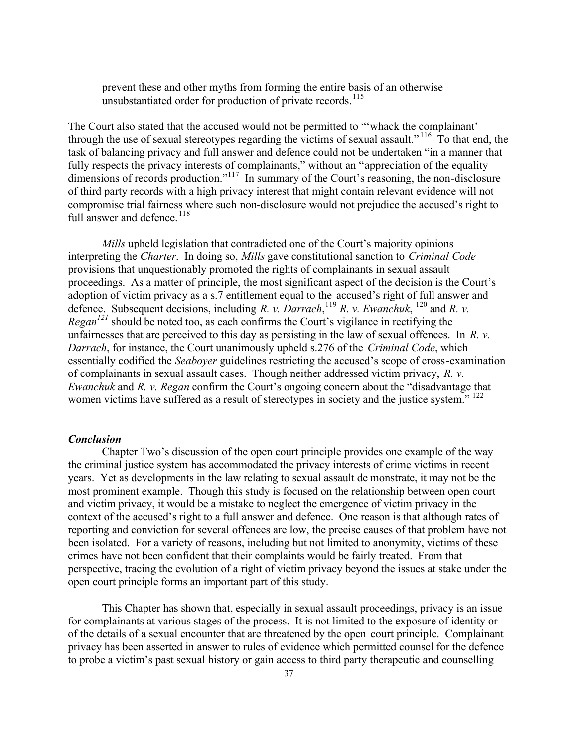prevent these and other myths from forming the entire basis of an otherwise unsubstantiated order for production of private records.<sup>115</sup>

The Court also stated that the accused would not be permitted to "'whack the complainant' through the use of sexual stereotypes regarding the victims of sexual assault." <sup>116</sup> To that end, the task of balancing privacy and full answer and defence could not be undertaken "in a manner that fully respects the privacy interests of complainants," without an "appreciation of the equality dimensions of records production."<sup>117</sup> In summary of the Court's reasoning, the non-disclosure of third party records with a high privacy interest that might contain relevant evidence will not compromise trial fairness where such non-disclosure would not prejudice the accused's right to full answer and defence.<sup>118</sup>

*Mills* upheld legislation that contradicted one of the Court's majority opinions interpreting the *Charter*. In doing so, *Mills* gave constitutional sanction to *Criminal Code* provisions that unquestionably promoted the rights of complainants in sexual assault proceedings. As a matter of principle, the most significant aspect of the decision is the Court's adoption of victim privacy as a s.7 entitlement equal to the accused's right of full answer and defence. Subsequent decisions, including *R. v. Darrach*, <sup>119</sup> *R. v. Ewanchuk*, <sup>120</sup> and *R. v. Regan<sup>121</sup>* should be noted too, as each confirms the Court's vigilance in rectifying the unfairnesses that are perceived to this day as persisting in the law of sexual offences. In *R. v. Darrach*, for instance, the Court unanimously upheld s.276 of the *Criminal Code*, which essentially codified the *Seaboyer* guidelines restricting the accused's scope of cross-examination of complainants in sexual assault cases. Though neither addressed victim privacy, *R. v. Ewanchuk* and *R. v. Regan* confirm the Court's ongoing concern about the "disadvantage that women victims have suffered as a result of stereotypes in society and the justice system."<sup>122</sup>

#### *Conclusion*

Chapter Two's discussion of the open court principle provides one example of the way the criminal justice system has accommodated the privacy interests of crime victims in recent years. Yet as developments in the law relating to sexual assault de monstrate, it may not be the most prominent example. Though this study is focused on the relationship between open court and victim privacy, it would be a mistake to neglect the emergence of victim privacy in the context of the accused's right to a full answer and defence. One reason is that although rates of reporting and conviction for several offences are low, the precise causes of that problem have not been isolated. For a variety of reasons, including but not limited to anonymity, victims of these crimes have not been confident that their complaints would be fairly treated. From that perspective, tracing the evolution of a right of victim privacy beyond the issues at stake under the open court principle forms an important part of this study.

This Chapter has shown that, especially in sexual assault proceedings, privacy is an issue for complainants at various stages of the process. It is not limited to the exposure of identity or of the details of a sexual encounter that are threatened by the open court principle. Complainant privacy has been asserted in answer to rules of evidence which permitted counsel for the defence to probe a victim's past sexual history or gain access to third party therapeutic and counselling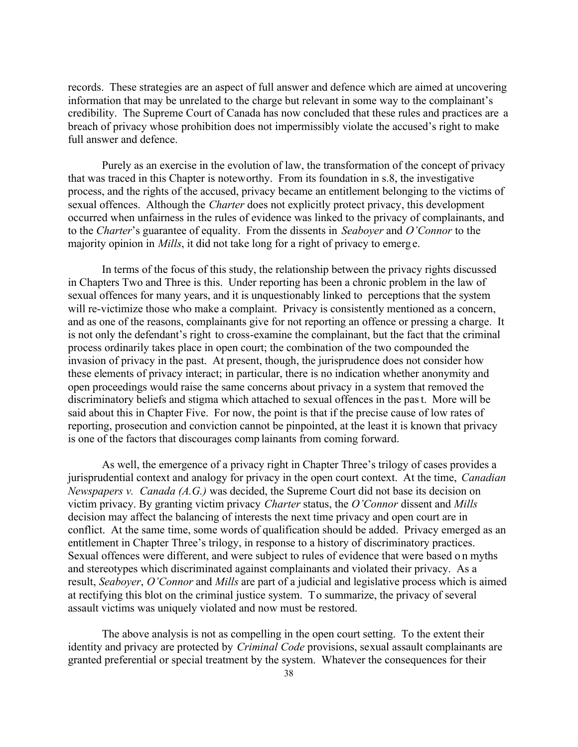records. These strategies are an aspect of full answer and defence which are aimed at uncovering information that may be unrelated to the charge but relevant in some way to the complainant's credibility. The Supreme Court of Canada has now concluded that these rules and practices are a breach of privacy whose prohibition does not impermissibly violate the accused's right to make full answer and defence.

Purely as an exercise in the evolution of law, the transformation of the concept of privacy that was traced in this Chapter is noteworthy. From its foundation in s.8, the investigative process, and the rights of the accused, privacy became an entitlement belonging to the victims of sexual offences. Although the *Charter* does not explicitly protect privacy, this development occurred when unfairness in the rules of evidence was linked to the privacy of complainants, and to the *Charter*'s guarantee of equality. From the dissents in *Seaboyer* and *O'Connor* to the majority opinion in *Mills*, it did not take long for a right of privacy to emerg e.

In terms of the focus of this study, the relationship between the privacy rights discussed in Chapters Two and Three is this. Under reporting has been a chronic problem in the law of sexual offences for many years, and it is unquestionably linked to perceptions that the system will re-victimize those who make a complaint. Privacy is consistently mentioned as a concern, and as one of the reasons, complainants give for not reporting an offence or pressing a charge. It is not only the defendant's right to cross-examine the complainant, but the fact that the criminal process ordinarily takes place in open court; the combination of the two compounded the invasion of privacy in the past. At present, though, the jurisprudence does not consider how these elements of privacy interact; in particular, there is no indication whether anonymity and open proceedings would raise the same concerns about privacy in a system that removed the discriminatory beliefs and stigma which attached to sexual offences in the past. More will be said about this in Chapter Five. For now, the point is that if the precise cause of low rates of reporting, prosecution and conviction cannot be pinpointed, at the least it is known that privacy is one of the factors that discourages comp lainants from coming forward.

As well, the emergence of a privacy right in Chapter Three's trilogy of cases provides a jurisprudential context and analogy for privacy in the open court context. At the time, *Canadian Newspapers v. Canada (A.G.)* was decided, the Supreme Court did not base its decision on victim privacy. By granting victim privacy *Charter* status, the *O'Connor* dissent and *Mills* decision may affect the balancing of interests the next time privacy and open court are in conflict. At the same time, some words of qualification should be added. Privacy emerged as an entitlement in Chapter Three's trilogy, in response to a history of discriminatory practices. Sexual offences were different, and were subject to rules of evidence that were based o n myths and stereotypes which discriminated against complainants and violated their privacy. As a result, *Seaboyer*, *O'Connor* and *Mills* are part of a judicial and legislative process which is aimed at rectifying this blot on the criminal justice system. To summarize, the privacy of several assault victims was uniquely violated and now must be restored.

The above analysis is not as compelling in the open court setting. To the extent their identity and privacy are protected by *Criminal Code* provisions, sexual assault complainants are granted preferential or special treatment by the system. Whatever the consequences for their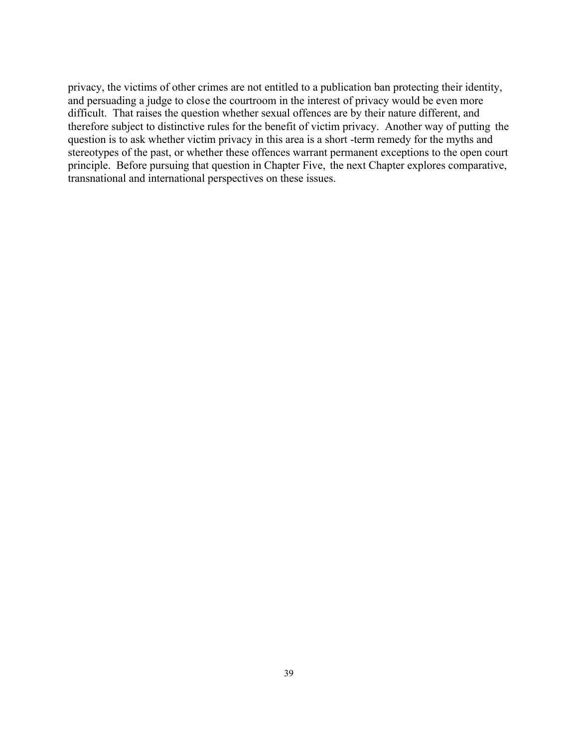privacy, the victims of other crimes are not entitled to a publication ban protecting their identity, and persuading a judge to close the courtroom in the interest of privacy would be even more difficult. That raises the question whether sexual offences are by their nature different, and therefore subject to distinctive rules for the benefit of victim privacy. Another way of putting the question is to ask whether victim privacy in this area is a short -term remedy for the myths and stereotypes of the past, or whether these offences warrant permanent exceptions to the open court principle. Before pursuing that question in Chapter Five, the next Chapter explores comparative, transnational and international perspectives on these issues.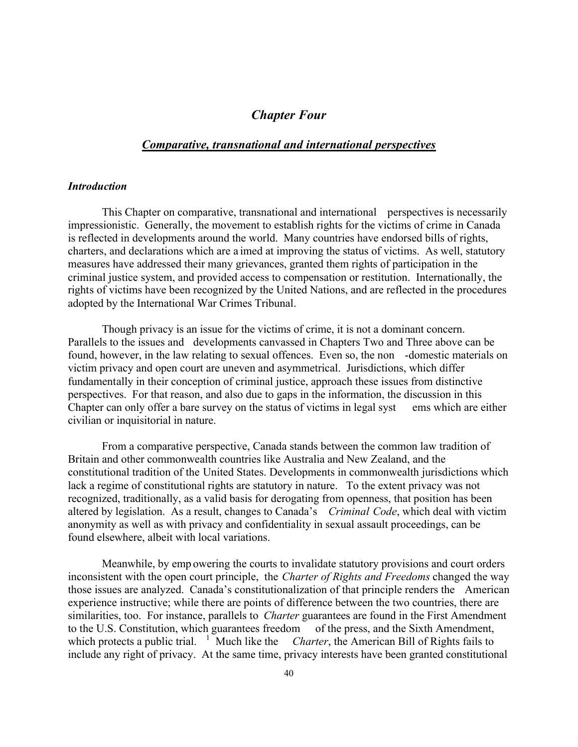# *Chapter Four*

# *Comparative, transnational and international perspectives*

## *Introduction*

This Chapter on comparative, transnational and international perspectives is necessarily impressionistic. Generally, the movement to establish rights for the victims of crime in Canada is reflected in developments around the world. Many countries have endorsed bills of rights, charters, and declarations which are a imed at improving the status of victims. As well, statutory measures have addressed their many grievances, granted them rights of participation in the criminal justice system, and provided access to compensation or restitution. Internationally, the rights of victims have been recognized by the United Nations, and are reflected in the procedures adopted by the International War Crimes Tribunal.

Though privacy is an issue for the victims of crime, it is not a dominant concern. Parallels to the issues and developments canvassed in Chapters Two and Three above can be found, however, in the law relating to sexual offences. Even so, the non -domestic materials on victim privacy and open court are uneven and asymmetrical. Jurisdictions, which differ fundamentally in their conception of criminal justice, approach these issues from distinctive perspectives. For that reason, and also due to gaps in the information, the discussion in this Chapter can only offer a bare survey on the status of victims in legal syst ems which are either civilian or inquisitorial in nature.

From a comparative perspective, Canada stands between the common law tradition of Britain and other commonwealth countries like Australia and New Zealand, and the constitutional tradition of the United States. Developments in commonwealth jurisdictions which lack a regime of constitutional rights are statutory in nature. To the extent privacy was not recognized, traditionally, as a valid basis for derogating from openness, that position has been altered by legislation. As a result, changes to Canada's *Criminal Code*, which deal with victim anonymity as well as with privacy and confidentiality in sexual assault proceedings, can be found elsewhere, albeit with local variations.

Meanwhile, by emp owering the courts to invalidate statutory provisions and court orders inconsistent with the open court principle, the *Charter of Rights and Freedoms* changed the way those issues are analyzed. Canada's constitutionalization of that principle renders the American experience instructive; while there are points of difference between the two countries, there are similarities, too. For instance, parallels to *Charter* guarantees are found in the First Amendment to the U.S. Constitution, which guarantees freedom of the press, and the Sixth Amendment, which protects a public trial. <sup>1</sup> Much like the *Charter*, the American Bill of Rights fails to include any right of privacy. At the same time, privacy interests have been granted constitutional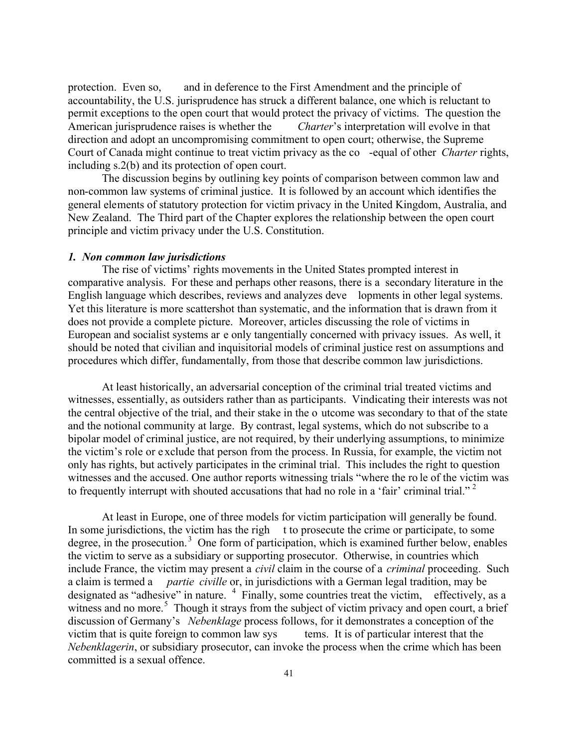protection. Even so, and in deference to the First Amendment and the principle of accountability, the U.S. jurisprudence has struck a different balance, one which is reluctant to permit exceptions to the open court that would protect the privacy of victims. The question the American jurisprudence raises is whether the *Charter*'s interpretation will evolve in that direction and adopt an uncompromising commitment to open court; otherwise, the Supreme Court of Canada might continue to treat victim privacy as the co -equal of other *Charter* rights, including s.2(b) and its protection of open court.

The discussion begins by outlining key points of comparison between common law and non-common law systems of criminal justice. It is followed by an account which identifies the general elements of statutory protection for victim privacy in the United Kingdom, Australia, and New Zealand. The Third part of the Chapter explores the relationship between the open court principle and victim privacy under the U.S. Constitution.

#### *1. Non common law jurisdictions*

The rise of victims' rights movements in the United States prompted interest in comparative analysis. For these and perhaps other reasons, there is a secondary literature in the English language which describes, reviews and analyzes deve lopments in other legal systems. Yet this literature is more scattershot than systematic, and the information that is drawn from it does not provide a complete picture. Moreover, articles discussing the role of victims in European and socialist systems ar e only tangentially concerned with privacy issues. As well, it should be noted that civilian and inquisitorial models of criminal justice rest on assumptions and procedures which differ, fundamentally, from those that describe common law jurisdictions.

At least historically, an adversarial conception of the criminal trial treated victims and witnesses, essentially, as outsiders rather than as participants. Vindicating their interests was not the central objective of the trial, and their stake in the o utcome was secondary to that of the state and the notional community at large. By contrast, legal systems, which do not subscribe to a bipolar model of criminal justice, are not required, by their underlying assumptions, to minimize the victim's role or e xclude that person from the process. In Russia, for example, the victim not only has rights, but actively participates in the criminal trial. This includes the right to question witnesses and the accused. One author reports witnessing trials "where the ro le of the victim was to frequently interrupt with shouted accusations that had no role in a 'fair' criminal trial."<sup>2</sup>

At least in Europe, one of three models for victim participation will generally be found. In some jurisdictions, the victim has the righ t to prosecute the crime or participate, to some degree, in the prosecution.<sup>3</sup> One form of participation, which is examined further below, enables the victim to serve as a subsidiary or supporting prosecutor. Otherwise, in countries which include France, the victim may present a *civil* claim in the course of a *criminal* proceeding. Such a claim is termed a *partie civille* or, in jurisdictions with a German legal tradition, may be designated as "adhesive" in nature. <sup>4</sup> Finally, some countries treat the victim, effectively, as a witness and no more.<sup>5</sup> Though it strays from the subject of victim privacy and open court, a brief discussion of Germany's *Nebenklage* process follows, for it demonstrates a conception of the victim that is quite foreign to common law sys tems. It is of particular interest that the *Nebenklagerin*, or subsidiary prosecutor, can invoke the process when the crime which has been committed is a sexual offence.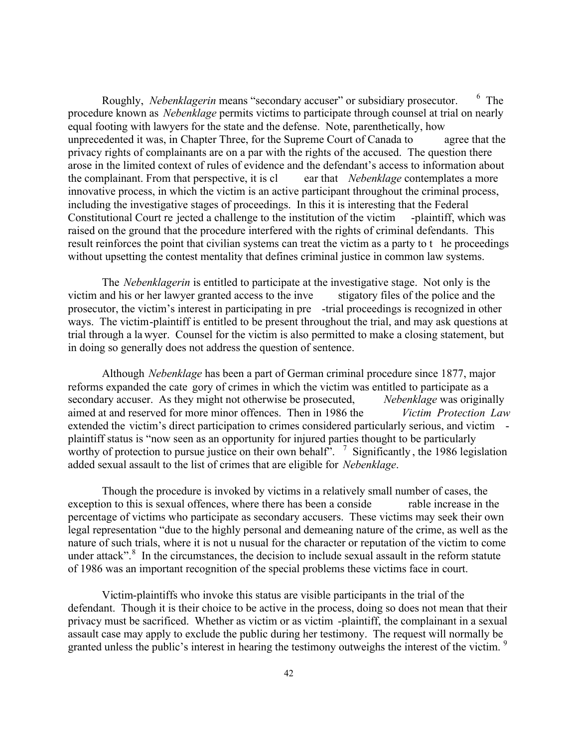Roughly, *Nebenklagerin* means "secondary accuser" or subsidiary prosecutor. <sup>6</sup>  $6$  The procedure known as *Nebenklage* permits victims to participate through counsel at trial on nearly equal footing with lawyers for the state and the defense. Note, parenthetically, how unprecedented it was, in Chapter Three, for the Supreme Court of Canada to agree that the privacy rights of complainants are on a par with the rights of the accused. The question there arose in the limited context of rules of evidence and the defendant's access to information about the complainant. From that perspective, it is cl ear that *Nebenklage* contemplates a more innovative process, in which the victim is an active participant throughout the criminal process, including the investigative stages of proceedings. In this it is interesting that the Federal Constitutional Court re jected a challenge to the institution of the victim -plaintiff, which was raised on the ground that the procedure interfered with the rights of criminal defendants. This result reinforces the point that civilian systems can treat the victim as a party to t he proceedings without upsetting the contest mentality that defines criminal justice in common law systems.

The *Nebenklagerin* is entitled to participate at the investigative stage. Not only is the victim and his or her lawyer granted access to the inve stigatory files of the police and the prosecutor, the victim's interest in participating in pre -trial proceedings is recognized in other ways. The victim-plaintiff is entitled to be present throughout the trial, and may ask questions at trial through a la wyer. Counsel for the victim is also permitted to make a closing statement, but in doing so generally does not address the question of sentence.

Although *Nebenklage* has been a part of German criminal procedure since 1877, major reforms expanded the cate gory of crimes in which the victim was entitled to participate as a secondary accuser. As they might not otherwise be prosecuted, *Nebenklage* was originally aimed at and reserved for more minor offences. Then in 1986 the *Victim Protection Law* extended the victim's direct participation to crimes considered particularly serious, and victim plaintiff status is "now seen as an opportunity for injured parties thought to be particularly worthy of protection to pursue justice on their own behalf".  $\frac{7}{1}$  Significantly, the 1986 legislation added sexual assault to the list of crimes that are eligible for *Nebenklage*.

Though the procedure is invoked by victims in a relatively small number of cases, the exception to this is sexual offences, where there has been a conside rable increase in the percentage of victims who participate as secondary accusers. These victims may seek their own legal representation "due to the highly personal and demeaning nature of the crime, as well as the nature of such trials, where it is not u nusual for the character or reputation of the victim to come under attack". $8$  In the circumstances, the decision to include sexual assault in the reform statute of 1986 was an important recognition of the special problems these victims face in court.

Victim-plaintiffs who invoke this status are visible participants in the trial of the defendant. Though it is their choice to be active in the process, doing so does not mean that their privacy must be sacrificed. Whether as victim or as victim -plaintiff, the complainant in a sexual assault case may apply to exclude the public during her testimony. The request will normally be granted unless the public's interest in hearing the testimony outweighs the interest of the victim. <sup>9</sup>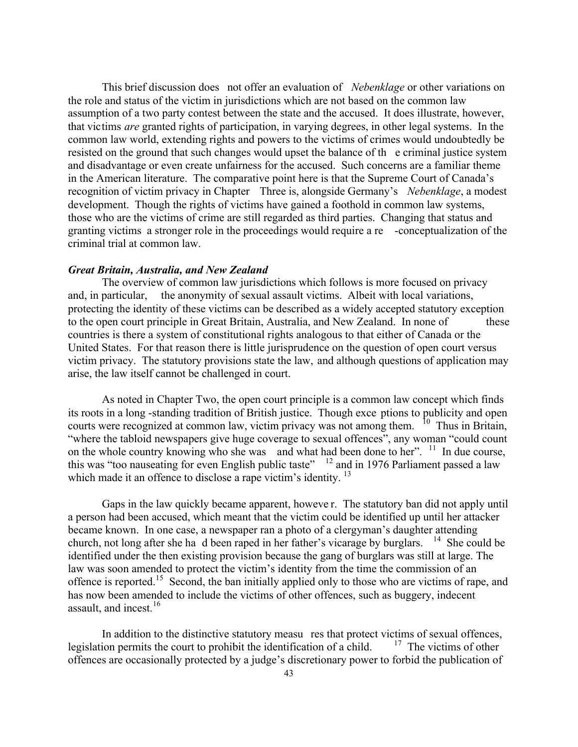This brief discussion does not offer an evaluation of *Nebenklage* or other variations on the role and status of the victim in jurisdictions which are not based on the common law assumption of a two party contest between the state and the accused. It does illustrate, however, that victims *are* granted rights of participation, in varying degrees, in other legal systems. In the common law world, extending rights and powers to the victims of crimes would undoubtedly be resisted on the ground that such changes would upset the balance of th e criminal justice system and disadvantage or even create unfairness for the accused. Such concerns are a familiar theme in the American literature. The comparative point here is that the Supreme Court of Canada's recognition of victim privacy in Chapter Three is, alongside Germany's *Nebenklage*, a modest development. Though the rights of victims have gained a foothold in common law systems, those who are the victims of crime are still regarded as third parties. Changing that status and granting victims a stronger role in the proceedings would require a re -conceptualization of the criminal trial at common law.

## *Great Britain, Australia, and New Zealand*

The overview of common law jurisdictions which follows is more focused on privacy and, in particular, the anonymity of sexual assault victims. Albeit with local variations, protecting the identity of these victims can be described as a widely accepted statutory exception to the open court principle in Great Britain, Australia, and New Zealand. In none of these countries is there a system of constitutional rights analogous to that either of Canada or the United States. For that reason there is little jurisprudence on the question of open court versus victim privacy. The statutory provisions state the law, and although questions of application may arise, the law itself cannot be challenged in court.

As noted in Chapter Two, the open court principle is a common law concept which finds its roots in a long -standing tradition of British justice. Though exce ptions to publicity and open courts were recognized at common law, victim privacy was not among them. <sup>10</sup> Thus in Britain, "where the tabloid newspapers give huge coverage to sexual offences", any woman "could count on the whole country knowing who she was and what had been done to her". <sup>11</sup> In due course, this was "too nauseating for even English public taste"  $\frac{12}{2}$  and in 1976 Parliament passed a law which made it an offence to disclose a rape victim's identity.<sup>13</sup>

Gaps in the law quickly became apparent, howeve r. The statutory ban did not apply until a person had been accused, which meant that the victim could be identified up until her attacker became known. In one case, a newspaper ran a photo of a clergyman's daughter attending church, not long after she ha d been raped in her father's vicarage by burglars. <sup>14</sup> She could be identified under the then existing provision because the gang of burglars was still at large. The law was soon amended to protect the victim's identity from the time the commission of an offence is reported.<sup>15</sup> Second, the ban initially applied only to those who are victims of rape, and has now been amended to include the victims of other offences, such as buggery, indecent assault, and incest.<sup>16</sup>

In addition to the distinctive statutory measu res that protect victims of sexual offences,<br>ion permits the court to prohibit the identification of a child.  $17$  The victims of other legislation permits the court to prohibit the identification of a child. offences are occasionally protected by a judge's discretionary power to forbid the publication of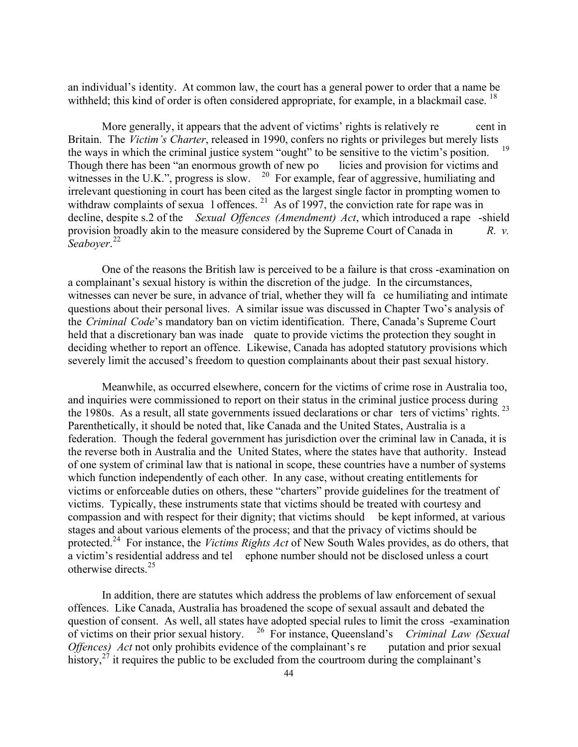an individual's identity. At common law, the court has a general power to order that a name be withheld; this kind of order is often considered appropriate, for example, in a blackmail case. <sup>18</sup>

More generally, it appears that the advent of victims' rights is relatively re cent in Britain. The *Victim's Charter*, released in 1990, confers no rights or privileges but merely lists the ways in which the criminal justice system "ought" to be sensitive to the victim's position. <sup>19</sup> Though there has been "an enormous growth of new po licies and provision for victims and witnesses in the U.K.", progress is slow. <sup>20</sup> For example, fear of aggressive, humiliating and irrelevant questioning in court has been cited as the largest single factor in prompting women to withdraw complaints of sexua 1 offences.  $^{21}$  As of 1997, the conviction rate for rape was in decline, despite s.2 of the *Sexual Offences (Amendment) Act*, which introduced a rape -shield provision broadly akin to the measure considered by the Supreme Court of Canada in *R. v. Seaboyer*. 22

One of the reasons the British law is perceived to be a failure is that cross -examination on a complainant's sexual history is within the discretion of the judge. In the circumstances, witnesses can never be sure, in advance of trial, whether they will fa ce humiliating and intimate questions about their personal lives. A similar issue was discussed in Chapter Two's analysis of the *Criminal Code*'s mandatory ban on victim identification. There, Canada's Supreme Court held that a discretionary ban was inade quate to provide victims the protection they sought in deciding whether to report an offence. Likewise, Canada has adopted statutory provisions which severely limit the accused's freedom to question complainants about their past sexual history.

Meanwhile, as occurred elsewhere, concern for the victims of crime rose in Australia too, and inquiries were commissioned to report on their status in the criminal justice process during the 1980s. As a result, all state governments issued declarations or char ters of victims' rights.<sup>23</sup> Parenthetically, it should be noted that, like Canada and the United States, Australia is a federation. Though the federal government has jurisdiction over the criminal law in Canada, it is the reverse both in Australia and the United States, where the states have that authority. Instead of one system of criminal law that is national in scope, these countries have a number of systems which function independently of each other. In any case, without creating entitlements for victims or enforceable duties on others, these "charters" provide guidelines for the treatment of victims. Typically, these instruments state that victims should be treated with courtesy and compassion and with respect for their dignity; that victims should be kept informed, at various stages and about various elements of the process; and that the privacy of victims should be protected.<sup>24</sup> For instance, the *Victims Rights Act* of New South Wales provides, as do others, that a victim's residential address and tel ephone number should not be disclosed unless a court otherwise directs.<sup>25</sup>

In addition, there are statutes which address the problems of law enforcement of sexual offences. Like Canada, Australia has broadened the scope of sexual assault and debated the question of consent. As well, all states have adopted special rules to limit the cross -examination of victims on their prior sexual history. <sup>26</sup> For instance, Queensland's *Criminal Law (Sexual Offences) Act* not only prohibits evidence of the complainant's re putation and prior sexual history,  $2^7$  it requires the public to be excluded from the courtroom during the complainant's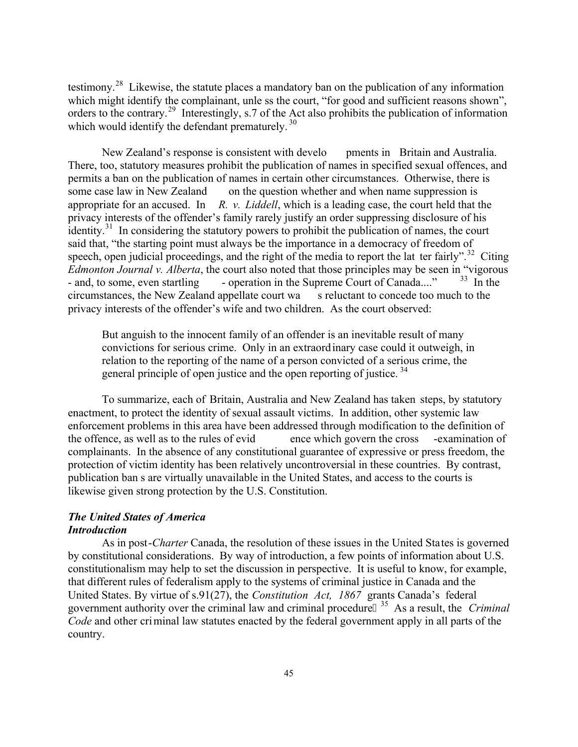testimony.<sup>28</sup> Likewise, the statute places a mandatory ban on the publication of any information which might identify the complainant, unle ss the court, "for good and sufficient reasons shown", orders to the contrary.<sup>29</sup> Interestingly, s.7 of the Act also prohibits the publication of information which would identify the defendant prematurely.  $30<sup>30</sup>$ 

New Zealand's response is consistent with develo pments in Britain and Australia. There, too, statutory measures prohibit the publication of names in specified sexual offences, and permits a ban on the publication of names in certain other circumstances. Otherwise, there is some case law in New Zealand on the question whether and when name suppression is appropriate for an accused. In *R. v. Liddell*, which is a leading case, the court held that the privacy interests of the offender's family rarely justify an order suppressing disclosure of his identity.<sup>31</sup> In considering the statutory powers to prohibit the publication of names, the court said that, "the starting point must always be the importance in a democracy of freedom of speech, open judicial proceedings, and the right of the media to report the lat ter fairly".<sup>32</sup> Citing *Edmonton Journal v. Alberta*, the court also noted that those principles may be seen in "vigorous - and, to some, even startling - operation in the Supreme Court of Canada...."  $33 \text{ In the}$ circumstances, the New Zealand appellate court wa s reluctant to concede too much to the privacy interests of the offender's wife and two children. As the court observed:

But anguish to the innocent family of an offender is an inevitable result of many convictions for serious crime. Only in an extraordinary case could it outweigh, in relation to the reporting of the name of a person convicted of a serious crime, the general principle of open justice and the open reporting of justice.<sup>34</sup>

To summarize, each of Britain, Australia and New Zealand has taken steps, by statutory enactment, to protect the identity of sexual assault victims. In addition, other systemic law enforcement problems in this area have been addressed through modification to the definition of the offence, as well as to the rules of evid ence which govern the cross -examination of complainants. In the absence of any constitutional guarantee of expressive or press freedom, the protection of victim identity has been relatively uncontroversial in these countries. By contrast, publication ban s are virtually unavailable in the United States, and access to the courts is likewise given strong protection by the U.S. Constitution.

# *The United States of America*

# *Introduction*

As in post-*Charter* Canada, the resolution of these issues in the United States is governed by constitutional considerations. By way of introduction, a few points of information about U.S. constitutionalism may help to set the discussion in perspective. It is useful to know, for example, that different rules of federalism apply to the systems of criminal justice in Canada and the United States. By virtue of s.91(27), the *Constitution Act, 1867* grants Canada's federal government authority over the criminal law and criminal procedure <sup>35</sup> As a result, the *Criminal Code* and other criminal law statutes enacted by the federal government apply in all parts of the country.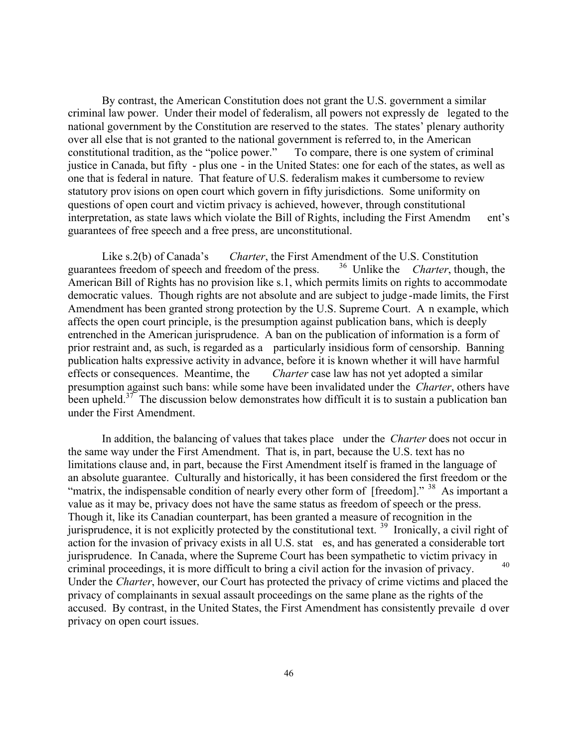By contrast, the American Constitution does not grant the U.S. government a similar criminal law power. Under their model of federalism, all powers not expressly de legated to the national government by the Constitution are reserved to the states. The states' plenary authority over all else that is not granted to the national government is referred to, in the American constitutional tradition, as the "police power." To compare, there is one system of criminal justice in Canada, but fifty - plus one - in the United States: one for each of the states, as well as one that is federal in nature. That feature of U.S. federalism makes it cumbersome to review statutory prov isions on open court which govern in fifty jurisdictions. Some uniformity on questions of open court and victim privacy is achieved, however, through constitutional interpretation, as state laws which violate the Bill of Rights, including the First Amendm ent's guarantees of free speech and a free press, are unconstitutional.

Like s.2(b) of Canada's *Charter*, the First Amendment of the U.S. Constitution ees freedom of speech and freedom of the press. <sup>36</sup> Unlike the *Charter*, though, the guarantees freedom of speech and freedom of the press. American Bill of Rights has no provision like s.1, which permits limits on rights to accommodate democratic values. Though rights are not absolute and are subject to judge -made limits, the First Amendment has been granted strong protection by the U.S. Supreme Court. A n example, which affects the open court principle, is the presumption against publication bans, which is deeply entrenched in the American jurisprudence. A ban on the publication of information is a form of prior restraint and, as such, is regarded as a particularly insidious form of censorship. Banning publication halts expressive activity in advance, before it is known whether it will have harmful effects or consequences. Meantime, the *Charter* case law has not yet adopted a similar presumption against such bans: while some have been invalidated under the *Charter*, others have been upheld.<sup>37</sup> The discussion below demonstrates how difficult it is to sustain a publication ban under the First Amendment.

In addition, the balancing of values that takes place under the *Charter* does not occur in the same way under the First Amendment. That is, in part, because the U.S. text has no limitations clause and, in part, because the First Amendment itself is framed in the language of an absolute guarantee. Culturally and historically, it has been considered the first freedom or the "matrix, the indispensable condition of nearly every other form of [freedom]." <sup>38</sup> As important a value as it may be, privacy does not have the same status as freedom of speech or the press. Though it, like its Canadian counterpart, has been granted a measure of recognition in the jurisprudence, it is not explicitly protected by the constitutional text. <sup>39</sup> Ironically, a civil right of action for the invasion of privacy exists in all U.S. stat es, and has generated a considerable tort jurisprudence. In Canada, where the Supreme Court has been sympathetic to victim privacy in criminal proceedings, it is more difficult to bring a civil action for the invasion of privacy. Under the *Charter*, however, our Court has protected the privacy of crime victims and placed the privacy of complainants in sexual assault proceedings on the same plane as the rights of the accused. By contrast, in the United States, the First Amendment has consistently prevaile d over privacy on open court issues.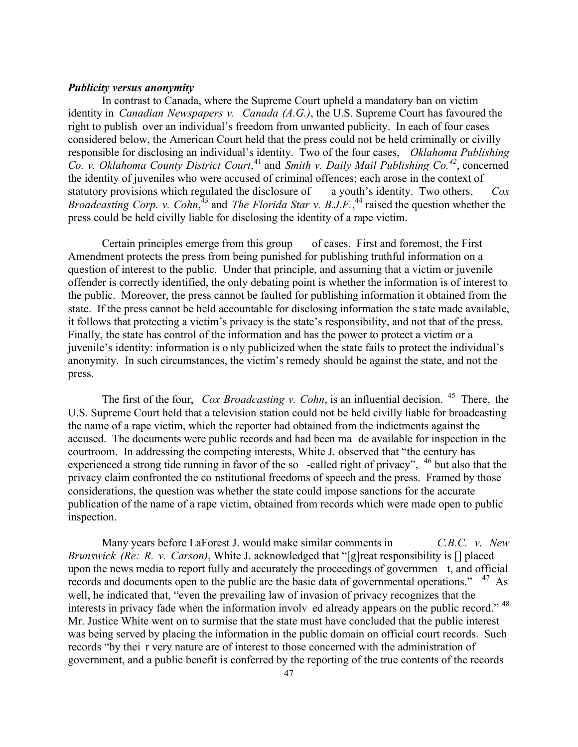# *Publicity versus anonymity*

In contrast to Canada, where the Supreme Court upheld a mandatory ban on victim identity in *Canadian Newspapers v. Canada (A.G.)*, the U.S. Supreme Court has favoured the right to publish over an individual's freedom from unwanted publicity. In each of four cases considered below, the American Court held that the press could not be held criminally or civilly responsible for disclosing an individual's identity. Two of the four cases, *Oklahoma Publishing Co. v. Oklahoma County District Court*, <sup>41</sup> and *Smith v. Daily Mail Publishing Co.<sup>42</sup>*, concerned the identity of juveniles who were accused of criminal offences; each arose in the context of statutory provisions which regulated the disclosure of a youth's identity. Two others, *Cox*  Broadcasting Corp. v. Cohn,<sup>43</sup> and *The Florida Star v. B.J.F.*,<sup>44</sup> raised the question whether the press could be held civilly liable for disclosing the identity of a rape victim.

Certain principles emerge from this group of cases. First and foremost, the First Amendment protects the press from being punished for publishing truthful information on a question of interest to the public. Under that principle, and assuming that a victim or juvenile offender is correctly identified, the only debating point is whether the information is of interest to the public. Moreover, the press cannot be faulted for publishing information it obtained from the state. If the press cannot be held accountable for disclosing information the state made available, it follows that protecting a victim's privacy is the state's responsibility, and not that of the press. Finally, the state has control of the information and has the power to protect a victim or a juvenile's identity: information is o nly publicized when the state fails to protect the individual's anonymity. In such circumstances, the victim's remedy should be against the state, and not the press.

The first of the four, *Cox Broadcasting v. Cohn*, is an influential decision. <sup>45</sup> There, the U.S. Supreme Court held that a television station could not be held civilly liable for broadcasting the name of a rape victim, which the reporter had obtained from the indictments against the accused. The documents were public records and had been ma de available for inspection in the courtroom. In addressing the competing interests, White J. observed that "the century has experienced a strong tide running in favor of the so -called right of privacy",  $46$  but also that the privacy claim confronted the co nstitutional freedoms of speech and the press. Framed by those considerations, the question was whether the state could impose sanctions for the accurate publication of the name of a rape victim, obtained from records which were made open to public inspection.

Many years before LaForest J. would make similar comments in *C.B.C. v. New Brunswick (Re: R. v. Carson)*, White J. acknowledged that "[g]reat responsibility is [] placed upon the news media to report fully and accurately the proceedings of governmen t, and official records and documents open to the public are the basic data of governmental operations." <sup>47</sup> As well, he indicated that, "even the prevailing law of invasion of privacy recognizes that the interests in privacy fade when the information involv ed already appears on the public record." <sup>48</sup> Mr. Justice White went on to surmise that the state must have concluded that the public interest was being served by placing the information in the public domain on official court records. Such records "by thei r very nature are of interest to those concerned with the administration of government, and a public benefit is conferred by the reporting of the true contents of the records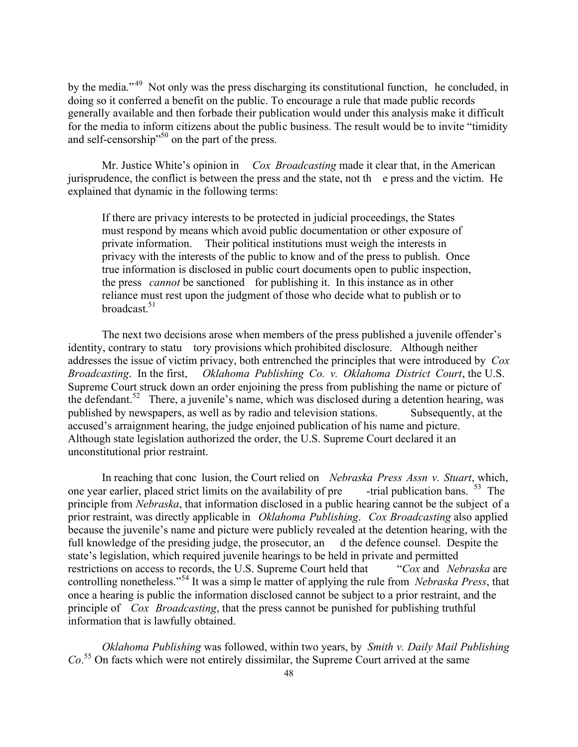by the media."<sup>49</sup> Not only was the press discharging its constitutional function, he concluded, in doing so it conferred a benefit on the public. To encourage a rule that made public records generally available and then forbade their publication would under this analysis make it difficult for the media to inform citizens about the public business. The result would be to invite "timidity and self-censorship"<sup>50</sup> on the part of the press.

Mr. Justice White's opinion in *Cox Broadcasting* made it clear that, in the American jurisprudence, the conflict is between the press and the state, not th e press and the victim. He explained that dynamic in the following terms:

If there are privacy interests to be protected in judicial proceedings, the States must respond by means which avoid public documentation or other exposure of private information. Their political institutions must weigh the interests in privacy with the interests of the public to know and of the press to publish. Once true information is disclosed in public court documents open to public inspection, the press *cannot* be sanctioned for publishing it. In this instance as in other reliance must rest upon the judgment of those who decide what to publish or to broadcast. $51$ 

The next two decisions arose when members of the press published a juvenile offender's identity, contrary to statu tory provisions which prohibited disclosure. Although neither addresses the issue of victim privacy, both entrenched the principles that were introduced by *Cox Broadcasting*. In the first, *Oklahoma Publishing Co. v. Oklahoma District Court*, the U.S. Supreme Court struck down an order enjoining the press from publishing the name or picture of the defendant.<sup>52</sup> There, a juvenile's name, which was disclosed during a detention hearing, was published by newspapers, as well as by radio and television stations. Subsequently, at the accused's arraignment hearing, the judge enjoined publication of his name and picture. Although state legislation authorized the order, the U.S. Supreme Court declared it an unconstitutional prior restraint.

In reaching that conc lusion, the Court relied on *Nebraska Press Assn v. Stuart*, which, one year earlier, placed strict limits on the availability of pre  $-$ trial publication bans. <sup>53</sup> The principle from *Nebraska*, that information disclosed in a public hearing cannot be the subject of a prior restraint, was directly applicable in *Oklahoma Publishing*. *Cox Broadcasting* also applied because the juvenile's name and picture were publicly revealed at the detention hearing, with the full knowledge of the presiding judge, the prosecutor, an d the defence counsel. Despite the state's legislation, which required juvenile hearings to be held in private and permitted restrictions on access to records, the U.S. Supreme Court held that "*Cox* and *Nebraska* are controlling nonetheless."<sup>54</sup> It was a simp le matter of applying the rule from *Nebraska Press*, that once a hearing is public the information disclosed cannot be subject to a prior restraint, and the principle of *Cox Broadcasting*, that the press cannot be punished for publishing truthful information that is lawfully obtained.

*Oklahoma Publishing* was followed, within two years, by *Smith v. Daily Mail Publishing Co*. <sup>55</sup> On facts which were not entirely dissimilar, the Supreme Court arrived at the same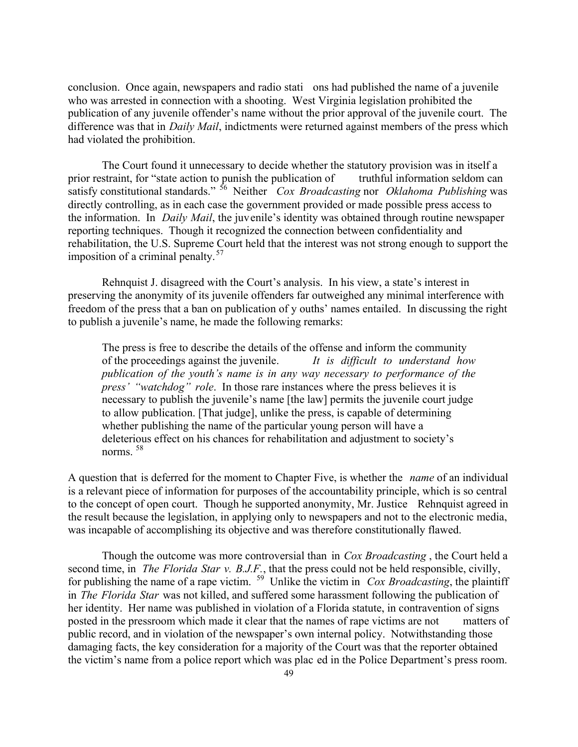conclusion. Once again, newspapers and radio stati ons had published the name of a juvenile who was arrested in connection with a shooting. West Virginia legislation prohibited the publication of any juvenile offender's name without the prior approval of the juvenile court. The difference was that in *Daily Mail*, indictments were returned against members of the press which had violated the prohibition.

The Court found it unnecessary to decide whether the statutory provision was in itself a prior restraint, for "state action to punish the publication of truthful information seldom can satisfy constitutional standards." <sup>56</sup> Neither *Cox Broadcasting* nor *Oklahoma Publishing* was directly controlling, as in each case the government provided or made possible press access to the information. In *Daily Mail*, the juvenile's identity was obtained through routine newspaper reporting techniques. Though it recognized the connection between confidentiality and rehabilitation, the U.S. Supreme Court held that the interest was not strong enough to support the imposition of a criminal penalty. <sup>57</sup>

Rehnquist J. disagreed with the Court's analysis. In his view, a state's interest in preserving the anonymity of its juvenile offenders far outweighed any minimal interference with freedom of the press that a ban on publication of y ouths' names entailed. In discussing the right to publish a juvenile's name, he made the following remarks:

The press is free to describe the details of the offense and inform the community of the proceedings against the juvenile. *It is difficult to understand how publication of the youth's name is in any way necessary to performance of the press' "watchdog" role*. In those rare instances where the press believes it is necessary to publish the juvenile's name [the law] permits the juvenile court judge to allow publication. [That judge], unlike the press, is capable of determining whether publishing the name of the particular young person will have a deleterious effect on his chances for rehabilitation and adjustment to society's norms<sup>58</sup>

A question that is deferred for the moment to Chapter Five, is whether the *name* of an individual is a relevant piece of information for purposes of the accountability principle, which is so central to the concept of open court. Though he supported anonymity, Mr. Justice Rehnquist agreed in the result because the legislation, in applying only to newspapers and not to the electronic media, was incapable of accomplishing its objective and was therefore constitutionally flawed.

Though the outcome was more controversial than in *Cox Broadcasting* , the Court held a second time, in *The Florida Star v. B.J.F.*, that the press could not be held responsible, civilly, for publishing the name of a rape victim. <sup>59</sup> Unlike the victim in *Cox Broadcasting*, the plaintiff in *The Florida Star* was not killed, and suffered some harassment following the publication of her identity. Her name was published in violation of a Florida statute, in contravention of signs posted in the pressroom which made it clear that the names of rape victims are not matters of public record, and in violation of the newspaper's own internal policy. Notwithstanding those damaging facts, the key consideration for a majority of the Court was that the reporter obtained the victim's name from a police report which was plac ed in the Police Department's press room.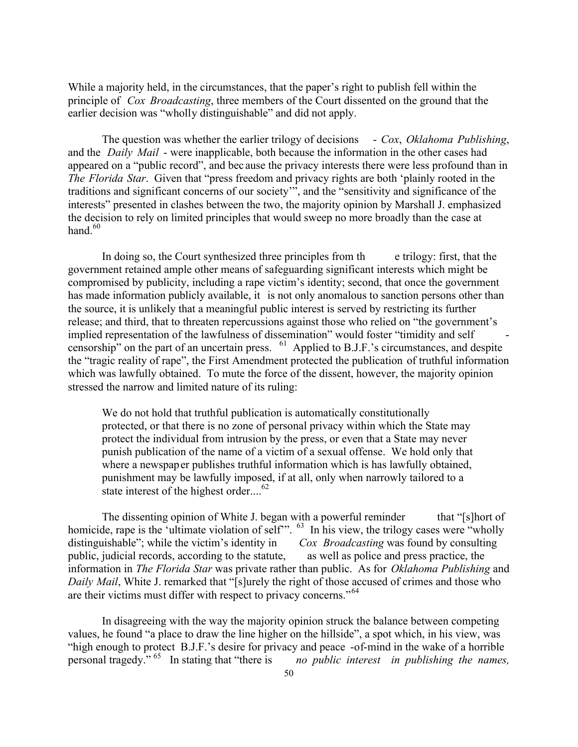While a majority held, in the circumstances, that the paper's right to publish fell within the principle of *Cox Broadcasting*, three members of the Court dissented on the ground that the earlier decision was "wholly distinguishable" and did not apply.

The question was whether the earlier trilogy of decisions - *Cox*, *Oklahoma Publishing*, and the *Daily Mail* - were inapplicable, both because the information in the other cases had appeared on a "public record", and bec ause the privacy interests there were less profound than in *The Florida Star*. Given that "press freedom and privacy rights are both 'plainly rooted in the traditions and significant concerns of our society'", and the "sensitivity and significance of the interests" presented in clashes between the two, the majority opinion by Marshall J. emphasized the decision to rely on limited principles that would sweep no more broadly than the case at hand. $60$ 

In doing so, the Court synthesized three principles from th e trilogy: first, that the government retained ample other means of safeguarding significant interests which might be compromised by publicity, including a rape victim's identity; second, that once the government has made information publicly available, it is not only anomalous to sanction persons other than the source, it is unlikely that a meaningful public interest is served by restricting its further release; and third, that to threaten repercussions against those who relied on "the government's implied representation of the lawfulness of dissemination" would foster "timidity and self censorship" on the part of an uncertain press. <sup>61</sup> Applied to B.J.F.'s circumstances, and despite the "tragic reality of rape", the First Amendment protected the publication of truthful information which was lawfully obtained. To mute the force of the dissent, however, the majority opinion stressed the narrow and limited nature of its ruling:

We do not hold that truthful publication is automatically constitutionally protected, or that there is no zone of personal privacy within which the State may protect the individual from intrusion by the press, or even that a State may never punish publication of the name of a victim of a sexual offense. We hold only that where a newspaper publishes truthful information which is has lawfully obtained, punishment may be lawfully imposed, if at all, only when narrowly tailored to a state interest of the highest order....<sup>62</sup>

The dissenting opinion of White J. began with a powerful reminder that "[s]hort of homicide, rape is the 'ultimate violation of self'". <sup>63</sup> In his view, the trilogy cases were "wholly" distinguishable"; while the victim's identity in *Cox Broadcasting* was found by consulting public, judicial records, according to the statute, as well as police and press practice, the information in *The Florida Star* was private rather than public. As for *Oklahoma Publishing* and *Daily Mail*, White J. remarked that "[s]urely the right of those accused of crimes and those who are their victims must differ with respect to privacy concerns."<sup>64</sup>

In disagreeing with the way the majority opinion struck the balance between competing values, he found "a place to draw the line higher on the hillside", a spot which, in his view, was "high enough to protect B.J.F.'s desire for privacy and peace -of-mind in the wake of a horrible personal tragedy." <sup>65</sup> In stating that "there is *no public interest in publishing the names,*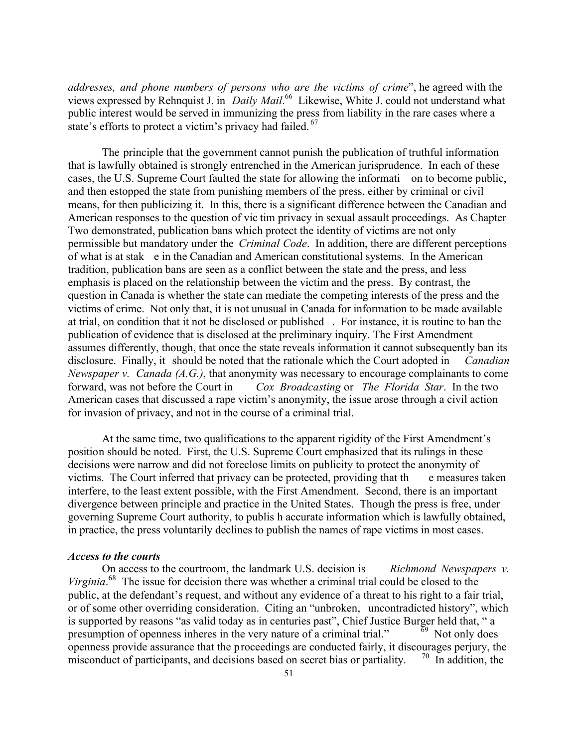*addresses, and phone numbers of persons who are the victims of crime*", he agreed with the views expressed by Rehnquist J. in *Daily Mail*. <sup>66</sup> Likewise, White J. could not understand what public interest would be served in immunizing the press from liability in the rare cases where a state's efforts to protect a victim's privacy had failed.<sup>67</sup>

The principle that the government cannot punish the publication of truthful information that is lawfully obtained is strongly entrenched in the American jurisprudence. In each of these cases, the U.S. Supreme Court faulted the state for allowing the informati on to become public, and then estopped the state from punishing members of the press, either by criminal or civil means, for then publicizing it. In this, there is a significant difference between the Canadian and American responses to the question of vic tim privacy in sexual assault proceedings. As Chapter Two demonstrated, publication bans which protect the identity of victims are not only permissible but mandatory under the *Criminal Code*. In addition, there are different perceptions of what is at stak e in the Canadian and American constitutional systems. In the American tradition, publication bans are seen as a conflict between the state and the press, and less emphasis is placed on the relationship between the victim and the press. By contrast, the question in Canada is whether the state can mediate the competing interests of the press and the victims of crime. Not only that, it is not unusual in Canada for information to be made available at trial, on condition that it not be disclosed or published . For instance, it is routine to ban the publication of evidence that is disclosed at the preliminary inquiry. The First Amendment assumes differently, though, that once the state reveals information it cannot subsequently ban its disclosure. Finally, it should be noted that the rationale which the Court adopted in *Canadian Newspaper v. Canada (A.G.)*, that anonymity was necessary to encourage complainants to come forward, was not before the Court in *Cox Broadcasting* or *The Florida Star*. In the two American cases that discussed a rape victim's anonymity, the issue arose through a civil action for invasion of privacy, and not in the course of a criminal trial.

At the same time, two qualifications to the apparent rigidity of the First Amendment's position should be noted. First, the U.S. Supreme Court emphasized that its rulings in these decisions were narrow and did not foreclose limits on publicity to protect the anonymity of victims. The Court inferred that privacy can be protected, providing that the e measures taken interfere, to the least extent possible, with the First Amendment. Second, there is an important divergence between principle and practice in the United States. Though the press is free, under governing Supreme Court authority, to publis h accurate information which is lawfully obtained, in practice, the press voluntarily declines to publish the names of rape victims in most cases.

#### *Access to the courts*

On access to the courtroom, the landmark U.S. decision is *Richmond Newspapers v. Virginia*. <sup>68</sup> The issue for decision there was whether a criminal trial could be closed to the public, at the defendant's request, and without any evidence of a threat to his right to a fair trial, or of some other overriding consideration. Citing an "unbroken, uncontradicted history", which is supported by reasons "as valid today as in centuries past", Chief Justice Burger held that, " a presumption of openness inheres in the very nature of a criminal trial."  $69$  Not only does presumption of openness inheres in the very nature of a criminal trial." openness provide assurance that the proceedings are conducted fairly, it discourages perjury, the misconduct of participants, and decisions based on secret bias or partiality.  $\frac{70}{10}$  In addition, the misconduct of participants, and decisions based on secret bias or partiality.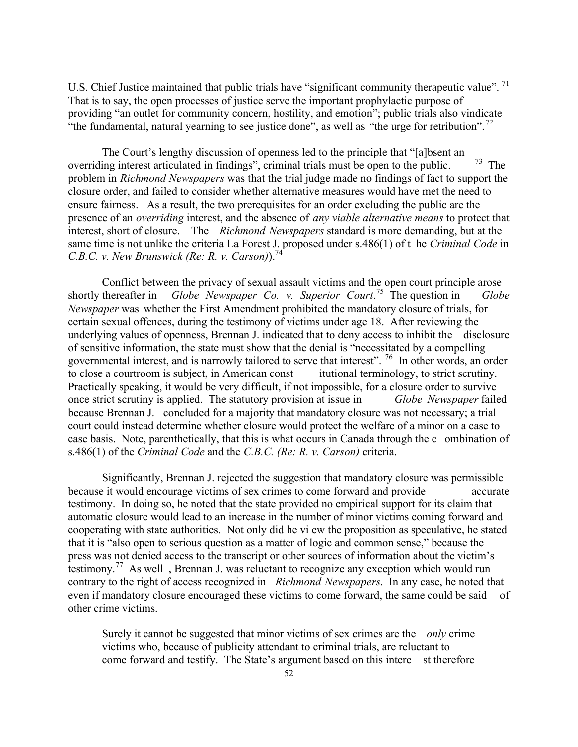U.S. Chief Justice maintained that public trials have "significant community therapeutic value".<sup>71</sup> That is to say, the open processes of justice serve the important prophylactic purpose of providing "an outlet for community concern, hostility, and emotion"; public trials also vindicate "the fundamental, natural yearning to see justice done", as well as "the urge for retribution".  $^{72}$ 

The Court's lengthy discussion of openness led to the principle that "[a]bsent an overriding interest articulated in findings", criminal trials must be open to the public.  $\frac{73}{2}$  The problem in *Richmond Newspapers* was that the trial judge made no findings of fact to support the closure order, and failed to consider whether alternative measures would have met the need to ensure fairness. As a result, the two prerequisites for an order excluding the public are the presence of an *overriding* interest, and the absence of *any viable alternative means* to protect that interest, short of closure. The *Richmond Newspapers* standard is more demanding, but at the same time is not unlike the criteria La Forest J. proposed under s.486(1) of t he *Criminal Code* in *C.B.C. v. New Brunswick (Re: R. v. Carson)*.<sup>74</sup>

Conflict between the privacy of sexual assault victims and the open court principle arose shortly thereafter in *Globe Newspaper Co. v. Superior Court.*<sup>75</sup> The question in *Globe Newspaper* was whether the First Amendment prohibited the mandatory closure of trials, for certain sexual offences, during the testimony of victims under age 18. After reviewing the underlying values of openness, Brennan J. indicated that to deny access to inhibit the disclosure of sensitive information, the state must show that the denial is "necessitated by a compelling governmental interest, and is narrowly tailored to serve that interest". <sup>76</sup> In other words, an order to close a courtroom is subject, in American const itutional terminology, to strict scrutiny. to close a courtroom is subject, in American const Practically speaking, it would be very difficult, if not impossible, for a closure order to survive once strict scrutiny is applied. The statutory provision at issue in *Globe Newspaper* failed because Brennan J. concluded for a majority that mandatory closure was not necessary; a trial court could instead determine whether closure would protect the welfare of a minor on a case to case basis. Note, parenthetically, that this is what occurs in Canada through the c ombination of s.486(1) of the *Criminal Code* and the *C.B.C. (Re: R. v. Carson)* criteria.

Significantly, Brennan J. rejected the suggestion that mandatory closure was permissible because it would encourage victims of sex crimes to come forward and provide accurate testimony. In doing so, he noted that the state provided no empirical support for its claim that automatic closure would lead to an increase in the number of minor victims coming forward and cooperating with state authorities. Not only did he vi ew the proposition as speculative, he stated that it is "also open to serious question as a matter of logic and common sense," because the press was not denied access to the transcript or other sources of information about the victim's testimony.<sup>77</sup> As well , Brennan J. was reluctant to recognize any exception which would run contrary to the right of access recognized in *Richmond Newspapers*. In any case, he noted that even if mandatory closure encouraged these victims to come forward, the same could be said of other crime victims.

Surely it cannot be suggested that minor victims of sex crimes are the *only* crime victims who, because of publicity attendant to criminal trials, are reluctant to come forward and testify. The State's argument based on this intere st therefore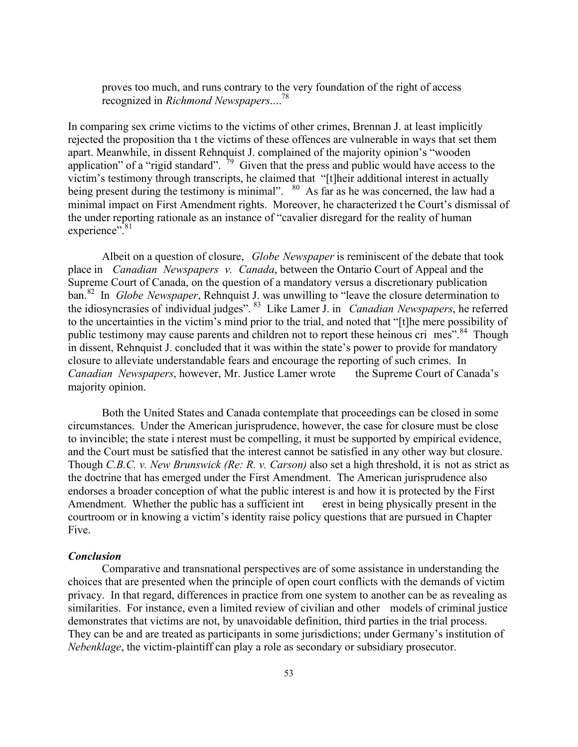proves too much, and runs contrary to the very foundation of the right of access recognized in *Richmond Newspapers*.... 78

In comparing sex crime victims to the victims of other crimes, Brennan J. at least implicitly rejected the proposition tha t the victims of these offences are vulnerable in ways that set them apart. Meanwhile, in dissent Rehnquist J. complained of the majority opinion's "wooden application" of a "rigid standard".  $\frac{79}{9}$  Given that the press and public would have access to the victim's testimony through transcripts, he claimed that "[t]heir additional interest in actually being present during the testimony is minimal". <sup>80</sup> As far as he was concerned, the law had a minimal impact on First Amendment rights. Moreover, he characterized t he Court's dismissal of the under reporting rationale as an instance of "cavalier disregard for the reality of human experience".<sup>81</sup>

Albeit on a question of closure, *Globe Newspaper* is reminiscent of the debate that took place in *Canadian Newspapers v. Canada*, between the Ontario Court of Appeal and the Supreme Court of Canada, on the question of a mandatory versus a discretionary publication ban.<sup>82</sup> In *Globe Newspaper*, Rehnquist J. was unwilling to "leave the closure determination to the idiosyncrasies of individual judges". <sup>83</sup> Like Lamer J. in *Canadian Newspapers*, he referred to the uncertainties in the victim's mind prior to the trial, and noted that "[t]he mere possibility of public testimony may cause parents and children not to report these heinous cri mes".<sup>84</sup> Though in dissent, Rehnquist J. concluded that it was within the state's power to provide for mandatory closure to alleviate understandable fears and encourage the reporting of such crimes. In *Canadian Newspapers*, however, Mr. Justice Lamer wrote the Supreme Court of Canada's majority opinion.

Both the United States and Canada contemplate that proceedings can be closed in some circumstances. Under the American jurisprudence, however, the case for closure must be close to invincible; the state i nterest must be compelling, it must be supported by empirical evidence, and the Court must be satisfied that the interest cannot be satisfied in any other way but closure. Though *C.B.C. v. New Brunswick (Re: R. v. Carson)* also set a high threshold, it is not as strict as the doctrine that has emerged under the First Amendment. The American jurisprudence also endorses a broader conception of what the public interest is and how it is protected by the First Amendment. Whether the public has a sufficient int erest in being physically present in the courtroom or in knowing a victim's identity raise policy questions that are pursued in Chapter Five.

#### *Conclusion*

Comparative and transnational perspectives are of some assistance in understanding the choices that are presented when the principle of open court conflicts with the demands of victim privacy. In that regard, differences in practice from one system to another can be as revealing as similarities. For instance, even a limited review of civilian and other models of criminal justice demonstrates that victims are not, by unavoidable definition, third parties in the trial process. They can be and are treated as participants in some jurisdictions; under Germany's institution of *Nebenklage*, the victim-plaintiff can play a role as secondary or subsidiary prosecutor.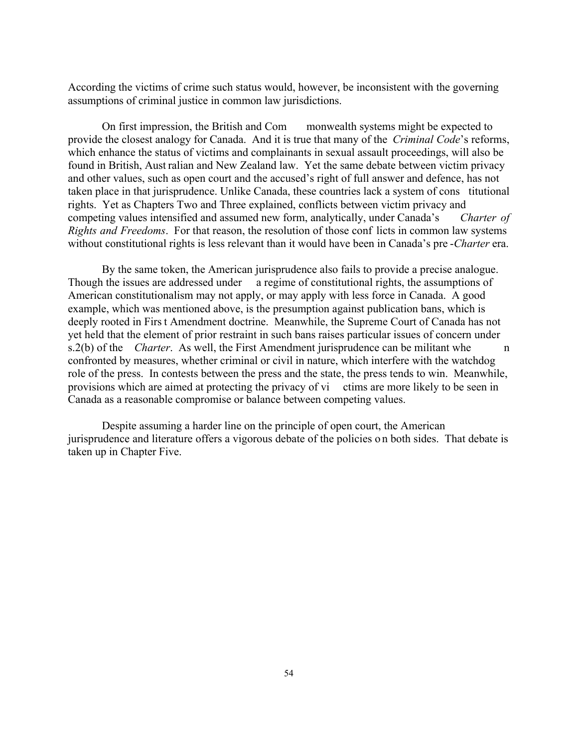According the victims of crime such status would, however, be inconsistent with the governing assumptions of criminal justice in common law jurisdictions.

On first impression, the British and Com monwealth systems might be expected to provide the closest analogy for Canada. And it is true that many of the *Criminal Code*'s reforms, which enhance the status of victims and complainants in sexual assault proceedings, will also be found in British, Aust ralian and New Zealand law. Yet the same debate between victim privacy and other values, such as open court and the accused's right of full answer and defence, has not taken place in that jurisprudence. Unlike Canada, these countries lack a system of cons titutional rights. Yet as Chapters Two and Three explained, conflicts between victim privacy and competing values intensified and assumed new form, analytically, under Canada's *Charter of Rights and Freedoms*. For that reason, the resolution of those conf licts in common law systems without constitutional rights is less relevant than it would have been in Canada's pre -*Charter* era.

By the same token, the American jurisprudence also fails to provide a precise analogue. Though the issues are addressed under a regime of constitutional rights, the assumptions of American constitutionalism may not apply, or may apply with less force in Canada. A good example, which was mentioned above, is the presumption against publication bans, which is deeply rooted in First Amendment doctrine. Meanwhile, the Supreme Court of Canada has not yet held that the element of prior restraint in such bans raises particular issues of concern under s.2(b) of the *Charter*. As well, the First Amendment jurisprudence can be militant whe confronted by measures, whether criminal or civil in nature, which interfere with the watchdog role of the press. In contests between the press and the state, the press tends to win. Meanwhile, provisions which are aimed at protecting the privacy of vi ctims are more likely to be seen in Canada as a reasonable compromise or balance between competing values.

Despite assuming a harder line on the principle of open court, the American jurisprudence and literature offers a vigorous debate of the policies on both sides. That debate is taken up in Chapter Five.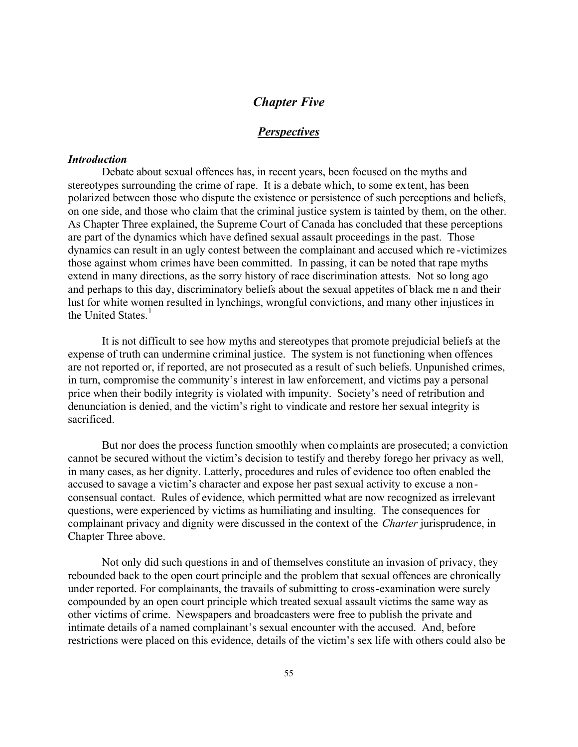# *Chapter Five*

# *Perspectives*

#### *Introduction*

Debate about sexual offences has, in recent years, been focused on the myths and stereotypes surrounding the crime of rape. It is a debate which, to some extent, has been polarized between those who dispute the existence or persistence of such perceptions and beliefs, on one side, and those who claim that the criminal justice system is tainted by them, on the other. As Chapter Three explained, the Supreme Court of Canada has concluded that these perceptions are part of the dynamics which have defined sexual assault proceedings in the past. Those dynamics can result in an ugly contest between the complainant and accused which re -victimizes those against whom crimes have been committed. In passing, it can be noted that rape myths extend in many directions, as the sorry history of race discrimination attests. Not so long ago and perhaps to this day, discriminatory beliefs about the sexual appetites of black me n and their lust for white women resulted in lynchings, wrongful convictions, and many other injustices in the United States.<sup>1</sup>

It is not difficult to see how myths and stereotypes that promote prejudicial beliefs at the expense of truth can undermine criminal justice. The system is not functioning when offences are not reported or, if reported, are not prosecuted as a result of such beliefs. Unpunished crimes, in turn, compromise the community's interest in law enforcement, and victims pay a personal price when their bodily integrity is violated with impunity. Society's need of retribution and denunciation is denied, and the victim's right to vindicate and restore her sexual integrity is sacrificed.

But nor does the process function smoothly when complaints are prosecuted; a conviction cannot be secured without the victim's decision to testify and thereby forego her privacy as well, in many cases, as her dignity. Latterly, procedures and rules of evidence too often enabled the accused to savage a victim's character and expose her past sexual activity to excuse a nonconsensual contact. Rules of evidence, which permitted what are now recognized as irrelevant questions, were experienced by victims as humiliating and insulting. The consequences for complainant privacy and dignity were discussed in the context of the *Charter* jurisprudence, in Chapter Three above.

Not only did such questions in and of themselves constitute an invasion of privacy, they rebounded back to the open court principle and the problem that sexual offences are chronically under reported. For complainants, the travails of submitting to cross-examination were surely compounded by an open court principle which treated sexual assault victims the same way as other victims of crime. Newspapers and broadcasters were free to publish the private and intimate details of a named complainant's sexual encounter with the accused. And, before restrictions were placed on this evidence, details of the victim's sex life with others could also be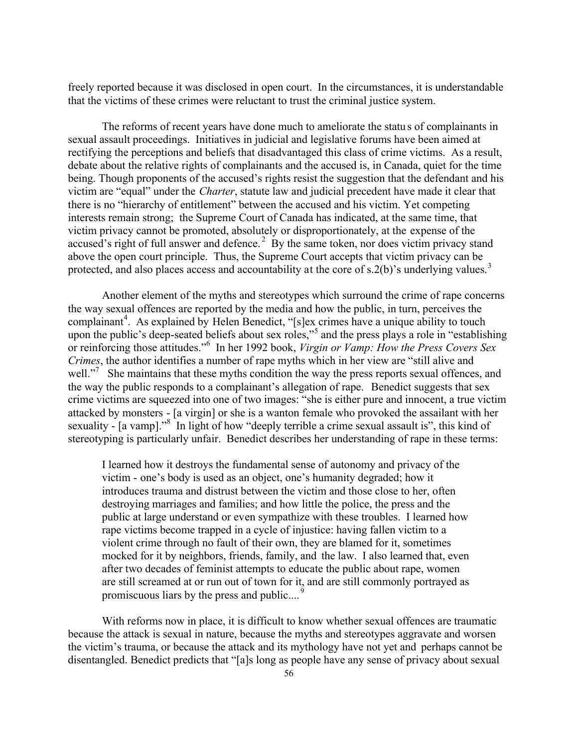freely reported because it was disclosed in open court. In the circumstances, it is understandable that the victims of these crimes were reluctant to trust the criminal justice system.

The reforms of recent years have done much to ameliorate the statu s of complainants in sexual assault proceedings. Initiatives in judicial and legislative forums have been aimed at rectifying the perceptions and beliefs that disadvantaged this class of crime victims. As a result, debate about the relative rights of complainants and the accused is, in Canada, quiet for the time being. Though proponents of the accused's rights resist the suggestion that the defendant and his victim are "equal" under the *Charter*, statute law and judicial precedent have made it clear that there is no "hierarchy of entitlement" between the accused and his victim. Yet competing interests remain strong; the Supreme Court of Canada has indicated, at the same time, that victim privacy cannot be promoted, absolutely or disproportionately, at the expense of the accused's right of full answer and defence.<sup>2</sup> By the same token, nor does victim privacy stand above the open court principle. Thus, the Supreme Court accepts that victim privacy can be protected, and also places access and accountability at the core of s.2(b)'s underlying values.<sup>3</sup>

Another element of the myths and stereotypes which surround the crime of rape concerns the way sexual offences are reported by the media and how the public, in turn, perceives the complainant<sup>4</sup>. As explained by Helen Benedict, "[s]ex crimes have a unique ability to touch upon the public's deep-seated beliefs about sex roles,"<sup>5</sup> and the press plays a role in "establishing" or reinforcing those attitudes."<sup>6</sup> In her 1992 book, *Virgin or Vamp: How the Press Covers Sex Crimes*, the author identifies a number of rape myths which in her view are "still alive and well."<sup>7</sup> She maintains that these myths condition the way the press reports sexual offences, and the way the public responds to a complainant's allegation of rape. Benedict suggests that sex crime victims are squeezed into one of two images: "she is either pure and innocent, a true victim attacked by monsters - [a virgin] or she is a wanton female who provoked the assailant with her sexuality - [a vamp]."<sup>8</sup> In light of how "deeply terrible a crime sexual assault is", this kind of stereotyping is particularly unfair. Benedict describes her understanding of rape in these terms:

I learned how it destroys the fundamental sense of autonomy and privacy of the victim - one's body is used as an object, one's humanity degraded; how it introduces trauma and distrust between the victim and those close to her, often destroying marriages and families; and how little the police, the press and the public at large understand or even sympathize with these troubles. I learned how rape victims become trapped in a cycle of injustice: having fallen victim to a violent crime through no fault of their own, they are blamed for it, sometimes mocked for it by neighbors, friends, family, and the law. I also learned that, even after two decades of feminist attempts to educate the public about rape, women are still screamed at or run out of town for it, and are still commonly portrayed as promiscuous liars by the press and public.... <sup>9</sup>

With reforms now in place, it is difficult to know whether sexual offences are traumatic because the attack is sexual in nature, because the myths and stereotypes aggravate and worsen the victim's trauma, or because the attack and its mythology have not yet and perhaps cannot be disentangled. Benedict predicts that "[a]s long as people have any sense of privacy about sexual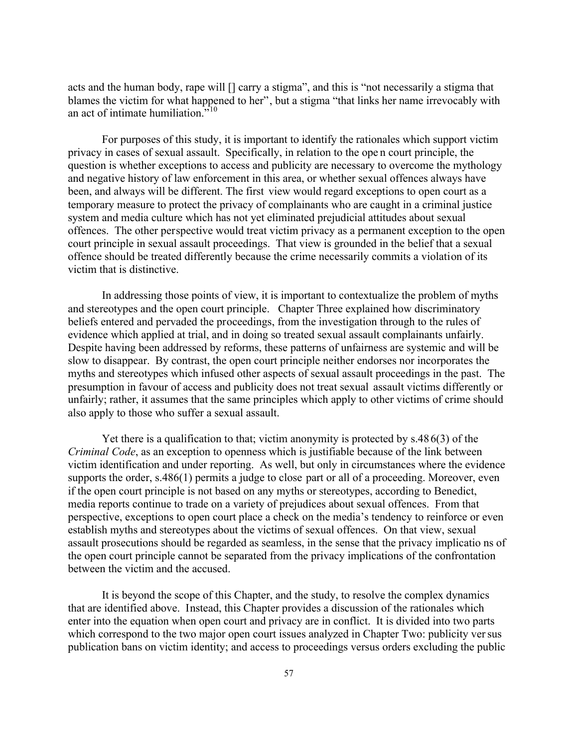acts and the human body, rape will [] carry a stigma", and this is "not necessarily a stigma that blames the victim for what happened to her", but a stigma "that links her name irrevocably with an act of intimate humiliation. $10^{10}$ 

For purposes of this study, it is important to identify the rationales which support victim privacy in cases of sexual assault. Specifically, in relation to the ope n court principle, the question is whether exceptions to access and publicity are necessary to overcome the mythology and negative history of law enforcement in this area, or whether sexual offences always have been, and always will be different. The first view would regard exceptions to open court as a temporary measure to protect the privacy of complainants who are caught in a criminal justice system and media culture which has not yet eliminated prejudicial attitudes about sexual offences. The other perspective would treat victim privacy as a permanent exception to the open court principle in sexual assault proceedings. That view is grounded in the belief that a sexual offence should be treated differently because the crime necessarily commits a violation of its victim that is distinctive.

In addressing those points of view, it is important to contextualize the problem of myths and stereotypes and the open court principle. Chapter Three explained how discriminatory beliefs entered and pervaded the proceedings, from the investigation through to the rules of evidence which applied at trial, and in doing so treated sexual assault complainants unfairly. Despite having been addressed by reforms, these patterns of unfairness are systemic and will be slow to disappear. By contrast, the open court principle neither endorses nor incorporates the myths and stereotypes which infused other aspects of sexual assault proceedings in the past. The presumption in favour of access and publicity does not treat sexual assault victims differently or unfairly; rather, it assumes that the same principles which apply to other victims of crime should also apply to those who suffer a sexual assault.

Yet there is a qualification to that; victim anonymity is protected by s.486(3) of the *Criminal Code*, as an exception to openness which is justifiable because of the link between victim identification and under reporting. As well, but only in circumstances where the evidence supports the order, s.486(1) permits a judge to close part or all of a proceeding. Moreover, even if the open court principle is not based on any myths or stereotypes, according to Benedict, media reports continue to trade on a variety of prejudices about sexual offences. From that perspective, exceptions to open court place a check on the media's tendency to reinforce or even establish myths and stereotypes about the victims of sexual offences. On that view, sexual assault prosecutions should be regarded as seamless, in the sense that the privacy implicatio ns of the open court principle cannot be separated from the privacy implications of the confrontation between the victim and the accused.

It is beyond the scope of this Chapter, and the study, to resolve the complex dynamics that are identified above. Instead, this Chapter provides a discussion of the rationales which enter into the equation when open court and privacy are in conflict. It is divided into two parts which correspond to the two major open court issues analyzed in Chapter Two: publicity versus publication bans on victim identity; and access to proceedings versus orders excluding the public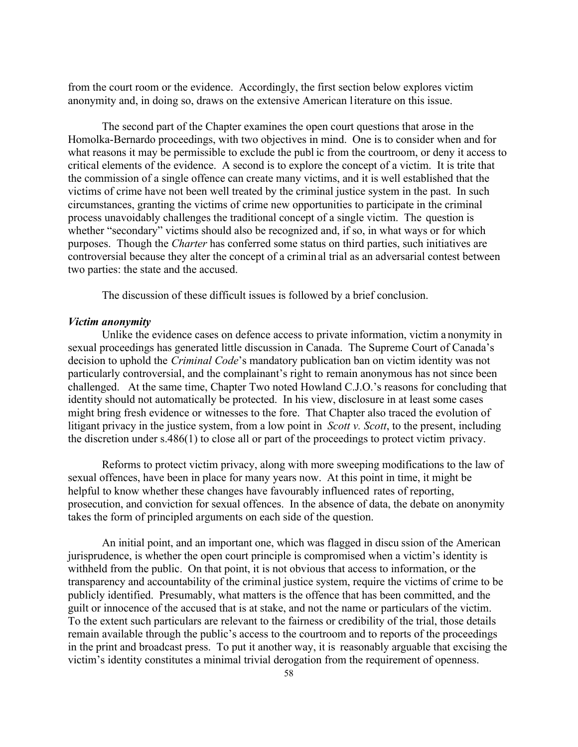from the court room or the evidence. Accordingly, the first section below explores victim anonymity and, in doing so, draws on the extensive American literature on this issue.

The second part of the Chapter examines the open court questions that arose in the Homolka-Bernardo proceedings, with two objectives in mind. One is to consider when and for what reasons it may be permissible to exclude the publ ic from the courtroom, or deny it access to critical elements of the evidence. A second is to explore the concept of a victim. It is trite that the commission of a single offence can create many victims, and it is well established that the victims of crime have not been well treated by the criminal justice system in the past. In such circumstances, granting the victims of crime new opportunities to participate in the criminal process unavoidably challenges the traditional concept of a single victim. The question is whether "secondary" victims should also be recognized and, if so, in what ways or for which purposes. Though the *Charter* has conferred some status on third parties, such initiatives are controversial because they alter the concept of a criminal trial as an adversarial contest between two parties: the state and the accused.

The discussion of these difficult issues is followed by a brief conclusion.

#### *Victim anonymity*

Unlike the evidence cases on defence access to private information, victim a nonymity in sexual proceedings has generated little discussion in Canada. The Supreme Court of Canada's decision to uphold the *Criminal Code*'s mandatory publication ban on victim identity was not particularly controversial, and the complainant's right to remain anonymous has not since been challenged. At the same time, Chapter Two noted Howland C.J.O.'s reasons for concluding that identity should not automatically be protected. In his view, disclosure in at least some cases might bring fresh evidence or witnesses to the fore. That Chapter also traced the evolution of litigant privacy in the justice system, from a low point in *Scott v. Scott*, to the present, including the discretion under s.486(1) to close all or part of the proceedings to protect victim privacy.

Reforms to protect victim privacy, along with more sweeping modifications to the law of sexual offences, have been in place for many years now. At this point in time, it might be helpful to know whether these changes have favourably influenced rates of reporting, prosecution, and conviction for sexual offences. In the absence of data, the debate on anonymity takes the form of principled arguments on each side of the question.

An initial point, and an important one, which was flagged in discu ssion of the American jurisprudence, is whether the open court principle is compromised when a victim's identity is withheld from the public. On that point, it is not obvious that access to information, or the transparency and accountability of the criminal justice system, require the victims of crime to be publicly identified. Presumably, what matters is the offence that has been committed, and the guilt or innocence of the accused that is at stake, and not the name or particulars of the victim. To the extent such particulars are relevant to the fairness or credibility of the trial, those details remain available through the public's access to the courtroom and to reports of the proceedings in the print and broadcast press. To put it another way, it is reasonably arguable that excising the victim's identity constitutes a minimal trivial derogation from the requirement of openness.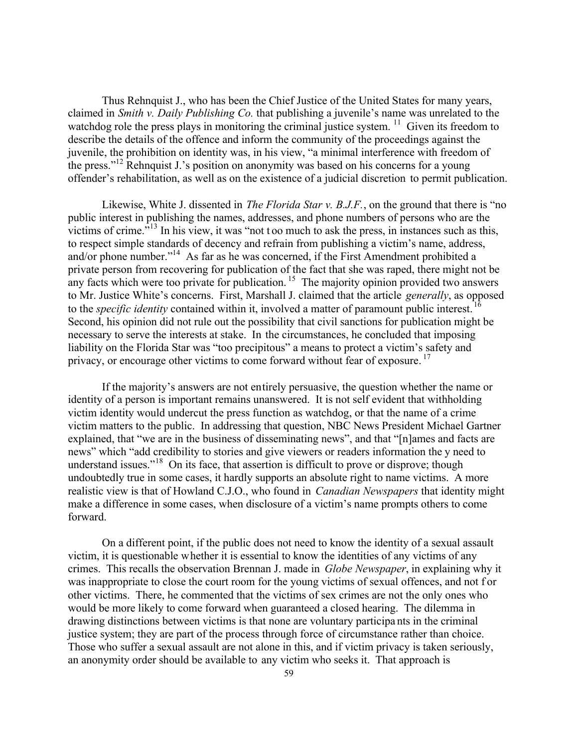Thus Rehnquist J., who has been the Chief Justice of the United States for many years, claimed in *Smith v. Daily Publishing Co.* that publishing a juvenile's name was unrelated to the watchdog role the press plays in monitoring the criminal justice system.  $\frac{11}{11}$  Given its freedom to describe the details of the offence and inform the community of the proceedings against the juvenile, the prohibition on identity was, in his view, "a minimal interference with freedom of the press."<sup>12</sup> Rehnquist J.'s position on anonymity was based on his concerns for a young offender's rehabilitation, as well as on the existence of a judicial discretion to permit publication.

Likewise, White J. dissented in *The Florida Star v. B.J.F.*, on the ground that there is "no public interest in publishing the names, addresses, and phone numbers of persons who are the victims of crime."<sup>13</sup> In his view, it was "not t oo much to ask the press, in instances such as this, to respect simple standards of decency and refrain from publishing a victim's name, address, and/or phone number."<sup>14</sup> As far as he was concerned, if the First Amendment prohibited a private person from recovering for publication of the fact that she was raped, there might not be any facts which were too private for publication.<sup>15</sup> The majority opinion provided two answers to Mr. Justice White's concerns. First, Marshall J. claimed that the article *generally*, as opposed to the *specific identity* contained within it, involved a matter of paramount public interest. Second, his opinion did not rule out the possibility that civil sanctions for publication might be necessary to serve the interests at stake. In the circumstances, he concluded that imposing liability on the Florida Star was "too precipitous" a means to protect a victim's safety and privacy, or encourage other victims to come forward without fear of exposure.<sup>17</sup>

If the majority's answers are not entirely persuasive, the question whether the name or identity of a person is important remains unanswered. It is not self evident that withholding victim identity would undercut the press function as watchdog, or that the name of a crime victim matters to the public. In addressing that question, NBC News President Michael Gartner explained, that "we are in the business of disseminating news", and that "[n]ames and facts are news" which "add credibility to stories and give viewers or readers information the y need to understand issues."<sup>18</sup> On its face, that assertion is difficult to prove or disprove; though undoubtedly true in some cases, it hardly supports an absolute right to name victims. A more realistic view is that of Howland C.J.O., who found in *Canadian Newspapers* that identity might make a difference in some cases, when disclosure of a victim's name prompts others to come forward.

On a different point, if the public does not need to know the identity of a sexual assault victim, it is questionable whether it is essential to know the identities of any victims of any crimes. This recalls the observation Brennan J. made in *Globe Newspaper*, in explaining why it was inappropriate to close the court room for the young victims of sexual offences, and not f or other victims. There, he commented that the victims of sex crimes are not the only ones who would be more likely to come forward when guaranteed a closed hearing. The dilemma in drawing distinctions between victims is that none are voluntary participa nts in the criminal justice system; they are part of the process through force of circumstance rather than choice. Those who suffer a sexual assault are not alone in this, and if victim privacy is taken seriously, an anonymity order should be available to any victim who seeks it. That approach is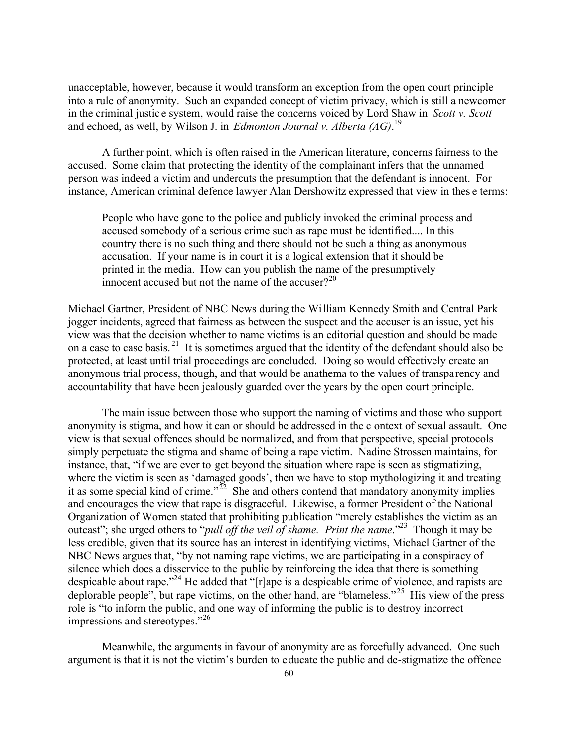unacceptable, however, because it would transform an exception from the open court principle into a rule of anonymity. Such an expanded concept of victim privacy, which is still a newcomer in the criminal justic e system, would raise the concerns voiced by Lord Shaw in *Scott v. Scott* and echoed, as well, by Wilson J. in *Edmonton Journal v. Alberta (AG)*. 19

A further point, which is often raised in the American literature, concerns fairness to the accused. Some claim that protecting the identity of the complainant infers that the unnamed person was indeed a victim and undercuts the presumption that the defendant is innocent. For instance, American criminal defence lawyer Alan Dershowitz expressed that view in thes e terms:

People who have gone to the police and publicly invoked the criminal process and accused somebody of a serious crime such as rape must be identified.... In this country there is no such thing and there should not be such a thing as anonymous accusation. If your name is in court it is a logical extension that it should be printed in the media. How can you publish the name of the presumptively innocent accused but not the name of the accuser? $20$ 

Michael Gartner, President of NBC News during the William Kennedy Smith and Central Park jogger incidents, agreed that fairness as between the suspect and the accuser is an issue, yet his view was that the decision whether to name victims is an editorial question and should be made on a case to case basis. <sup>21</sup> It is sometimes argued that the identity of the defendant should also be protected, at least until trial proceedings are concluded. Doing so would effectively create an anonymous trial process, though, and that would be anathema to the values of transparency and accountability that have been jealously guarded over the years by the open court principle.

The main issue between those who support the naming of victims and those who support anonymity is stigma, and how it can or should be addressed in the c ontext of sexual assault. One view is that sexual offences should be normalized, and from that perspective, special protocols simply perpetuate the stigma and shame of being a rape victim. Nadine Strossen maintains, for instance, that, "if we are ever to get beyond the situation where rape is seen as stigmatizing, where the victim is seen as 'damaged goods', then we have to stop mythologizing it and treating it as some special kind of crime."<sup>22</sup> She and others contend that mandatory anonymity implies and encourages the view that rape is disgraceful. Likewise, a former President of the National Organization of Women stated that prohibiting publication "merely establishes the victim as an outcast"; she urged others to "*pull off the veil of shame. Print the name*."<sup>23</sup> Though it may be less credible, given that its source has an interest in identifying victims, Michael Gartner of the NBC News argues that, "by not naming rape victims, we are participating in a conspiracy of silence which does a disservice to the public by reinforcing the idea that there is something despicable about rape."<sup>24</sup> He added that "[r]ape is a despicable crime of violence, and rapists are deplorable people", but rape victims, on the other hand, are "blameless."<sup>25</sup> His view of the press role is "to inform the public, and one way of informing the public is to destroy incorrect impressions and stereotypes."<sup>26</sup>

Meanwhile, the arguments in favour of anonymity are as forcefully advanced. One such argument is that it is not the victim's burden to educate the public and de-stigmatize the offence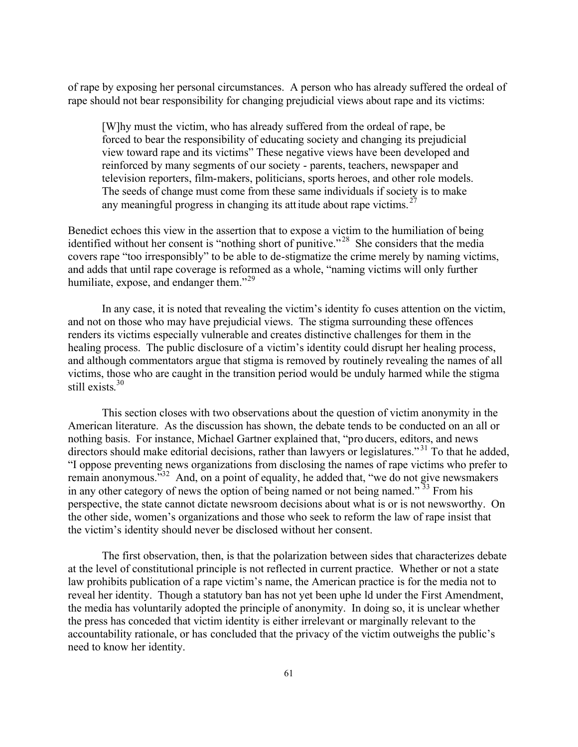of rape by exposing her personal circumstances. A person who has already suffered the ordeal of rape should not bear responsibility for changing prejudicial views about rape and its victims:

[W]hy must the victim, who has already suffered from the ordeal of rape, be forced to bear the responsibility of educating society and changing its prejudicial view toward rape and its victims" These negative views have been developed and reinforced by many segments of our society - parents, teachers, newspaper and television reporters, film-makers, politicians, sports heroes, and other role models. The seeds of change must come from these same individuals if society is to make any meaningful progress in changing its attitude about rape victims.  $27$ 

Benedict echoes this view in the assertion that to expose a victim to the humiliation of being identified without her consent is "nothing short of punitive."<sup>28</sup> She considers that the media covers rape "too irresponsibly" to be able to de-stigmatize the crime merely by naming victims, and adds that until rape coverage is reformed as a whole, "naming victims will only further humiliate, expose, and endanger them."<sup>29</sup>

In any case, it is noted that revealing the victim's identity fo cuses attention on the victim, and not on those who may have prejudicial views. The stigma surrounding these offences renders its victims especially vulnerable and creates distinctive challenges for them in the healing process. The public disclosure of a victim's identity could disrupt her healing process, and although commentators argue that stigma is removed by routinely revealing the names of all victims, those who are caught in the transition period would be unduly harmed while the stigma still exists. 30

This section closes with two observations about the question of victim anonymity in the American literature. As the discussion has shown, the debate tends to be conducted on an all or nothing basis. For instance, Michael Gartner explained that, "pro ducers, editors, and news directors should make editorial decisions, rather than lawyers or legislatures."<sup>31</sup> To that he added, "I oppose preventing news organizations from disclosing the names of rape victims who prefer to remain anonymous.<sup>532</sup> And, on a point of equality, he added that, "we do not give newsmakers in any other category of news the option of being named or not being named."<sup>33</sup> From his perspective, the state cannot dictate newsroom decisions about what is or is not newsworthy. On the other side, women's organizations and those who seek to reform the law of rape insist that the victim's identity should never be disclosed without her consent.

The first observation, then, is that the polarization between sides that characterizes debate at the level of constitutional principle is not reflected in current practice. Whether or not a state law prohibits publication of a rape victim's name, the American practice is for the media not to reveal her identity. Though a statutory ban has not yet been uphe ld under the First Amendment, the media has voluntarily adopted the principle of anonymity. In doing so, it is unclear whether the press has conceded that victim identity is either irrelevant or marginally relevant to the accountability rationale, or has concluded that the privacy of the victim outweighs the public's need to know her identity.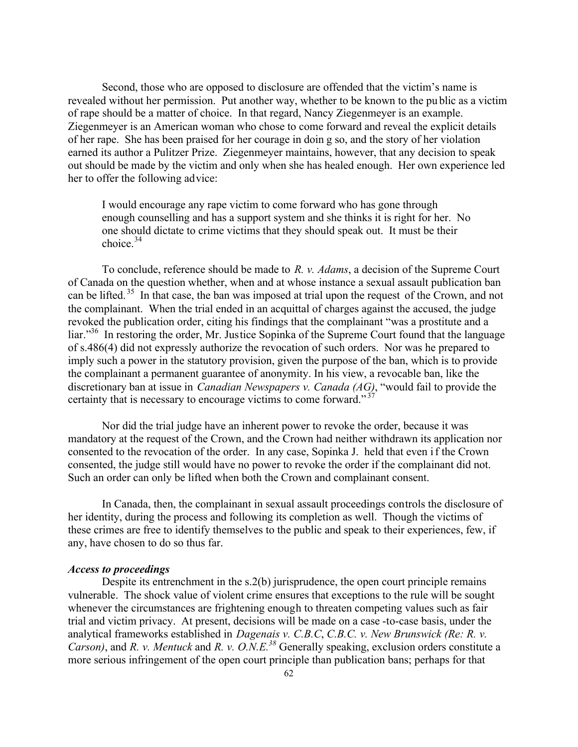Second, those who are opposed to disclosure are offended that the victim's name is revealed without her permission. Put another way, whether to be known to the pu blic as a victim of rape should be a matter of choice. In that regard, Nancy Ziegenmeyer is an example. Ziegenmeyer is an American woman who chose to come forward and reveal the explicit details of her rape. She has been praised for her courage in doin g so, and the story of her violation earned its author a Pulitzer Prize. Ziegenmeyer maintains, however, that any decision to speak out should be made by the victim and only when she has healed enough. Her own experience led her to offer the following advice:

I would encourage any rape victim to come forward who has gone through enough counselling and has a support system and she thinks it is right for her. No one should dictate to crime victims that they should speak out. It must be their choice. $34$ 

To conclude, reference should be made to *R. v. Adams*, a decision of the Supreme Court of Canada on the question whether, when and at whose instance a sexual assault publication ban can be lifted.<sup>35</sup> In that case, the ban was imposed at trial upon the request of the Crown, and not the complainant. When the trial ended in an acquittal of charges against the accused, the judge revoked the publication order, citing his findings that the complainant "was a prostitute and a liar."<sup>36</sup> In restoring the order, Mr. Justice Sopinka of the Supreme Court found that the language of s.486(4) did not expressly authorize the revocation of such orders. Nor was he prepared to imply such a power in the statutory provision, given the purpose of the ban, which is to provide the complainant a permanent guarantee of anonymity. In his view, a revocable ban, like the discretionary ban at issue in *Canadian Newspapers v. Canada (AG)*, "would fail to provide the certainty that is necessary to encourage victims to come forward." $37$ 

Nor did the trial judge have an inherent power to revoke the order, because it was mandatory at the request of the Crown, and the Crown had neither withdrawn its application nor consented to the revocation of the order. In any case, Sopinka J. held that even if the Crown consented, the judge still would have no power to revoke the order if the complainant did not. Such an order can only be lifted when both the Crown and complainant consent.

In Canada, then, the complainant in sexual assault proceedings controls the disclosure of her identity, during the process and following its completion as well. Though the victims of these crimes are free to identify themselves to the public and speak to their experiences, few, if any, have chosen to do so thus far.

#### *Access to proceedings*

Despite its entrenchment in the s.2(b) jurisprudence, the open court principle remains vulnerable. The shock value of violent crime ensures that exceptions to the rule will be sought whenever the circumstances are frightening enough to threaten competing values such as fair trial and victim privacy. At present, decisions will be made on a case -to-case basis, under the analytical frameworks established in *Dagenais v. C.B.C*, *C.B.C. v. New Brunswick (Re: R. v. Carson)*, and *R. v. Mentuck* and *R. v. O.N.E.<sup>38</sup>* Generally speaking, exclusion orders constitute a more serious infringement of the open court principle than publication bans; perhaps for that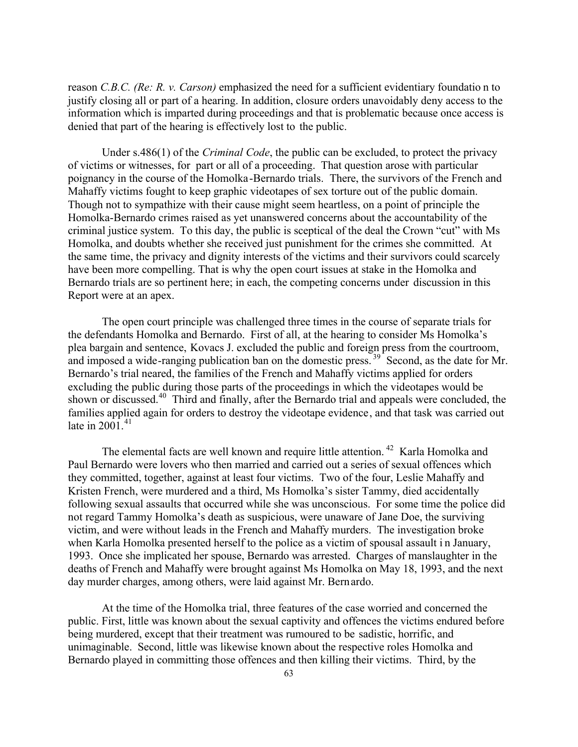reason *C.B.C. (Re: R. v. Carson)* emphasized the need for a sufficient evidentiary foundatio n to justify closing all or part of a hearing. In addition, closure orders unavoidably deny access to the information which is imparted during proceedings and that is problematic because once access is denied that part of the hearing is effectively lost to the public.

Under s.486(1) of the *Criminal Code*, the public can be excluded, to protect the privacy of victims or witnesses, for part or all of a proceeding. That question arose with particular poignancy in the course of the Homolka-Bernardo trials. There, the survivors of the French and Mahaffy victims fought to keep graphic videotapes of sex torture out of the public domain. Though not to sympathize with their cause might seem heartless, on a point of principle the Homolka-Bernardo crimes raised as yet unanswered concerns about the accountability of the criminal justice system. To this day, the public is sceptical of the deal the Crown "cut" with Ms Homolka, and doubts whether she received just punishment for the crimes she committed. At the same time, the privacy and dignity interests of the victims and their survivors could scarcely have been more compelling. That is why the open court issues at stake in the Homolka and Bernardo trials are so pertinent here; in each, the competing concerns under discussion in this Report were at an apex.

The open court principle was challenged three times in the course of separate trials for the defendants Homolka and Bernardo. First of all, at the hearing to consider Ms Homolka's plea bargain and sentence, Kovacs J. excluded the public and foreign press from the courtroom, and imposed a wide-ranging publication ban on the domestic press.<sup>39</sup> Second, as the date for Mr. Bernardo's trial neared, the families of the French and Mahaffy victims applied for orders excluding the public during those parts of the proceedings in which the videotapes would be shown or discussed.<sup>40</sup> Third and finally, after the Bernardo trial and appeals were concluded, the families applied again for orders to destroy the videotape evidence, and that task was carried out late in  $2001<sup>41</sup>$ 

The elemental facts are well known and require little attention.<sup>42</sup> Karla Homolka and Paul Bernardo were lovers who then married and carried out a series of sexual offences which they committed, together, against at least four victims. Two of the four, Leslie Mahaffy and Kristen French, were murdered and a third, Ms Homolka's sister Tammy, died accidentally following sexual assaults that occurred while she was unconscious. For some time the police did not regard Tammy Homolka's death as suspicious, were unaware of Jane Doe, the surviving victim, and were without leads in the French and Mahaffy murders. The investigation broke when Karla Homolka presented herself to the police as a victim of spousal assault in January, 1993. Once she implicated her spouse, Bernardo was arrested. Charges of manslaughter in the deaths of French and Mahaffy were brought against Ms Homolka on May 18, 1993, and the next day murder charges, among others, were laid against Mr. Bernardo.

At the time of the Homolka trial, three features of the case worried and concerned the public. First, little was known about the sexual captivity and offences the victims endured before being murdered, except that their treatment was rumoured to be sadistic, horrific, and unimaginable. Second, little was likewise known about the respective roles Homolka and Bernardo played in committing those offences and then killing their victims. Third, by the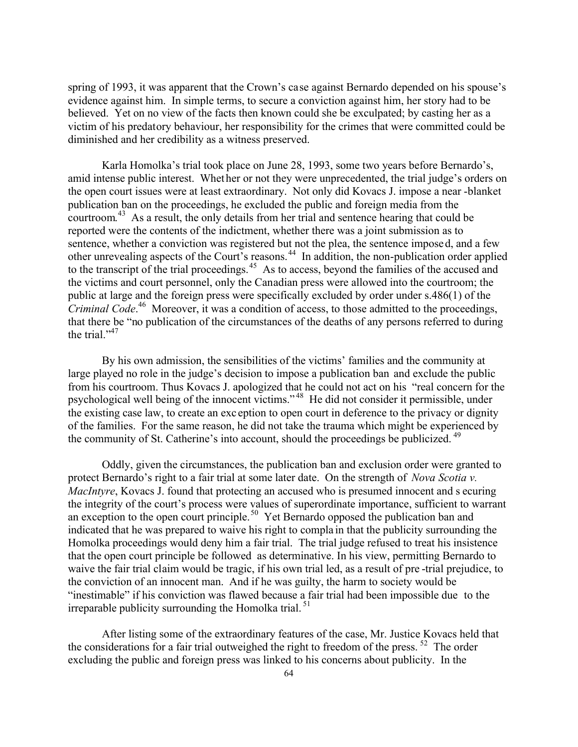spring of 1993, it was apparent that the Crown's case against Bernardo depended on his spouse's evidence against him. In simple terms, to secure a conviction against him, her story had to be believed. Yet on no view of the facts then known could she be exculpated; by casting her as a victim of his predatory behaviour, her responsibility for the crimes that were committed could be diminished and her credibility as a witness preserved.

Karla Homolka's trial took place on June 28, 1993, some two years before Bernardo's, amid intense public interest. Whet her or not they were unprecedented, the trial judge's orders on the open court issues were at least extraordinary. Not only did Kovacs J. impose a near -blanket publication ban on the proceedings, he excluded the public and foreign media from the courtroom.<sup>43</sup> As a result, the only details from her trial and sentence hearing that could be reported were the contents of the indictment, whether there was a joint submission as to sentence, whether a conviction was registered but not the plea, the sentence imposed, and a few other unrevealing aspects of the Court's reasons.<sup>44</sup> In addition, the non-publication order applied to the transcript of the trial proceedings.<sup>45</sup> As to access, beyond the families of the accused and the victims and court personnel, only the Canadian press were allowed into the courtroom; the public at large and the foreign press were specifically excluded by order under s.486(1) of the *Criminal Code*. <sup>46</sup> Moreover, it was a condition of access, to those admitted to the proceedings, that there be "no publication of the circumstances of the deaths of any persons referred to during the trial. $1^{,47}$ 

By his own admission, the sensibilities of the victims' families and the community at large played no role in the judge's decision to impose a publication ban and exclude the public from his courtroom. Thus Kovacs J. apologized that he could not act on his "real concern for the psychological well being of the innocent victims." <sup>48</sup> He did not consider it permissible, under the existing case law, to create an exc eption to open court in deference to the privacy or dignity of the families. For the same reason, he did not take the trauma which might be experienced by the community of St. Catherine's into account, should the proceedings be publicized.<sup>49</sup>

Oddly, given the circumstances, the publication ban and exclusion order were granted to protect Bernardo's right to a fair trial at some later date. On the strength of *Nova Scotia v. MacIntyre*, Kovacs J. found that protecting an accused who is presumed innocent and s ecuring the integrity of the court's process were values of superordinate importance, sufficient to warrant an exception to the open court principle.<sup>50</sup> Yet Bernardo opposed the publication ban and indicated that he was prepared to waive his right to compla in that the publicity surrounding the Homolka proceedings would deny him a fair trial. The trial judge refused to treat his insistence that the open court principle be followed as determinative. In his view, permitting Bernardo to waive the fair trial claim would be tragic, if his own trial led, as a result of pre -trial prejudice, to the conviction of an innocent man. And if he was guilty, the harm to society would be "inestimable" if his conviction was flawed because a fair trial had been impossible due to the irreparable publicity surrounding the Homolka trial. <sup>51</sup>

After listing some of the extraordinary features of the case, Mr. Justice Kovacs held that the considerations for a fair trial outweighed the right to freedom of the press.  $52$  The order excluding the public and foreign press was linked to his concerns about publicity. In the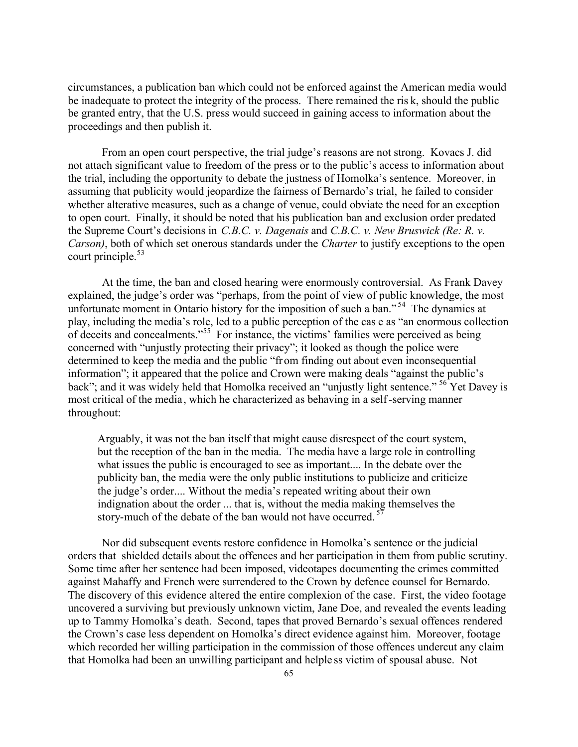circumstances, a publication ban which could not be enforced against the American media would be inadequate to protect the integrity of the process. There remained the ris k, should the public be granted entry, that the U.S. press would succeed in gaining access to information about the proceedings and then publish it.

From an open court perspective, the trial judge's reasons are not strong. Kovacs J. did not attach significant value to freedom of the press or to the public's access to information about the trial, including the opportunity to debate the justness of Homolka's sentence. Moreover, in assuming that publicity would jeopardize the fairness of Bernardo's trial, he failed to consider whether alterative measures, such as a change of venue, could obviate the need for an exception to open court. Finally, it should be noted that his publication ban and exclusion order predated the Supreme Court's decisions in *C.B.C. v. Dagenais* and *C.B.C. v. New Bruswick (Re: R. v. Carson)*, both of which set onerous standards under the *Charter* to justify exceptions to the open court principle. $53$ 

At the time, the ban and closed hearing were enormously controversial. As Frank Davey explained, the judge's order was "perhaps, from the point of view of public knowledge, the most unfortunate moment in Ontario history for the imposition of such a ban."<sup>54</sup> The dynamics at play, including the media's role, led to a public perception of the cas e as "an enormous collection of deceits and concealments."<sup>55</sup> For instance, the victims' families were perceived as being concerned with "unjustly protecting their privacy"; it looked as though the police were determined to keep the media and the public "from finding out about even inconsequential information"; it appeared that the police and Crown were making deals "against the public's back"; and it was widely held that Homolka received an "unjustly light sentence." <sup>56</sup> Yet Davey is most critical of the media, which he characterized as behaving in a self-serving manner throughout:

Arguably, it was not the ban itself that might cause disrespect of the court system, but the reception of the ban in the media. The media have a large role in controlling what issues the public is encouraged to see as important.... In the debate over the publicity ban, the media were the only public institutions to publicize and criticize the judge's order.... Without the media's repeated writing about their own indignation about the order ... that is, without the media making themselves the story-much of the debate of the ban would not have occurred.<sup>57</sup>

Nor did subsequent events restore confidence in Homolka's sentence or the judicial orders that shielded details about the offences and her participation in them from public scrutiny. Some time after her sentence had been imposed, videotapes documenting the crimes committed against Mahaffy and French were surrendered to the Crown by defence counsel for Bernardo. The discovery of this evidence altered the entire complexion of the case. First, the video footage uncovered a surviving but previously unknown victim, Jane Doe, and revealed the events leading up to Tammy Homolka's death. Second, tapes that proved Bernardo's sexual offences rendered the Crown's case less dependent on Homolka's direct evidence against him. Moreover, footage which recorded her willing participation in the commission of those offences undercut any claim that Homolka had been an unwilling participant and helple ss victim of spousal abuse. Not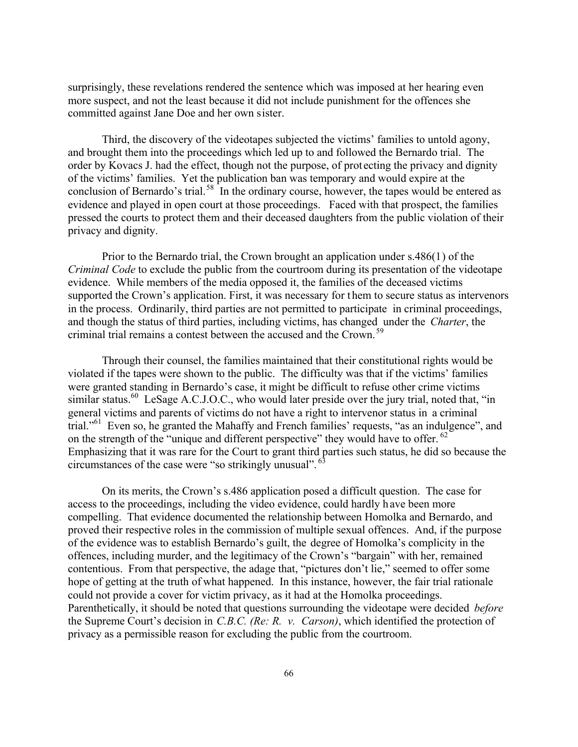surprisingly, these revelations rendered the sentence which was imposed at her hearing even more suspect, and not the least because it did not include punishment for the offences she committed against Jane Doe and her own sister.

Third, the discovery of the videotapes subjected the victims' families to untold agony, and brought them into the proceedings which led up to and followed the Bernardo trial. The order by Kovacs J. had the effect, though not the purpose, of prot ecting the privacy and dignity of the victims' families. Yet the publication ban was temporary and would expire at the conclusion of Bernardo's trial.<sup>58</sup> In the ordinary course, however, the tapes would be entered as evidence and played in open court at those proceedings. Faced with that prospect, the families pressed the courts to protect them and their deceased daughters from the public violation of their privacy and dignity.

Prior to the Bernardo trial, the Crown brought an application under s.486(1) of the *Criminal Code* to exclude the public from the courtroom during its presentation of the videotape evidence. While members of the media opposed it, the families of the deceased victims supported the Crown's application. First, it was necessary for t hem to secure status as intervenors in the process. Ordinarily, third parties are not permitted to participate in criminal proceedings, and though the status of third parties, including victims, has changed under the *Charter*, the criminal trial remains a contest between the accused and the Crown.<sup>59</sup>

Through their counsel, the families maintained that their constitutional rights would be violated if the tapes were shown to the public. The difficulty was that if the victims' families were granted standing in Bernardo's case, it might be difficult to refuse other crime victims similar status.<sup>60</sup> LeSage A.C.J.O.C., who would later preside over the jury trial, noted that, "in general victims and parents of victims do not have a right to intervenor status in a criminal trial."<sup>61</sup> Even so, he granted the Mahaffy and French families' requests, "as an indulgence", and on the strength of the "unique and different perspective" they would have to offer.  $62$ Emphasizing that it was rare for the Court to grant third parties such status, he did so because the circumstances of the case were "so strikingly unusual". <sup>63</sup>

On its merits, the Crown's s.486 application posed a difficult question. The case for access to the proceedings, including the video evidence, could hardly have been more compelling. That evidence documented the relationship between Homolka and Bernardo, and proved their respective roles in the commission of multiple sexual offences. And, if the purpose of the evidence was to establish Bernardo's guilt, the degree of Homolka's complicity in the offences, including murder, and the legitimacy of the Crown's "bargain" with her, remained contentious. From that perspective, the adage that, "pictures don't lie," seemed to offer some hope of getting at the truth of what happened. In this instance, however, the fair trial rationale could not provide a cover for victim privacy, as it had at the Homolka proceedings. Parenthetically, it should be noted that questions surrounding the videotape were decided *before* the Supreme Court's decision in *C.B.C. (Re: R. v. Carson)*, which identified the protection of privacy as a permissible reason for excluding the public from the courtroom.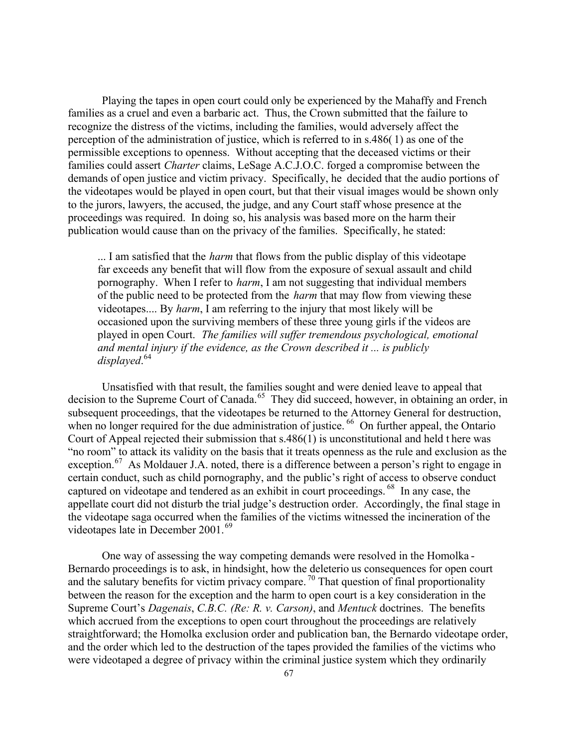Playing the tapes in open court could only be experienced by the Mahaffy and French families as a cruel and even a barbaric act. Thus, the Crown submitted that the failure to recognize the distress of the victims, including the families, would adversely affect the perception of the administration of justice, which is referred to in s.486( 1) as one of the permissible exceptions to openness. Without accepting that the deceased victims or their families could assert *Charter* claims, LeSage A.C.J.O.C. forged a compromise between the demands of open justice and victim privacy. Specifically, he decided that the audio portions of the videotapes would be played in open court, but that their visual images would be shown only to the jurors, lawyers, the accused, the judge, and any Court staff whose presence at the proceedings was required. In doing so, his analysis was based more on the harm their publication would cause than on the privacy of the families. Specifically, he stated:

... I am satisfied that the *harm* that flows from the public display of this videotape far exceeds any benefit that will flow from the exposure of sexual assault and child pornography. When I refer to *harm*, I am not suggesting that individual members of the public need to be protected from the *harm* that may flow from viewing these videotapes.... By *harm*, I am referring to the injury that most likely will be occasioned upon the surviving members of these three young girls if the videos are played in open Court. *The families will suffer tremendous psychological, emotional and mental injury if the evidence, as the Crown described it ... is publicly displayed*. 64

Unsatisfied with that result, the families sought and were denied leave to appeal that decision to the Supreme Court of Canada.<sup>65</sup> They did succeed, however, in obtaining an order, in subsequent proceedings, that the videotapes be returned to the Attorney General for destruction, when no longer required for the due administration of justice. <sup>66</sup> On further appeal, the Ontario Court of Appeal rejected their submission that s.486(1) is unconstitutional and held t here was "no room" to attack its validity on the basis that it treats openness as the rule and exclusion as the exception.<sup>67</sup> As Moldauer J.A. noted, there is a difference between a person's right to engage in certain conduct, such as child pornography, and the public's right of access to observe conduct captured on videotape and tendered as an exhibit in court proceedings. <sup>68</sup> In any case, the appellate court did not disturb the trial judge's destruction order. Accordingly, the final stage in the videotape saga occurred when the families of the victims witnessed the incineration of the videotapes late in December 2001.<sup>69</sup>

One way of assessing the way competing demands were resolved in the Homolka - Bernardo proceedings is to ask, in hindsight, how the deleterio us consequences for open court and the salutary benefits for victim privacy compare.<sup>70</sup> That question of final proportionality between the reason for the exception and the harm to open court is a key consideration in the Supreme Court's *Dagenais*, *C.B.C. (Re: R. v. Carson)*, and *Mentuck* doctrines. The benefits which accrued from the exceptions to open court throughout the proceedings are relatively straightforward; the Homolka exclusion order and publication ban, the Bernardo videotape order, and the order which led to the destruction of the tapes provided the families of the victims who were videotaped a degree of privacy within the criminal justice system which they ordinarily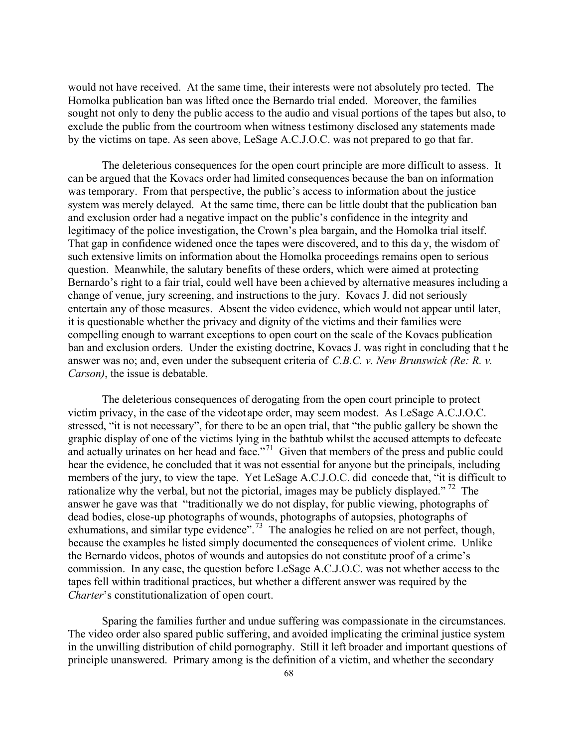would not have received. At the same time, their interests were not absolutely pro tected. The Homolka publication ban was lifted once the Bernardo trial ended. Moreover, the families sought not only to deny the public access to the audio and visual portions of the tapes but also, to exclude the public from the courtroom when witness t estimony disclosed any statements made by the victims on tape. As seen above, LeSage A.C.J.O.C. was not prepared to go that far.

The deleterious consequences for the open court principle are more difficult to assess. It can be argued that the Kovacs order had limited consequences because the ban on information was temporary. From that perspective, the public's access to information about the justice system was merely delayed. At the same time, there can be little doubt that the publication ban and exclusion order had a negative impact on the public's confidence in the integrity and legitimacy of the police investigation, the Crown's plea bargain, and the Homolka trial itself. That gap in confidence widened once the tapes were discovered, and to this da y, the wisdom of such extensive limits on information about the Homolka proceedings remains open to serious question. Meanwhile, the salutary benefits of these orders, which were aimed at protecting Bernardo's right to a fair trial, could well have been a chieved by alternative measures including a change of venue, jury screening, and instructions to the jury. Kovacs J. did not seriously entertain any of those measures. Absent the video evidence, which would not appear until later, it is questionable whether the privacy and dignity of the victims and their families were compelling enough to warrant exceptions to open court on the scale of the Kovacs publication ban and exclusion orders. Under the existing doctrine, Kovacs J. was right in concluding that t he answer was no; and, even under the subsequent criteria of *C.B.C. v. New Brunswick (Re: R. v. Carson)*, the issue is debatable.

The deleterious consequences of derogating from the open court principle to protect victim privacy, in the case of the videotape order, may seem modest. As LeSage A.C.J.O.C. stressed, "it is not necessary", for there to be an open trial, that "the public gallery be shown the graphic display of one of the victims lying in the bathtub whilst the accused attempts to defecate and actually urinates on her head and face."<sup>71</sup> Given that members of the press and public could hear the evidence, he concluded that it was not essential for anyone but the principals, including members of the jury, to view the tape. Yet LeSage A.C.J.O.C. did concede that, "it is difficult to rationalize why the verbal, but not the pictorial, images may be publicly displayed."<sup>72</sup> The answer he gave was that "traditionally we do not display, for public viewing, photographs of dead bodies, close-up photographs of wounds, photographs of autopsies, photographs of exhumations, and similar type evidence".<sup>73</sup> The analogies he relied on are not perfect, though, because the examples he listed simply documented the consequences of violent crime. Unlike the Bernardo videos, photos of wounds and autopsies do not constitute proof of a crime's commission. In any case, the question before LeSage A.C.J.O.C. was not whether access to the tapes fell within traditional practices, but whether a different answer was required by the *Charter*'s constitutionalization of open court.

Sparing the families further and undue suffering was compassionate in the circumstances. The video order also spared public suffering, and avoided implicating the criminal justice system in the unwilling distribution of child pornography. Still it left broader and important questions of principle unanswered. Primary among is the definition of a victim, and whether the secondary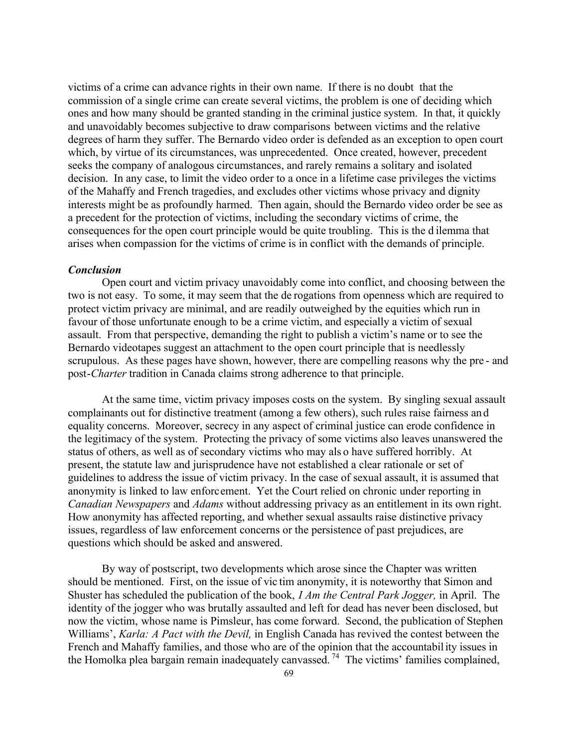victims of a crime can advance rights in their own name. If there is no doubt that the commission of a single crime can create several victims, the problem is one of deciding which ones and how many should be granted standing in the criminal justice system. In that, it quickly and unavoidably becomes subjective to draw comparisons between victims and the relative degrees of harm they suffer. The Bernardo video order is defended as an exception to open court which, by virtue of its circumstances, was unprecedented. Once created, however, precedent seeks the company of analogous circumstances, and rarely remains a solitary and isolated decision. In any case, to limit the video order to a once in a lifetime case privileges the victims of the Mahaffy and French tragedies, and excludes other victims whose privacy and dignity interests might be as profoundly harmed. Then again, should the Bernardo video order be see as a precedent for the protection of victims, including the secondary victims of crime, the consequences for the open court principle would be quite troubling. This is the d ilemma that arises when compassion for the victims of crime is in conflict with the demands of principle.

#### *Conclusion*

Open court and victim privacy unavoidably come into conflict, and choosing between the two is not easy. To some, it may seem that the de rogations from openness which are required to protect victim privacy are minimal, and are readily outweighed by the equities which run in favour of those unfortunate enough to be a crime victim, and especially a victim of sexual assault. From that perspective, demanding the right to publish a victim's name or to see the Bernardo videotapes suggest an attachment to the open court principle that is needlessly scrupulous. As these pages have shown, however, there are compelling reasons why the pre - and post-*Charter* tradition in Canada claims strong adherence to that principle.

At the same time, victim privacy imposes costs on the system. By singling sexual assault complainants out for distinctive treatment (among a few others), such rules raise fairness an d equality concerns. Moreover, secrecy in any aspect of criminal justice can erode confidence in the legitimacy of the system. Protecting the privacy of some victims also leaves unanswered the status of others, as well as of secondary victims who may als o have suffered horribly. At present, the statute law and jurisprudence have not established a clear rationale or set of guidelines to address the issue of victim privacy. In the case of sexual assault, it is assumed that anonymity is linked to law enforcement. Yet the Court relied on chronic under reporting in *Canadian Newspapers* and *Adams* without addressing privacy as an entitlement in its own right. How anonymity has affected reporting, and whether sexual assaults raise distinctive privacy issues, regardless of law enforcement concerns or the persistence of past prejudices, are questions which should be asked and answered.

By way of postscript, two developments which arose since the Chapter was written should be mentioned. First, on the issue of vic tim anonymity, it is noteworthy that Simon and Shuster has scheduled the publication of the book, *I Am the Central Park Jogger,* in April. The identity of the jogger who was brutally assaulted and left for dead has never been disclosed, but now the victim, whose name is Pimsleur, has come forward. Second, the publication of Stephen Williams', *Karla: A Pact with the Devil,* in English Canada has revived the contest between the French and Mahaffy families, and those who are of the opinion that the accountability issues in the Homolka plea bargain remain inadequately canvassed. <sup>74</sup> The victims' families complained,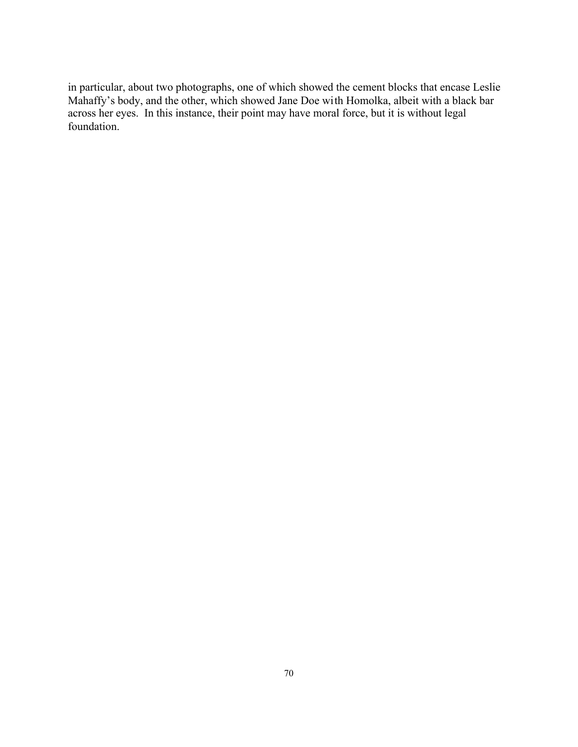in particular, about two photographs, one of which showed the cement blocks that encase Leslie Mahaffy's body, and the other, which showed Jane Doe with Homolka, albeit with a black bar across her eyes. In this instance, their point may have moral force, but it is without legal foundation.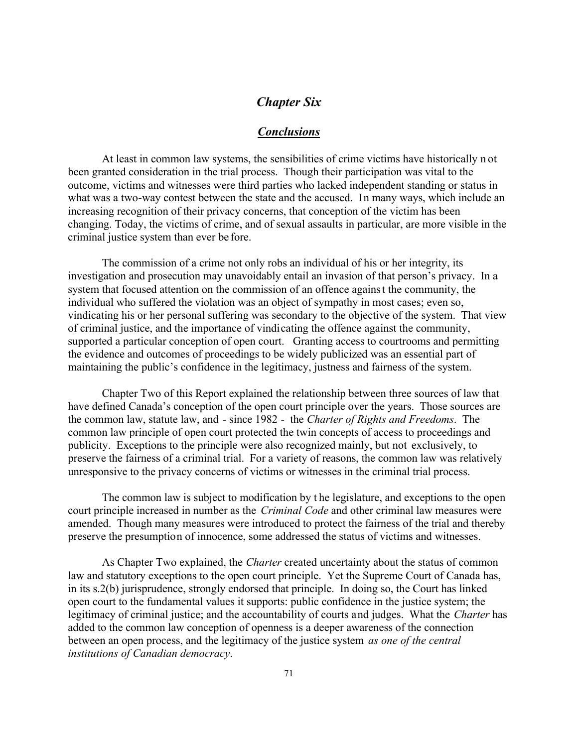# *Chapter Six*

#### *Conclusions*

At least in common law systems, the sensibilities of crime victims have historically n ot been granted consideration in the trial process. Though their participation was vital to the outcome, victims and witnesses were third parties who lacked independent standing or status in what was a two-way contest between the state and the accused. In many ways, which include an increasing recognition of their privacy concerns, that conception of the victim has been changing. Today, the victims of crime, and of sexual assaults in particular, are more visible in the criminal justice system than ever be fore.

The commission of a crime not only robs an individual of his or her integrity, its investigation and prosecution may unavoidably entail an invasion of that person's privacy. In a system that focused attention on the commission of an offence against the community, the individual who suffered the violation was an object of sympathy in most cases; even so, vindicating his or her personal suffering was secondary to the objective of the system. That view of criminal justice, and the importance of vindicating the offence against the community, supported a particular conception of open court. Granting access to courtrooms and permitting the evidence and outcomes of proceedings to be widely publicized was an essential part of maintaining the public's confidence in the legitimacy, justness and fairness of the system.

Chapter Two of this Report explained the relationship between three sources of law that have defined Canada's conception of the open court principle over the years. Those sources are the common law, statute law, and - since 1982 - the *Charter of Rights and Freedoms*. The common law principle of open court protected the twin concepts of access to proceedings and publicity. Exceptions to the principle were also recognized mainly, but not exclusively, to preserve the fairness of a criminal trial. For a variety of reasons, the common law was relatively unresponsive to the privacy concerns of victims or witnesses in the criminal trial process.

The common law is subject to modification by t he legislature, and exceptions to the open court principle increased in number as the *Criminal Code* and other criminal law measures were amended. Though many measures were introduced to protect the fairness of the trial and thereby preserve the presumption of innocence, some addressed the status of victims and witnesses.

As Chapter Two explained, the *Charter* created uncertainty about the status of common law and statutory exceptions to the open court principle. Yet the Supreme Court of Canada has, in its s.2(b) jurisprudence, strongly endorsed that principle. In doing so, the Court has linked open court to the fundamental values it supports: public confidence in the justice system; the legitimacy of criminal justice; and the accountability of courts and judges. What the *Charter* has added to the common law conception of openness is a deeper awareness of the connection between an open process, and the legitimacy of the justice system *as one of the central institutions of Canadian democracy*.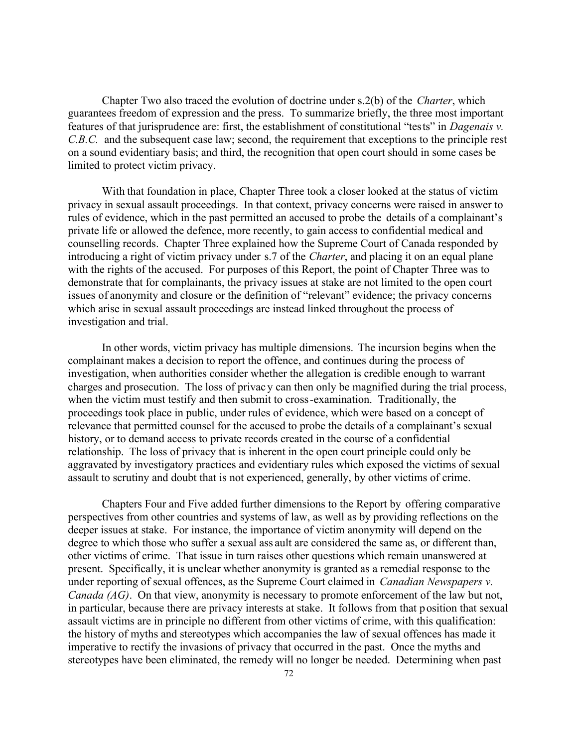Chapter Two also traced the evolution of doctrine under s.2(b) of the *Charter*, which guarantees freedom of expression and the press. To summarize briefly, the three most important features of that jurisprudence are: first, the establishment of constitutional "tests" in *Dagenais v. C.B.C.* and the subsequent case law; second, the requirement that exceptions to the principle rest on a sound evidentiary basis; and third, the recognition that open court should in some cases be limited to protect victim privacy.

With that foundation in place, Chapter Three took a closer looked at the status of victim privacy in sexual assault proceedings. In that context, privacy concerns were raised in answer to rules of evidence, which in the past permitted an accused to probe the details of a complainant's private life or allowed the defence, more recently, to gain access to confidential medical and counselling records. Chapter Three explained how the Supreme Court of Canada responded by introducing a right of victim privacy under s.7 of the *Charter*, and placing it on an equal plane with the rights of the accused. For purposes of this Report, the point of Chapter Three was to demonstrate that for complainants, the privacy issues at stake are not limited to the open court issues of anonymity and closure or the definition of "relevant" evidence; the privacy concerns which arise in sexual assault proceedings are instead linked throughout the process of investigation and trial.

In other words, victim privacy has multiple dimensions. The incursion begins when the complainant makes a decision to report the offence, and continues during the process of investigation, when authorities consider whether the allegation is credible enough to warrant charges and prosecution. The loss of privac y can then only be magnified during the trial process, when the victim must testify and then submit to cross-examination. Traditionally, the proceedings took place in public, under rules of evidence, which were based on a concept of relevance that permitted counsel for the accused to probe the details of a complainant's sexual history, or to demand access to private records created in the course of a confidential relationship. The loss of privacy that is inherent in the open court principle could only be aggravated by investigatory practices and evidentiary rules which exposed the victims of sexual assault to scrutiny and doubt that is not experienced, generally, by other victims of crime.

Chapters Four and Five added further dimensions to the Report by offering comparative perspectives from other countries and systems of law, as well as by providing reflections on the deeper issues at stake. For instance, the importance of victim anonymity will depend on the degree to which those who suffer a sexual ass ault are considered the same as, or different than, other victims of crime. That issue in turn raises other questions which remain unanswered at present. Specifically, it is unclear whether anonymity is granted as a remedial response to the under reporting of sexual offences, as the Supreme Court claimed in *Canadian Newspapers v. Canada (AG)*. On that view, anonymity is necessary to promote enforcement of the law but not, in particular, because there are privacy interests at stake. It follows from that position that sexual assault victims are in principle no different from other victims of crime, with this qualification: the history of myths and stereotypes which accompanies the law of sexual offences has made it imperative to rectify the invasions of privacy that occurred in the past. Once the myths and stereotypes have been eliminated, the remedy will no longer be needed. Determining when past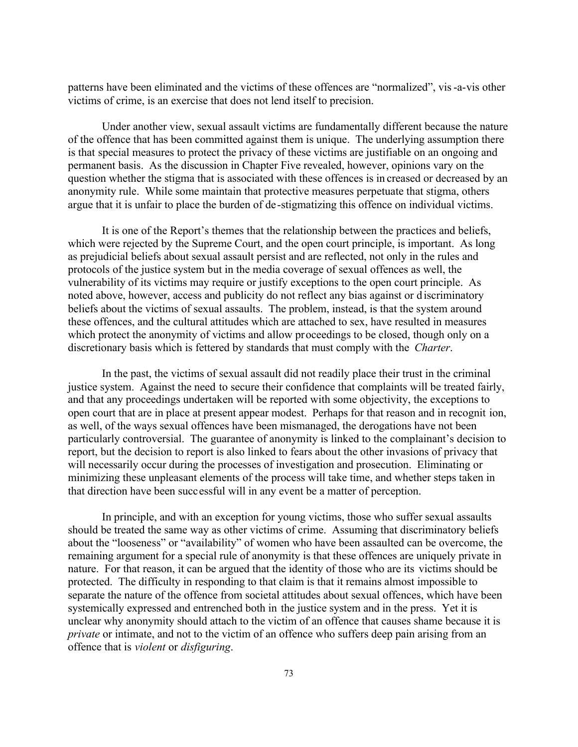patterns have been eliminated and the victims of these offences are "normalized", vis-a-vis other victims of crime, is an exercise that does not lend itself to precision.

Under another view, sexual assault victims are fundamentally different because the nature of the offence that has been committed against them is unique. The underlying assumption there is that special measures to protect the privacy of these victims are justifiable on an ongoing and permanent basis. As the discussion in Chapter Five revealed, however, opinions vary on the question whether the stigma that is associated with these offences is in creased or decreased by an anonymity rule. While some maintain that protective measures perpetuate that stigma, others argue that it is unfair to place the burden of de-stigmatizing this offence on individual victims.

It is one of the Report's themes that the relationship between the practices and beliefs, which were rejected by the Supreme Court, and the open court principle, is important. As long as prejudicial beliefs about sexual assault persist and are reflected, not only in the rules and protocols of the justice system but in the media coverage of sexual offences as well, the vulnerability of its victims may require or justify exceptions to the open court principle. As noted above, however, access and publicity do not reflect any bias against or d iscriminatory beliefs about the victims of sexual assaults. The problem, instead, is that the system around these offences, and the cultural attitudes which are attached to sex, have resulted in measures which protect the anonymity of victims and allow proceedings to be closed, though only on a discretionary basis which is fettered by standards that must comply with the *Charter*.

In the past, the victims of sexual assault did not readily place their trust in the criminal justice system. Against the need to secure their confidence that complaints will be treated fairly, and that any proceedings undertaken will be reported with some objectivity, the exceptions to open court that are in place at present appear modest. Perhaps for that reason and in recognit ion, as well, of the ways sexual offences have been mismanaged, the derogations have not been particularly controversial. The guarantee of anonymity is linked to the complainant's decision to report, but the decision to report is also linked to fears about the other invasions of privacy that will necessarily occur during the processes of investigation and prosecution. Eliminating or minimizing these unpleasant elements of the process will take time, and whether steps taken in that direction have been successful will in any event be a matter of perception.

In principle, and with an exception for young victims, those who suffer sexual assaults should be treated the same way as other victims of crime. Assuming that discriminatory beliefs about the "looseness" or "availability" of women who have been assaulted can be overcome, the remaining argument for a special rule of anonymity is that these offences are uniquely private in nature. For that reason, it can be argued that the identity of those who are its victims should be protected. The difficulty in responding to that claim is that it remains almost impossible to separate the nature of the offence from societal attitudes about sexual offences, which have been systemically expressed and entrenched both in the justice system and in the press. Yet it is unclear why anonymity should attach to the victim of an offence that causes shame because it is *private* or intimate, and not to the victim of an offence who suffers deep pain arising from an offence that is *violent* or *disfiguring*.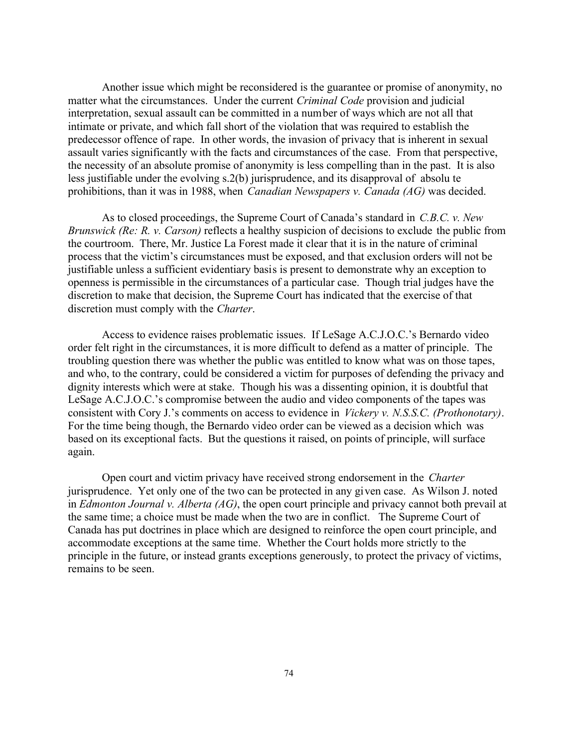Another issue which might be reconsidered is the guarantee or promise of anonymity, no matter what the circumstances. Under the current *Criminal Code* provision and judicial interpretation, sexual assault can be committed in a number of ways which are not all that intimate or private, and which fall short of the violation that was required to establish the predecessor offence of rape. In other words, the invasion of privacy that is inherent in sexual assault varies significantly with the facts and circumstances of the case. From that perspective, the necessity of an absolute promise of anonymity is less compelling than in the past. It is also less justifiable under the evolving s.2(b) jurisprudence, and its disapproval of absolu te prohibitions, than it was in 1988, when *Canadian Newspapers v. Canada (AG)* was decided.

As to closed proceedings, the Supreme Court of Canada's standard in *C.B.C. v. New Brunswick (Re: R. v. Carson)* reflects a healthy suspicion of decisions to exclude the public from the courtroom. There, Mr. Justice La Forest made it clear that it is in the nature of criminal process that the victim's circumstances must be exposed, and that exclusion orders will not be justifiable unless a sufficient evidentiary basis is present to demonstrate why an exception to openness is permissible in the circumstances of a particular case. Though trial judges have the discretion to make that decision, the Supreme Court has indicated that the exercise of that discretion must comply with the *Charter*.

Access to evidence raises problematic issues. If LeSage A.C.J.O.C.'s Bernardo video order felt right in the circumstances, it is more difficult to defend as a matter of principle. The troubling question there was whether the public was entitled to know what was on those tapes, and who, to the contrary, could be considered a victim for purposes of defending the privacy and dignity interests which were at stake. Though his was a dissenting opinion, it is doubtful that LeSage A.C.J.O.C.'s compromise between the audio and video components of the tapes was consistent with Cory J.'s comments on access to evidence in *Vickery v. N.S.S.C. (Prothonotary)*. For the time being though, the Bernardo video order can be viewed as a decision which was based on its exceptional facts. But the questions it raised, on points of principle, will surface again.

Open court and victim privacy have received strong endorsement in the *Charter* jurisprudence. Yet only one of the two can be protected in any given case. As Wilson J. noted in *Edmonton Journal v. Alberta (AG)*, the open court principle and privacy cannot both prevail at the same time; a choice must be made when the two are in conflict. The Supreme Court of Canada has put doctrines in place which are designed to reinforce the open court principle, and accommodate exceptions at the same time. Whether the Court holds more strictly to the principle in the future, or instead grants exceptions generously, to protect the privacy of victims, remains to be seen.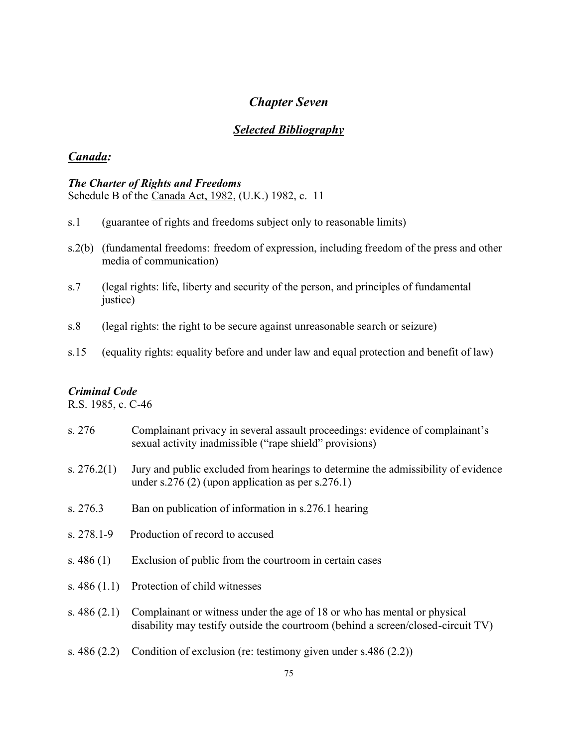# *Chapter Seven*

# *Selected Bibliography*

# *Canada:*

# *The Charter of Rights and Freedoms*

Schedule B of the Canada Act, 1982, (U.K.) 1982, c. 11

- s.1 (guarantee of rights and freedoms subject only to reasonable limits)
- s.2(b) (fundamental freedoms: freedom of expression, including freedom of the press and other media of communication)
- s.7 (legal rights: life, liberty and security of the person, and principles of fundamental justice)
- s.8 (legal rights: the right to be secure against unreasonable search or seizure)
- s.15 (equality rights: equality before and under law and equal protection and benefit of law)

# *Criminal Code*

R.S. 1985, c. C-46

| s. 276         | Complainant privacy in several assault proceedings: evidence of complainant's<br>sexual activity inadmissible ("rape shield" provisions)                     |
|----------------|--------------------------------------------------------------------------------------------------------------------------------------------------------------|
| s. $276.2(1)$  | Jury and public excluded from hearings to determine the admissibility of evidence<br>under s.276 (2) (upon application as per s.276.1)                       |
| s. 276.3       | Ban on publication of information in s.276.1 hearing                                                                                                         |
| $s. 278.1 - 9$ | Production of record to accused                                                                                                                              |
| s. $486(1)$    | Exclusion of public from the courtroom in certain cases                                                                                                      |
| s. $486(1.1)$  | Protection of child witnesses                                                                                                                                |
| s. $486(2.1)$  | Complainant or witness under the age of 18 or who has mental or physical<br>disability may testify outside the courtroom (behind a screen/closed-circuit TV) |
| s. $486(2.2)$  | Condition of exclusion (re: testimony given under $s.486(2.2)$ )                                                                                             |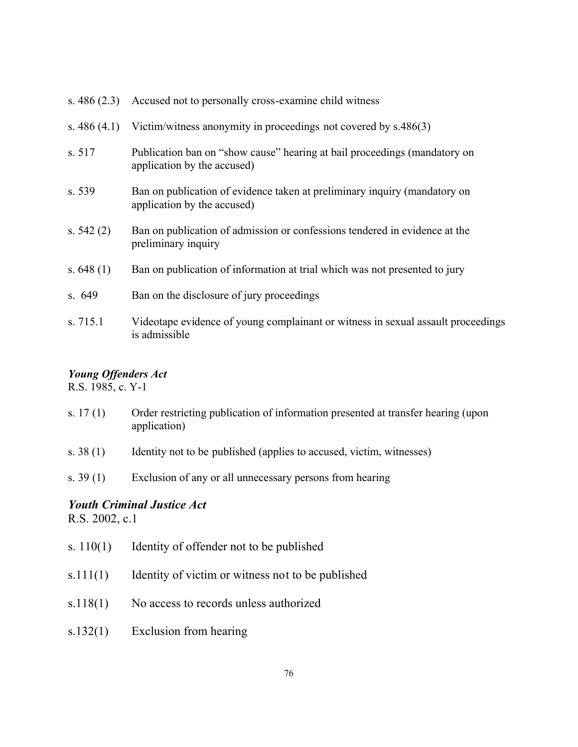| s. $486(2.3)$ | Accused not to personally cross-examine child witness                                                    |
|---------------|----------------------------------------------------------------------------------------------------------|
| s. $486(4.1)$ | Victim/witness anonymity in proceedings not covered by s.486(3)                                          |
| s. 517        | Publication ban on "show cause" hearing at bail proceedings (mandatory on<br>application by the accused) |
| s. 539        | Ban on publication of evidence taken at preliminary inquiry (mandatory on<br>application by the accused) |
| s. $542(2)$   | Ban on publication of admission or confessions tendered in evidence at the<br>preliminary inquiry        |
| s. $648(1)$   | Ban on publication of information at trial which was not presented to jury                               |
| s.649         | Ban on the disclosure of jury proceedings                                                                |
| s. 715.1      | Videotape evidence of young complainant or witness in sexual assault proceedings<br>is admissible        |

## *Young Offenders Act*

R.S. 1985, c. Y-1

- s. 17(1) Order restricting publication of information presented at transfer hearing (upon application)
- s. 38 (1) Identity not to be published (applies to accused, victim, witnesses)
- s. 39 (1) Exclusion of any or all unnecessary persons from hearing

# *Youth Criminal Justice Act*

R.S. 2002, c.1

- s. 110(1) Identity of offender not to be published
- s.111(1) Identity of victim or witness not to be published
- s.118(1) No access to records unless authorized
- s.132(1) Exclusion from hearing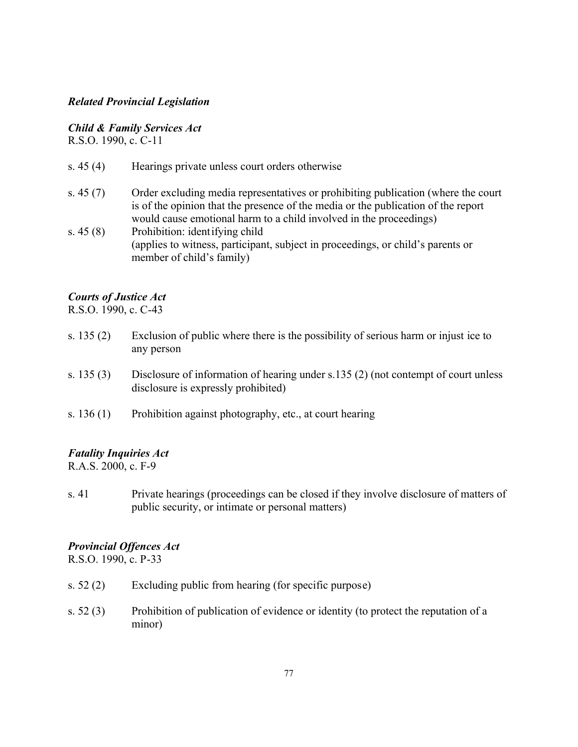# *Related Provincial Legislation*

## *Child & Family Services Act*

R.S.O. 1990, c. C-11

- s. 45 (4) Hearings private unless court orders otherwise
- s. 45 (7) Order excluding media representatives or prohibiting publication (where the court is of the opinion that the presence of the media or the publication of the report would cause emotional harm to a child involved in the proceedings)
- s. 45 (8) Prohibition: identifying child (applies to witness, participant, subject in proceedings, or child's parents or member of child's family)

# *Courts of Justice Act*

R.S.O. 1990, c. C-43

- s. 135 (2) Exclusion of public where there is the possibility of serious harm or injust ice to any person
- s. 135 (3) Disclosure of information of hearing under s.135 (2) (not contempt of court unless disclosure is expressly prohibited)
- s.  $136(1)$  Prohibition against photography, etc., at court hearing

## *Fatality Inquiries Act*

R.A.S. 2000, c. F-9

s. 41 Private hearings (proceedings can be closed if they involve disclosure of matters of public security, or intimate or personal matters)

## *Provincial Offences Act*

R.S.O. 1990, c. P-33

- s. 52 (2) Excluding public from hearing (for specific purpose)
- s. 52 (3) Prohibition of publication of evidence or identity (to protect the reputation of a minor)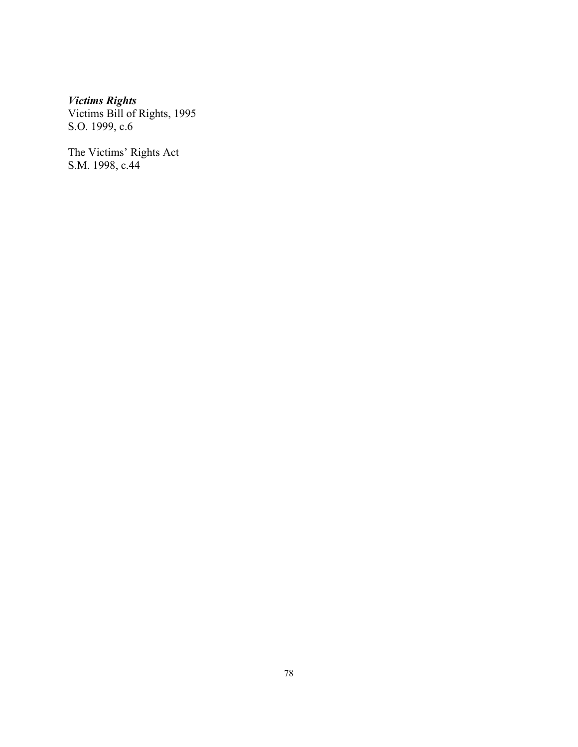#### *Victims Rights*

Victims Bill of Rights, 1995 S.O. 1999, c.6

The Victims' Rights Act S.M. 1998, c.44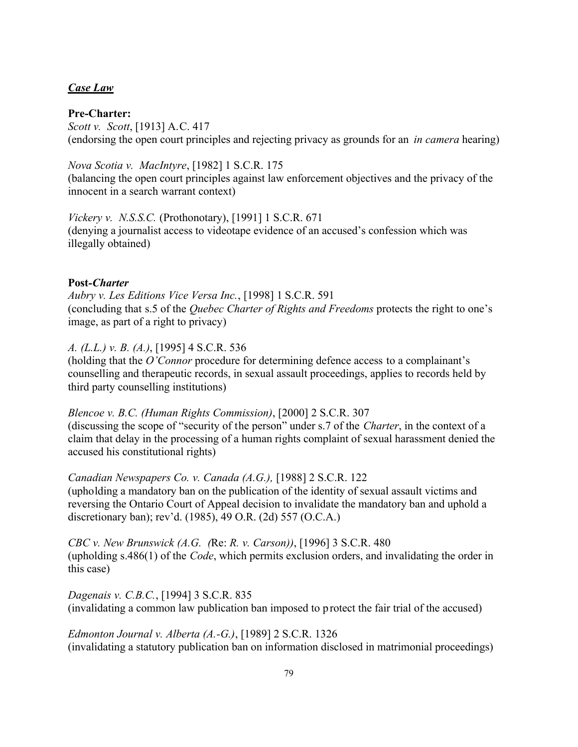#### *Case Law*

#### **Pre-Charter:**

*Scott v. Scott*, [1913] A.C. 417 (endorsing the open court principles and rejecting privacy as grounds for an *in camera* hearing)

*Nova Scotia v. MacIntyre*, [1982] 1 S.C.R. 175 (balancing the open court principles against law enforcement objectives and the privacy of the innocent in a search warrant context)

*Vickery v. N.S.S.C.* (Prothonotary), [1991] 1 S.C.R. 671 (denying a journalist access to videotape evidence of an accused's confession which was illegally obtained)

#### **Post***-Charter*

*Aubry v. Les Editions Vice Versa Inc.*, [1998] 1 S.C.R. 591 (concluding that s.5 of the *Quebec Charter of Rights and Freedoms* protects the right to one's image, as part of a right to privacy)

## *A. (L.L.) v. B. (A.)*, [1995] 4 S.C.R. 536

(holding that the *O'Connor* procedure for determining defence access to a complainant's counselling and therapeutic records, in sexual assault proceedings, applies to records held by third party counselling institutions)

*Blencoe v. B.C. (Human Rights Commission)*, [2000] 2 S.C.R. 307 (discussing the scope of "security of the person" under s.7 of the *Charter*, in the context of a claim that delay in the processing of a human rights complaint of sexual harassment denied the accused his constitutional rights)

*Canadian Newspapers Co. v. Canada (A.G.),* [1988] 2 S.C.R. 122 (upholding a mandatory ban on the publication of the identity of sexual assault victims and reversing the Ontario Court of Appeal decision to invalidate the mandatory ban and uphold a discretionary ban); rev'd. (1985), 49 O.R. (2d) 557 (O.C.A.)

*CBC v. New Brunswick (A.G. (*Re: *R. v. Carson))*, [1996] 3 S.C.R. 480 (upholding s.486(1) of the *Code*, which permits exclusion orders, and invalidating the order in this case)

*Dagenais v. C.B.C.*, [1994] 3 S.C.R. 835 (invalidating a common law publication ban imposed to protect the fair trial of the accused)

*Edmonton Journal v. Alberta (A.-G.)*, [1989] 2 S.C.R. 1326 (invalidating a statutory publication ban on information disclosed in matrimonial proceedings)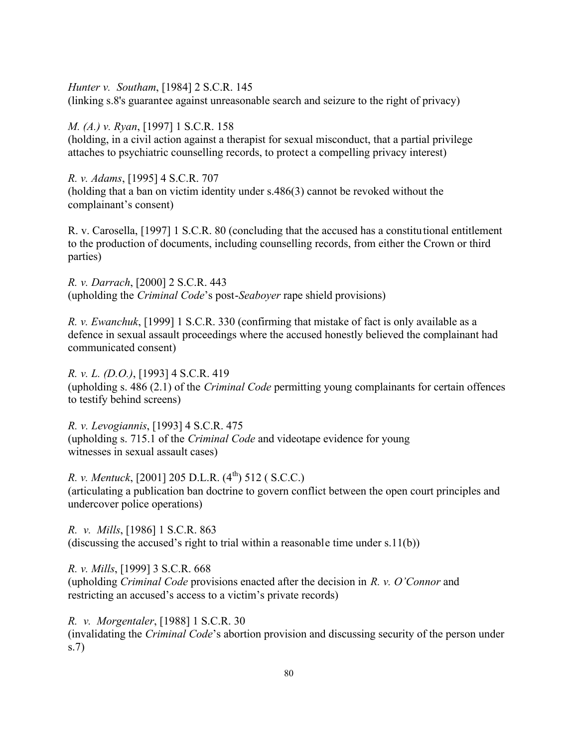*Hunter v. Southam*, [1984] 2 S.C.R. 145 (linking s.8's guarantee against unreasonable search and seizure to the right of privacy)

#### *M. (A.) v. Ryan*, [1997] 1 S.C.R. 158

(holding, in a civil action against a therapist for sexual misconduct, that a partial privilege attaches to psychiatric counselling records, to protect a compelling privacy interest)

*R. v. Adams*, [1995] 4 S.C.R. 707 (holding that a ban on victim identity under s.486(3) cannot be revoked without the complainant's consent)

R. v. Carosella, [1997] 1 S.C.R. 80 (concluding that the accused has a constitutional entitlement to the production of documents, including counselling records, from either the Crown or third parties)

*R. v. Darrach*, [2000] 2 S.C.R. 443 (upholding the *Criminal Code*'s post-*Seaboyer* rape shield provisions)

*R. v. Ewanchuk*, [1999] 1 S.C.R. 330 (confirming that mistake of fact is only available as a defence in sexual assault proceedings where the accused honestly believed the complainant had communicated consent)

*R. v. L. (D.O.)*, [1993] 4 S.C.R. 419 (upholding s. 486 (2.1) of the *Criminal Code* permitting young complainants for certain offences to testify behind screens)

*R. v. Levogiannis*, [1993] 4 S.C.R. 475 (upholding s. 715.1 of the *Criminal Code* and videotape evidence for young witnesses in sexual assault cases)

*R. v. Mentuck*, [2001] 205 D.L.R. (4<sup>th</sup>) 512 ( S.C.C.) (articulating a publication ban doctrine to govern conflict between the open court principles and undercover police operations)

*R. v. Mills*, [1986] 1 S.C.R. 863 (discussing the accused's right to trial within a reasonable time under s.11(b))

*R. v. Mills*, [1999] 3 S.C.R. 668 (upholding *Criminal Code* provisions enacted after the decision in *R. v. O'Connor* and restricting an accused's access to a victim's private records)

*R. v. Morgentaler*, [1988] 1 S.C.R. 30 (invalidating the *Criminal Code*'s abortion provision and discussing security of the person under s.7)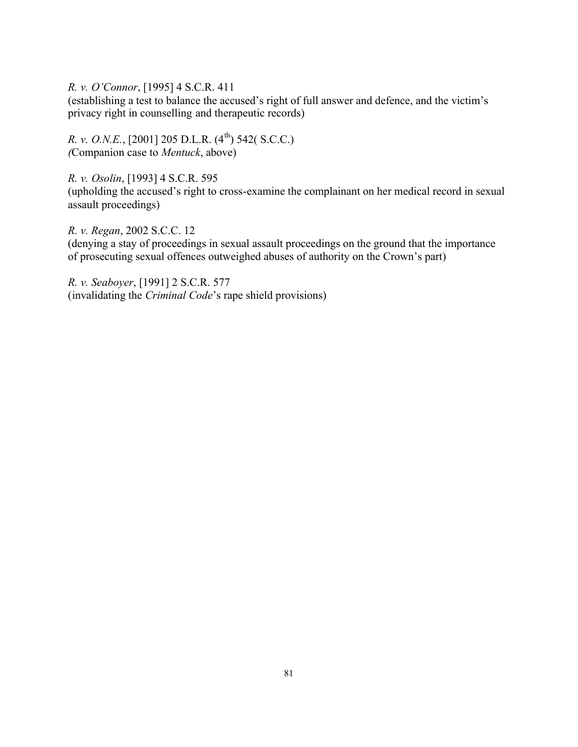*R. v. O'Connor*, [1995] 4 S.C.R. 411

(establishing a test to balance the accused's right of full answer and defence, and the victim's privacy right in counselling and therapeutic records)

*R. v. O.N.E.*, [2001] 205 D.L.R. (4<sup>th</sup>) 542( S.C.C.) *(*Companion case to *Mentuck*, above)

*R. v. Osolin*, [1993] 4 S.C.R. 595

(upholding the accused's right to cross-examine the complainant on her medical record in sexual assault proceedings)

*R. v. Regan*, 2002 S.C.C. 12 (denying a stay of proceedings in sexual assault proceedings on the ground that the importance of prosecuting sexual offences outweighed abuses of authority on the Crown's part)

*R. v. Seaboyer*, [1991] 2 S.C.R. 577 (invalidating the *Criminal Code*'s rape shield provisions)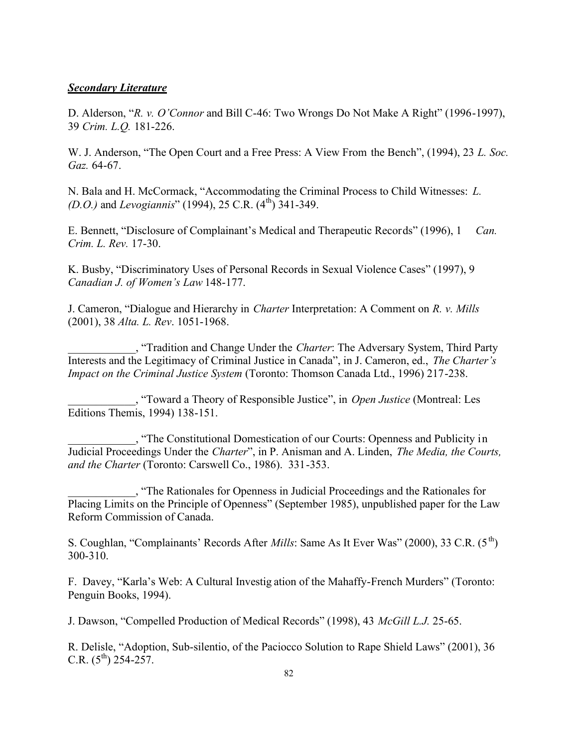#### *Secondary Literature*

D. Alderson, "*R. v. O'Connor* and Bill C-46: Two Wrongs Do Not Make A Right" (1996-1997), 39 *Crim. L.Q.* 181-226.

W. J. Anderson, "The Open Court and a Free Press: A View From the Bench", (1994), 23 *L. Soc. Gaz.* 64-67.

N. Bala and H. McCormack, "Accommodating the Criminal Process to Child Witnesses: *L. (D.O.)* and *Levogiannis*" (1994), 25 C.R. (4<sup>th</sup>) 341-349.

E. Bennett, "Disclosure of Complainant's Medical and Therapeutic Records" (1996), 1 *Can. Crim. L. Rev.* 17-30.

K. Busby, "Discriminatory Uses of Personal Records in Sexual Violence Cases" (1997), 9 *Canadian J. of Women's Law* 148-177.

J. Cameron, "Dialogue and Hierarchy in *Charter* Interpretation: A Comment on *R. v. Mills* (2001), 38 *Alta. L. Rev*. 1051-1968.

\_\_\_\_\_\_\_\_\_\_\_\_, "Tradition and Change Under the *Charter*: The Adversary System, Third Party Interests and the Legitimacy of Criminal Justice in Canada", in J. Cameron, ed., *The Charter's Impact on the Criminal Justice System* (Toronto: Thomson Canada Ltd., 1996) 217-238.

\_\_\_\_\_\_\_\_\_\_\_\_, "Toward a Theory of Responsible Justice", in *Open Justice* (Montreal: Les Editions Themis, 1994) 138-151.

\_\_\_\_\_\_\_\_\_\_\_\_, "The Constitutional Domestication of our Courts: Openness and Publicity in Judicial Proceedings Under the *Charter*", in P. Anisman and A. Linden, *The Media, the Courts, and the Charter* (Toronto: Carswell Co., 1986). 331-353.

\_\_\_\_\_\_\_\_\_\_\_\_, "The Rationales for Openness in Judicial Proceedings and the Rationales for Placing Limits on the Principle of Openness" (September 1985), unpublished paper for the Law Reform Commission of Canada.

S. Coughlan, "Complainants' Records After *Mills*: Same As It Ever Was" (2000), 33 C.R. (5<sup>th</sup>) 300-310.

F. Davey, "Karla's Web: A Cultural Investig ation of the Mahaffy-French Murders" (Toronto: Penguin Books, 1994).

J. Dawson, "Compelled Production of Medical Records" (1998), 43 *McGill L.J.* 25-65.

R. Delisle, "Adoption, Sub-silentio, of the Paciocco Solution to Rape Shield Laws" (2001), 36 C.R.  $(5^{th})$  254-257.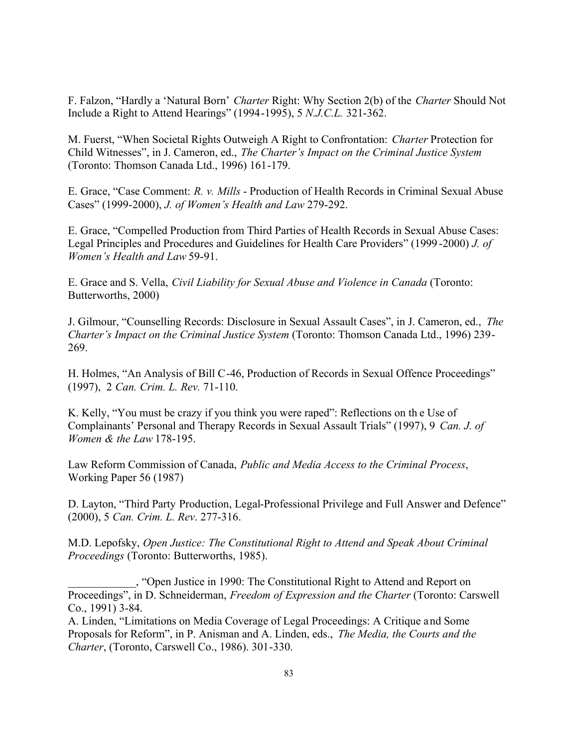F. Falzon, "Hardly a 'Natural Born' *Charter* Right: Why Section 2(b) of the *Charter* Should Not Include a Right to Attend Hearings" (1994-1995), 5 *N.J.C.L.* 321-362.

M. Fuerst, "When Societal Rights Outweigh A Right to Confrontation: *Charter* Protection for Child Witnesses", in J. Cameron, ed., *The Charter's Impact on the Criminal Justice System* (Toronto: Thomson Canada Ltd., 1996) 161-179.

E. Grace, "Case Comment: *R. v. Mills* - Production of Health Records in Criminal Sexual Abuse Cases" (1999-2000), *J. of Women's Health and Law* 279-292.

E. Grace, "Compelled Production from Third Parties of Health Records in Sexual Abuse Cases: Legal Principles and Procedures and Guidelines for Health Care Providers" (1999 -2000) *J. of Women's Health and Law* 59-91.

E. Grace and S. Vella, *Civil Liability for Sexual Abuse and Violence in Canada* (Toronto: Butterworths, 2000)

J. Gilmour, "Counselling Records: Disclosure in Sexual Assault Cases", in J. Cameron, ed., *The Charter's Impact on the Criminal Justice System* (Toronto: Thomson Canada Ltd., 1996) 239- 269.

H. Holmes, "An Analysis of Bill C-46, Production of Records in Sexual Offence Proceedings" (1997), 2 *Can. Crim. L. Rev.* 71-110.

K. Kelly, "You must be crazy if you think you were raped": Reflections on th e Use of Complainants' Personal and Therapy Records in Sexual Assault Trials" (1997), 9 *Can. J. of Women & the Law* 178-195.

Law Reform Commission of Canada, *Public and Media Access to the Criminal Process*, Working Paper 56 (1987)

D. Layton, "Third Party Production, Legal-Professional Privilege and Full Answer and Defence" (2000), 5 *Can. Crim. L. Rev*. 277-316.

M.D. Lepofsky, *Open Justice: The Constitutional Right to Attend and Speak About Criminal Proceedings* (Toronto: Butterworths, 1985).

\_\_\_\_\_\_\_\_\_\_\_\_, "Open Justice in 1990: The Constitutional Right to Attend and Report on Proceedings", in D. Schneiderman, *Freedom of Expression and the Charter* (Toronto: Carswell Co., 1991) 3-84.

A. Linden, "Limitations on Media Coverage of Legal Proceedings: A Critique and Some Proposals for Reform", in P. Anisman and A. Linden, eds., *The Media, the Courts and the Charter*, (Toronto, Carswell Co., 1986). 301-330.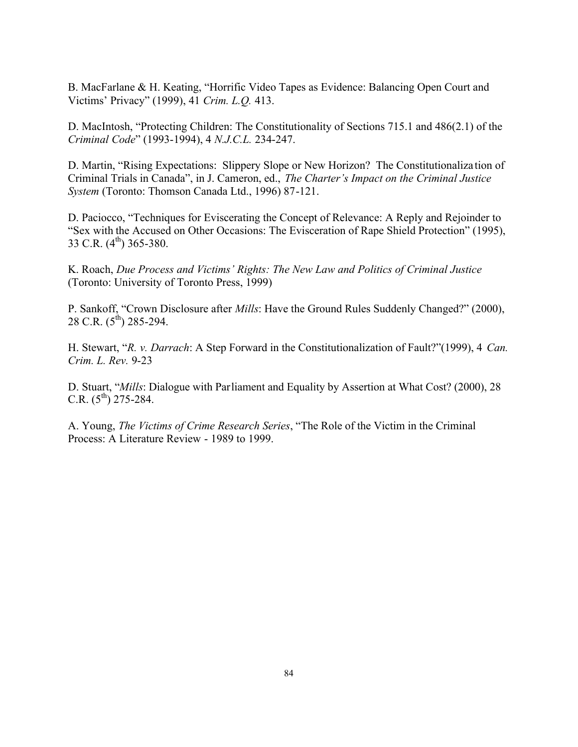B. MacFarlane & H. Keating, "Horrific Video Tapes as Evidence: Balancing Open Court and Victims' Privacy" (1999), 41 *Crim. L.Q.* 413.

D. MacIntosh, "Protecting Children: The Constitutionality of Sections 715.1 and 486(2.1) of the *Criminal Code*" (1993-1994), 4 *N.J.C.L.* 234-247.

D. Martin, "Rising Expectations: Slippery Slope or New Horizon? The Constitutionaliza tion of Criminal Trials in Canada", in J. Cameron, ed., *The Charter's Impact on the Criminal Justice System* (Toronto: Thomson Canada Ltd., 1996) 87-121.

D. Paciocco, "Techniques for Eviscerating the Concept of Relevance: A Reply and Rejoinder to "Sex with the Accused on Other Occasions: The Evisceration of Rape Shield Protection" (1995), 33 C.R.  $(4^{th})$  365-380.

K. Roach, *Due Process and Victims' Rights: The New Law and Politics of Criminal Justice* (Toronto: University of Toronto Press, 1999)

P. Sankoff, "Crown Disclosure after *Mills*: Have the Ground Rules Suddenly Changed?" (2000), 28 C.R.  $(5^{th})$  285-294.

H. Stewart, "*R. v. Darrach*: A Step Forward in the Constitutionalization of Fault?"(1999), 4 *Can. Crim. L. Rev.* 9-23

D. Stuart, "*Mills*: Dialogue with Parliament and Equality by Assertion at What Cost? (2000), 28 C.R.  $(5^{th})$  275-284.

A. Young, *The Victims of Crime Research Series*, "The Role of the Victim in the Criminal Process: A Literature Review - 1989 to 1999.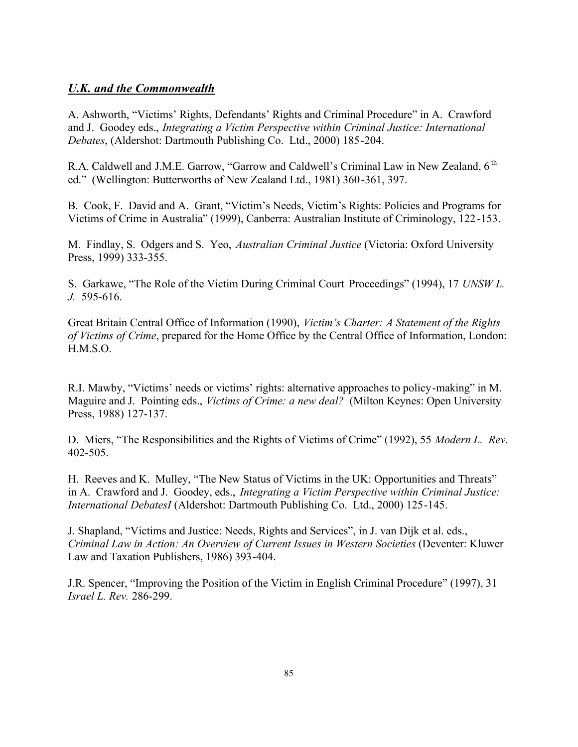# *U.K. and the Commonwealth*

A. Ashworth, "Victims' Rights, Defendants' Rights and Criminal Procedure" in A. Crawford and J. Goodey eds., *Integrating a Victim Perspective within Criminal Justice: International Debates*, (Aldershot: Dartmouth Publishing Co. Ltd., 2000) 185-204.

R.A. Caldwell and J.M.E. Garrow, "Garrow and Caldwell's Criminal Law in New Zealand, 6<sup>th</sup> ed." (Wellington: Butterworths of New Zealand Ltd., 1981) 360-361, 397.

B. Cook, F. David and A. Grant, "Victim's Needs, Victim's Rights: Policies and Programs for Victims of Crime in Australia" (1999), Canberra: Australian Institute of Criminology, 122-153.

M. Findlay, S. Odgers and S. Yeo, *Australian Criminal Justice* (Victoria: Oxford University Press, 1999) 333-355.

S. Garkawe, "The Role of the Victim During Criminal Court Proceedings" (1994), 17 *UNSW L. J.* 595-616.

Great Britain Central Office of Information (1990), *Victim's Charter: A Statement of the Rights of Victims of Crime*, prepared for the Home Office by the Central Office of Information, London: H.M.S.O.

R.I. Mawby, "Victims' needs or victims' rights: alternative approaches to policy-making" in M. Maguire and J. Pointing eds., *Victims of Crime: a new deal?* (Milton Keynes: Open University Press, 1988) 127-137.

D. Miers, "The Responsibilities and the Rights of Victims of Crime" (1992), 55 *Modern L. Rev.* 402-505.

H. Reeves and K. Mulley, "The New Status of Victims in the UK: Opportunities and Threats" in A. Crawford and J. Goodey, eds., *Integrating a Victim Perspective within Criminal Justice: International DebatesI* (Aldershot: Dartmouth Publishing Co. Ltd., 2000) 125-145.

J. Shapland, "Victims and Justice: Needs, Rights and Services", in J. van Dijk et al. eds., *Criminal Law in Action: An Overview of Current Issues in Western Societies* (Deventer: Kluwer Law and Taxation Publishers, 1986) 393-404.

J.R. Spencer, "Improving the Position of the Victim in English Criminal Procedure" (1997), 31 *Israel L. Rev.* 286-299.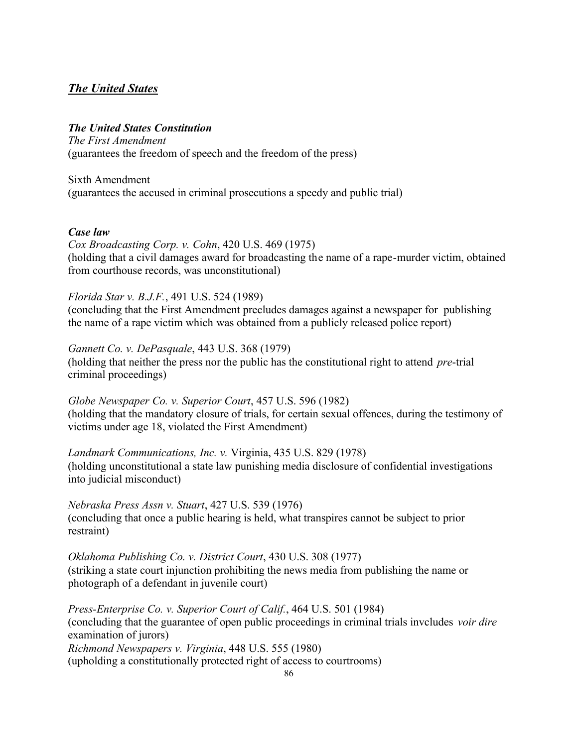# *The United States*

### *The United States Constitution*

*The First Amendment* (guarantees the freedom of speech and the freedom of the press)

Sixth Amendment (guarantees the accused in criminal prosecutions a speedy and public trial)

#### *Case law*

*Cox Broadcasting Corp. v. Cohn*, 420 U.S. 469 (1975) (holding that a civil damages award for broadcasting the name of a rape-murder victim, obtained from courthouse records, was unconstitutional)

#### *Florida Star v. B.J.F.*, 491 U.S. 524 (1989)

(concluding that the First Amendment precludes damages against a newspaper for publishing the name of a rape victim which was obtained from a publicly released police report)

#### *Gannett Co. v. DePasquale*, 443 U.S. 368 (1979)

(holding that neither the press nor the public has the constitutional right to attend *pre*-trial criminal proceedings)

*Globe Newspaper Co. v. Superior Court*, 457 U.S. 596 (1982) (holding that the mandatory closure of trials, for certain sexual offences, during the testimony of victims under age 18, violated the First Amendment)

*Landmark Communications, Inc. v.* Virginia, 435 U.S. 829 (1978) (holding unconstitutional a state law punishing media disclosure of confidential investigations into judicial misconduct)

*Nebraska Press Assn v. Stuart*, 427 U.S. 539 (1976) (concluding that once a public hearing is held, what transpires cannot be subject to prior restraint)

*Oklahoma Publishing Co. v. District Court*, 430 U.S. 308 (1977) (striking a state court injunction prohibiting the news media from publishing the name or photograph of a defendant in juvenile court)

*Press-Enterprise Co. v. Superior Court of Calif.*, 464 U.S. 501 (1984) (concluding that the guarantee of open public proceedings in criminal trials invcludes *voir dire* examination of jurors) *Richmond Newspapers v. Virginia*, 448 U.S. 555 (1980) (upholding a constitutionally protected right of access to courtrooms)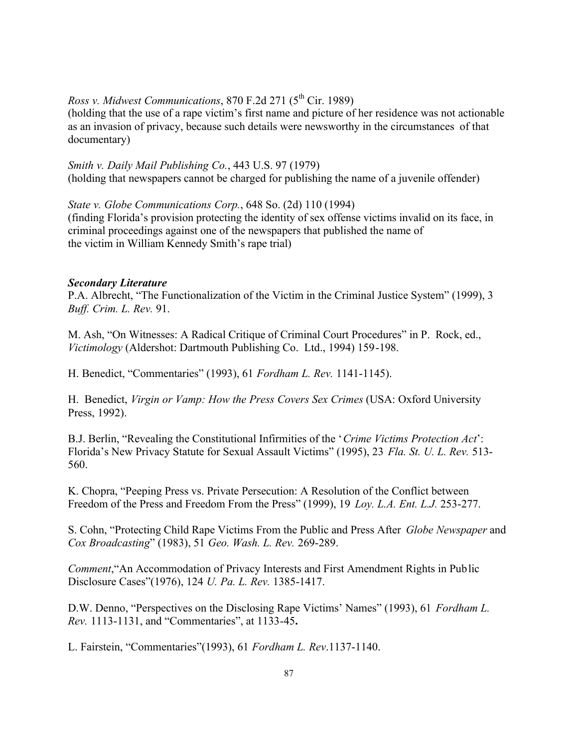# *Ross v. Midwest Communications*, 870 F.2d 271 (5<sup>th</sup> Cir. 1989)

(holding that the use of a rape victim's first name and picture of her residence was not actionable as an invasion of privacy, because such details were newsworthy in the circumstances of that documentary)

*Smith v. Daily Mail Publishing Co.*, 443 U.S. 97 (1979) (holding that newspapers cannot be charged for publishing the name of a juvenile offender)

*State v. Globe Communications Corp.*, 648 So. (2d) 110 (1994) (finding Florida's provision protecting the identity of sex offense victims invalid on its face, in criminal proceedings against one of the newspapers that published the name of the victim in William Kennedy Smith's rape trial)

#### *Secondary Literature*

P.A. Albrecht, "The Functionalization of the Victim in the Criminal Justice System" (1999), 3 *Buff. Crim. L. Rev.* 91.

M. Ash, "On Witnesses: A Radical Critique of Criminal Court Procedures" in P. Rock, ed., *Victimology* (Aldershot: Dartmouth Publishing Co. Ltd., 1994) 159-198.

H. Benedict, "Commentaries" (1993), 61 *Fordham L. Rev.* 1141-1145).

H. Benedict, *Virgin or Vamp: How the Press Covers Sex Crimes* (USA: Oxford University Press, 1992).

B.J. Berlin, "Revealing the Constitutional Infirmities of the '*Crime Victims Protection Act*': Florida's New Privacy Statute for Sexual Assault Victims" (1995), 23 *Fla. St. U. L. Rev.* 513- 560.

K. Chopra, "Peeping Press vs. Private Persecution: A Resolution of the Conflict between Freedom of the Press and Freedom From the Press" (1999), 19 *Loy. L.A. Ent. L.J.* 253-277.

S. Cohn, "Protecting Child Rape Victims From the Public and Press After *Globe Newspaper* and *Cox Broadcasting*" (1983), 51 *Geo. Wash. L. Rev.* 269-289.

*Comment*,"An Accommodation of Privacy Interests and First Amendment Rights in Public Disclosure Cases"(1976), 124 *U. Pa. L. Rev.* 1385-1417.

D.W. Denno, "Perspectives on the Disclosing Rape Victims' Names" (1993), 61 *Fordham L. Rev.* 1113-1131, and "Commentaries", at 1133-45**.**

L. Fairstein, "Commentaries"(1993), 61 *Fordham L. Rev*.1137-1140.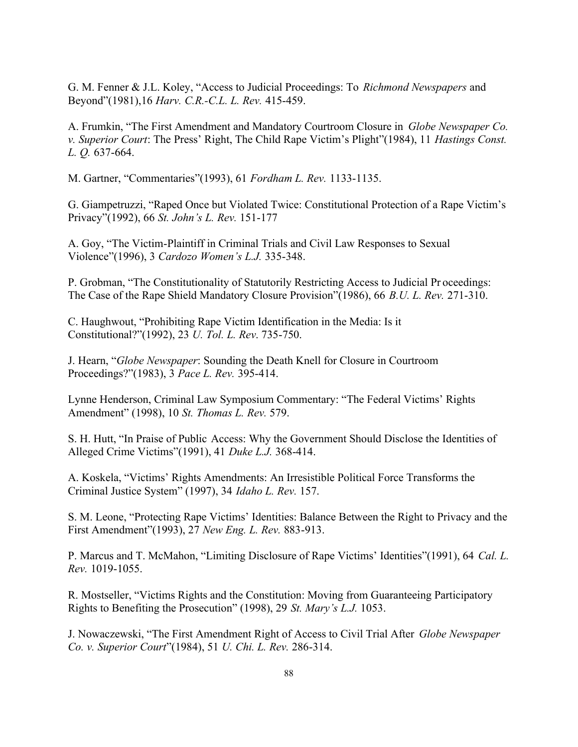G. M. Fenner & J.L. Koley, "Access to Judicial Proceedings: To *Richmond Newspapers* and Beyond"(1981),16 *Harv. C.R.-C.L. L. Rev.* 415-459.

A. Frumkin, "The First Amendment and Mandatory Courtroom Closure in *Globe Newspaper Co. v. Superior Court*: The Press' Right, The Child Rape Victim's Plight"(1984), 11 *Hastings Const. L. Q.* 637-664.

M. Gartner, "Commentaries"(1993), 61 *Fordham L. Rev.* 1133-1135.

G. Giampetruzzi, "Raped Once but Violated Twice: Constitutional Protection of a Rape Victim's Privacy"(1992), 66 *St. John's L. Rev.* 151-177

A. Goy, "The Victim-Plaintiff in Criminal Trials and Civil Law Responses to Sexual Violence"(1996), 3 *Cardozo Women's L.J.* 335-348.

P. Grobman, "The Constitutionality of Statutorily Restricting Access to Judicial Pr oceedings: The Case of the Rape Shield Mandatory Closure Provision"(1986), 66 *B.U. L. Rev.* 271-310.

C. Haughwout, "Prohibiting Rape Victim Identification in the Media: Is it Constitutional?"(1992), 23 *U. Tol. L. Rev*. 735-750.

J. Hearn, "*Globe Newspaper*: Sounding the Death Knell for Closure in Courtroom Proceedings?"(1983), 3 *Pace L. Rev.* 395-414.

Lynne Henderson, Criminal Law Symposium Commentary: "The Federal Victims' Rights Amendment" (1998), 10 *St. Thomas L. Rev.* 579.

S. H. Hutt, "In Praise of Public Access: Why the Government Should Disclose the Identities of Alleged Crime Victims"(1991), 41 *Duke L.J.* 368-414.

A. Koskela, "Victims' Rights Amendments: An Irresistible Political Force Transforms the Criminal Justice System" (1997), 34 *Idaho L. Rev.* 157.

S. M. Leone, "Protecting Rape Victims' Identities: Balance Between the Right to Privacy and the First Amendment"(1993), 27 *New Eng. L. Rev.* 883-913.

P. Marcus and T. McMahon, "Limiting Disclosure of Rape Victims' Identities"(1991), 64 *Cal. L. Rev.* 1019-1055.

R. Mostseller, "Victims Rights and the Constitution: Moving from Guaranteeing Participatory Rights to Benefiting the Prosecution" (1998), 29 *St. Mary's L.J.* 1053.

J. Nowaczewski, "The First Amendment Right of Access to Civil Trial After *Globe Newspaper Co. v. Superior Court*"(1984), 51 *U. Chi. L. Rev.* 286-314.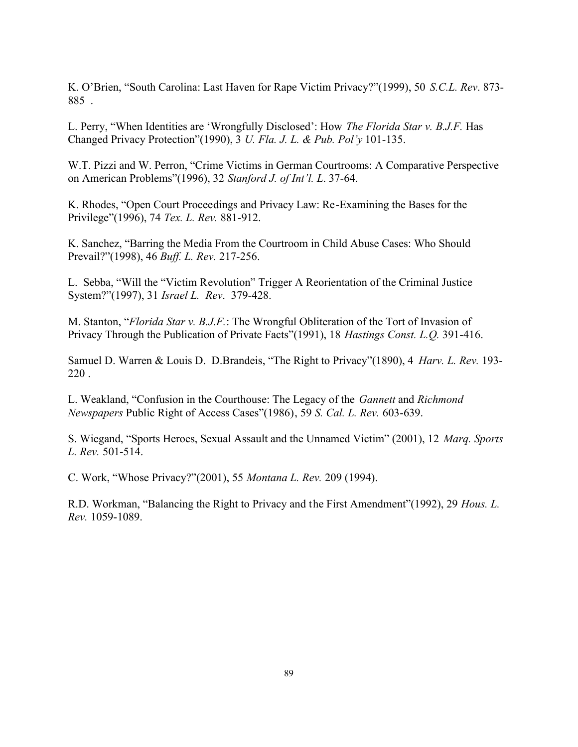K. O'Brien, "South Carolina: Last Haven for Rape Victim Privacy?"(1999), 50 *S.C.L. Rev*. 873- 885 .

L. Perry, "When Identities are 'Wrongfully Disclosed': How *The Florida Star v. B.J.F.* Has Changed Privacy Protection"(1990), 3 *U. Fla. J. L. & Pub. Pol'y* 101-135.

W.T. Pizzi and W. Perron, "Crime Victims in German Courtrooms: A Comparative Perspective on American Problems"(1996), 32 *Stanford J. of Int'l. L*. 37-64.

K. Rhodes, "Open Court Proceedings and Privacy Law: Re-Examining the Bases for the Privilege"(1996), 74 *Tex. L. Rev.* 881-912.

K. Sanchez, "Barring the Media From the Courtroom in Child Abuse Cases: Who Should Prevail?"(1998), 46 *Buff. L. Rev.* 217-256.

L. Sebba, "Will the "Victim Revolution" Trigger A Reorientation of the Criminal Justice System?"(1997), 31 *Israel L. Rev*. 379-428.

M. Stanton, "*Florida Star v. B.J.F.*: The Wrongful Obliteration of the Tort of Invasion of Privacy Through the Publication of Private Facts"(1991), 18 *Hastings Const. L.Q.* 391-416.

Samuel D. Warren & Louis D. D.Brandeis, "The Right to Privacy"(1890), 4 *Harv. L. Rev.* 193- 220 .

L. Weakland, "Confusion in the Courthouse: The Legacy of the *Gannett* and *Richmond Newspapers* Public Right of Access Cases"(1986), 59 *S. Cal. L. Rev.* 603-639.

S. Wiegand, "Sports Heroes, Sexual Assault and the Unnamed Victim" (2001), 12 *Marq. Sports L. Rev.* 501-514.

C. Work, "Whose Privacy?"(2001), 55 *Montana L. Rev.* 209 (1994).

R.D. Workman, "Balancing the Right to Privacy and the First Amendment"(1992), 29 *Hous. L. Rev.* 1059-1089.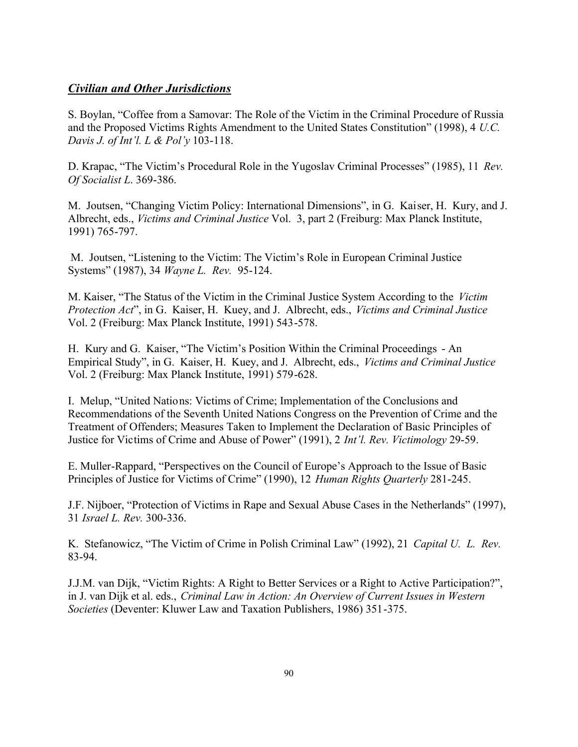# *Civilian and Other Jurisdictions*

S. Boylan, "Coffee from a Samovar: The Role of the Victim in the Criminal Procedure of Russia and the Proposed Victims Rights Amendment to the United States Constitution" (1998), 4 *U.C. Davis J. of Int'l. L & Pol'y* 103-118.

D. Krapac, "The Victim's Procedural Role in the Yugoslav Criminal Processes" (1985), 11 *Rev. Of Socialist L*. 369-386.

M. Joutsen, "Changing Victim Policy: International Dimensions", in G. Kaiser, H. Kury, and J. Albrecht, eds., *Victims and Criminal Justice* Vol. 3, part 2 (Freiburg: Max Planck Institute, 1991) 765-797.

 M. Joutsen, "Listening to the Victim: The Victim's Role in European Criminal Justice Systems" (1987), 34 *Wayne L. Rev.* 95-124.

M. Kaiser, "The Status of the Victim in the Criminal Justice System According to the *Victim Protection Act*", in G. Kaiser, H. Kuey, and J. Albrecht, eds., *Victims and Criminal Justice* Vol. 2 (Freiburg: Max Planck Institute, 1991) 543-578.

H. Kury and G. Kaiser, "The Victim's Position Within the Criminal Proceedings - An Empirical Study", in G. Kaiser, H. Kuey, and J. Albrecht, eds., *Victims and Criminal Justice* Vol. 2 (Freiburg: Max Planck Institute, 1991) 579-628.

I. Melup, "United Nations: Victims of Crime; Implementation of the Conclusions and Recommendations of the Seventh United Nations Congress on the Prevention of Crime and the Treatment of Offenders; Measures Taken to Implement the Declaration of Basic Principles of Justice for Victims of Crime and Abuse of Power" (1991), 2 *Int'l. Rev. Victimology* 29-59.

E. Muller-Rappard, "Perspectives on the Council of Europe's Approach to the Issue of Basic Principles of Justice for Victims of Crime" (1990), 12 *Human Rights Quarterly* 281-245.

J.F. Nijboer, "Protection of Victims in Rape and Sexual Abuse Cases in the Netherlands" (1997), 31 *Israel L. Rev.* 300-336.

K. Stefanowicz, "The Victim of Crime in Polish Criminal Law" (1992), 21 *Capital U. L. Rev.*  83-94.

J.J.M. van Dijk, "Victim Rights: A Right to Better Services or a Right to Active Participation?", in J. van Dijk et al. eds., *Criminal Law in Action: An Overview of Current Issues in Western Societies* (Deventer: Kluwer Law and Taxation Publishers, 1986) 351-375.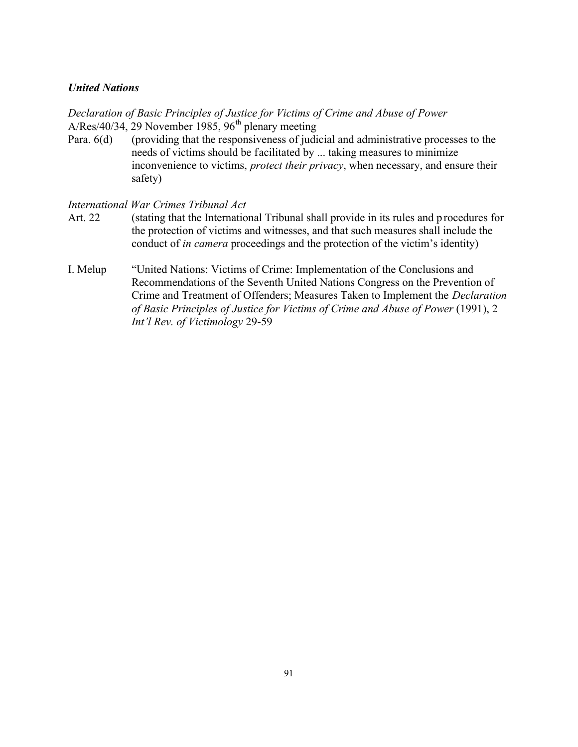#### *United Nations*

*Declaration of Basic Principles of Justice for Victims of Crime and Abuse of Power* A/Res/40/34, 29 November 1985, 96<sup>th</sup> plenary meeting

Para. 6(d) (providing that the responsiveness of judicial and administrative processes to the needs of victims should be facilitated by ... taking measures to minimize inconvenience to victims, *protect their privacy*, when necessary, and ensure their safety)

### *International War Crimes Tribunal Act*

- Art. 22 (stating that the International Tribunal shall provide in its rules and p rocedures for the protection of victims and witnesses, and that such measures shall include the conduct of *in camera* proceedings and the protection of the victim's identity)
- I. Melup "United Nations: Victims of Crime: Implementation of the Conclusions and Recommendations of the Seventh United Nations Congress on the Prevention of Crime and Treatment of Offenders; Measures Taken to Implement the *Declaration of Basic Principles of Justice for Victims of Crime and Abuse of Power* (1991), 2 *Int'l Rev. of Victimology* 29-59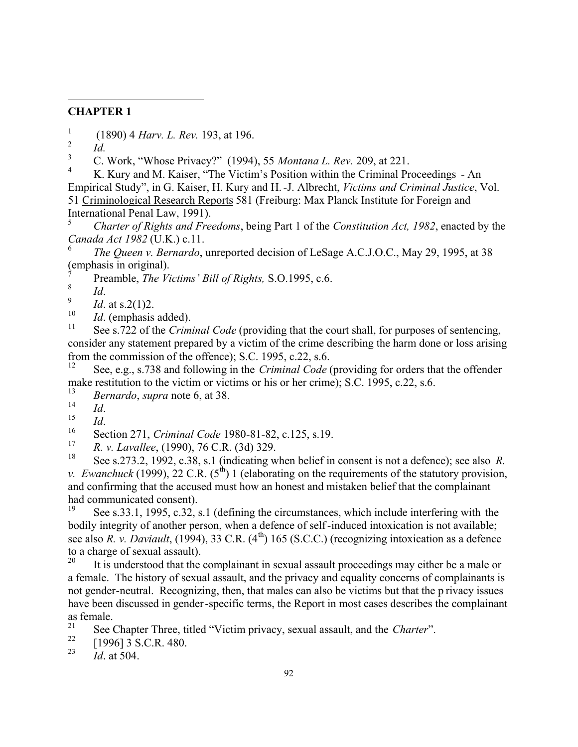# **CHAPTER 1**

- 1 (1890) 4 *Harv. L. Rev.* 193, at 196.
- 2 *Id.*

 $\overline{a}$ 

<sup>3</sup> C. Work, "Whose Privacy?" (1994), 55 *Montana L. Rev.* 209, at 221.

K. Kury and M. Kaiser, "The Victim's Position within the Criminal Proceedings - An Empirical Study", in G. Kaiser, H. Kury and H.-J. Albrecht, *Victims and Criminal Justice*, Vol. 51 Criminological Research Reports 581 (Freiburg: Max Planck Institute for Foreign and International Penal Law, 1991).

<sup>5</sup> *Charter of Rights and Freedoms*, being Part 1 of the *Constitution Act, 1982*, enacted by the *Canada Act 1982* (U.K.) c.11.

6 *The Queen v. Bernardo*, unreported decision of LeSage A.C.J.O.C., May 29, 1995, at 38 (emphasis in original).

7 Preamble, *The Victims' Bill of Rights,* S.O.1995, c.6.

8 *Id*.

9 *Id*. at s.2(1)2.

 $10$  *Id.* (emphasis added).

See s.722 of the *Criminal Code* (providing that the court shall, for purposes of sentencing, consider any statement prepared by a victim of the crime describing the harm done or loss arising from the commission of the offence); S.C. 1995, c.22, s.6.<br> $\frac{12}{12}$  See a.g. a. 728 and fallowing in the *Cuining LC* and the

See, e.g., s.738 and following in the *Criminal Code* (providing for orders that the offender make restitution to the victim or victims or his or her crime); S.C. 1995, c.22, s.6.

<sup>13</sup> *Bernardo*, *supra* note 6, at 38.

 $\frac{14}{15}$  *Id.* 

 $\frac{15}{16}$  *Id.* 

<sup>16</sup> Section 271, *Criminal Code* 1980-81-82, c.125, s.19.

<sup>17</sup> *R. v. Lavallee*, (1990), 76 C.R. (3d) 329.

<sup>18</sup> See s.273.2, 1992, c.38, s.1 (indicating when belief in consent is not a defence); see also *R. v. Ewanchuck* (1999), 22 C.R.  $(5^{th})$  1 (elaborating on the requirements of the statutory provision, and confirming that the accused must how an honest and mistaken belief that the complainant had communicated consent).<br> $^{19}$  Soo s 33, 1, 1005, s 32, s

See s.33.1, 1995, c.32, s.1 (defining the circumstances, which include interfering with the bodily integrity of another person, when a defence of self-induced intoxication is not available; see also *R. v. Daviault*, (1994), 33 C.R. (4<sup>th</sup>) 165 (S.C.C.) (recognizing intoxication as a defence to a charge of sexual assault).<br> $\frac{20}{16}$  is understood that the

It is understood that the complainant in sexual assault proceedings may either be a male or a female. The history of sexual assault, and the privacy and equality concerns of complainants is not gender-neutral. Recognizing, then, that males can also be victims but that the p rivacy issues have been discussed in gender-specific terms, the Report in most cases describes the complainant as female.

<sup>21</sup> See Chapter Three, titled "Victim privacy, sexual assault, and the *Charter*".<br><sup>22</sup>  $5.0061255572480$ 

 $\frac{22}{23}$  [1996] 3 S.C.R. 480.

*Id.* at 504.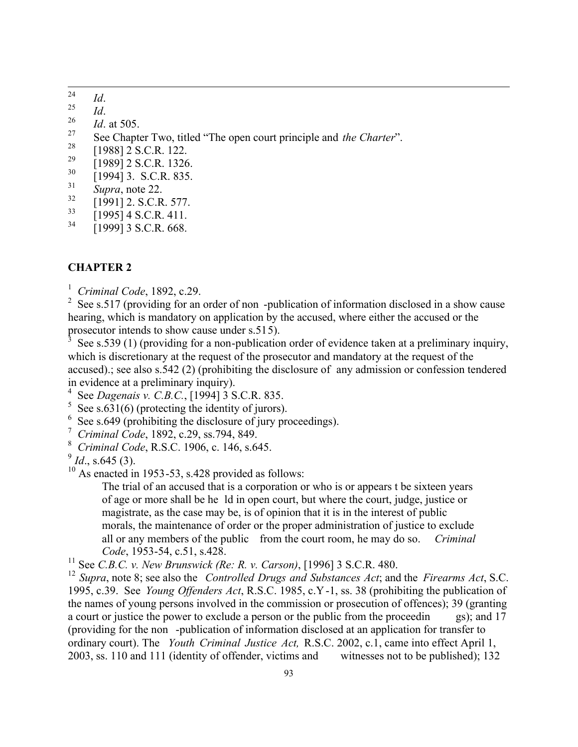- 24  $\frac{24}{25}$  *Id.*
- $\frac{25}{26}$  *Id.*
- $\frac{26}{27}$  *Id.* at 505.
- <sup>27</sup> See Chapter Two, titled "The open court principle and *the Charter*".
- $\frac{28}{29}$  [1988] 2 S.C.R. 122.
- $^{29}$  [1989] 2 S.C.R. 1326.
- $\frac{30}{31}$  [1994] 3. S.C.R. 835.
- $\frac{31}{32}$  *Supra*, note 22.
- $\frac{32}{33}$  [1991] 2. S.C.R. 577.
- $\frac{33}{34}$  [1995] 4 S.C.R. 411.
- [1999] 3 S.C.R. 668.

#### **CHAPTER 2**

1 *Criminal Code*, 1892, c.29.

<sup>2</sup> See s.517 (providing for an order of non -publication of information disclosed in a show cause hearing, which is mandatory on application by the accused, where either the accused or the prosecutor intends to show cause under s.515).<br><sup>3</sup> See s.530.(1) (providing for a non-publication

 See s.539 (1) (providing for a non-publication order of evidence taken at a preliminary inquiry, which is discretionary at the request of the prosecutor and mandatory at the request of the accused).; see also s.542 (2) (prohibiting the disclosure of any admission or confession tendered in evidence at a preliminary inquiry).

- 4 See *Dagenais v. C.B.C.*, [1994] 3 S.C.R. 835.
- $5$  See s.631(6) (protecting the identity of jurors).
- <sup>6</sup> See s.649 (prohibiting the disclosure of jury proceedings).
- 7 *Criminal Code*, 1892, c.29, ss.794, 849.
- 8  *Criminal Code*, R.S.C. 1906, c. 146, s.645.

 $\frac{9}{9}$ *Id.*, s.645 (3).

 $10$  As enacted in 1953-53, s.428 provided as follows:

The trial of an accused that is a corporation or who is or appears t be sixteen years of age or more shall be he ld in open court, but where the court, judge, justice or magistrate, as the case may be, is of opinion that it is in the interest of public morals, the maintenance of order or the proper administration of justice to exclude all or any members of the public from the court room, he may do so. *Criminal Code*, 1953-54, c.51, s.428.

<sup>11</sup> See *C.B.C. v. New Brunswick (Re: R. v. Carson)*, [1996] 3 S.C.R. 480.

<sup>12</sup> *Supra*, note 8; see also the *Controlled Drugs and Substances Act*; and the *Firearms Act*, S.C. 1995, c.39. See *Young Offenders Act*, R.S.C. 1985, c.Y-1, ss. 38 (prohibiting the publication of the names of young persons involved in the commission or prosecution of offences); 39 (granting a court or justice the power to exclude a person or the public from the proceedin gs); and 17 (providing for the non -publication of information disclosed at an application for transfer to ordinary court). The *Youth Criminal Justice Act,* R.S.C. 2002, c.1, came into effect April 1, 2003, ss. 110 and 111 (identity of offender, victims and witnesses not to be published); 132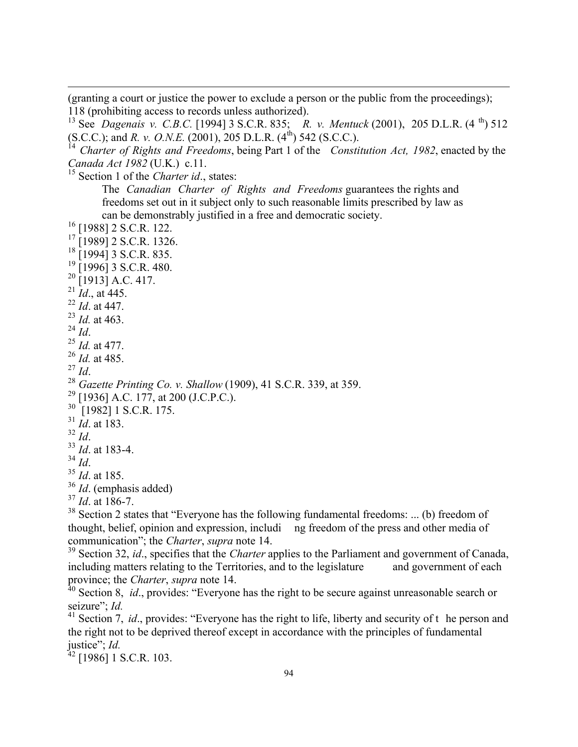(granting a court or justice the power to exclude a person or the public from the proceedings); 118 (prohibiting access to records unless authorized).

<sup>13</sup> See *Dagenais v. C.B.C.* [1994] 3 S.C.R. 835; *R. v. Mentuck* (2001), 205 D.L.R. (4 th) 512 (S.C.C.); and *R. v. O.N.E.* (2001), 205 D.L.R. (4<sup>th</sup>) 542 (S.C.C.).

<sup>14</sup> *Charter of Rights and Freedoms*, being Part 1 of the *Constitution Act, 1982*, enacted by the *Canada Act 1982* (U.K.) c.11.

<sup>15</sup> Section 1 of the *Charter id*., states:

The *Canadian Charter of Rights and Freedoms* guarantees the rights and freedoms set out in it subject only to such reasonable limits prescribed by law as can be demonstrably justified in a free and democratic society.

- $^{16}$  [1988] 2 S.C.R. 122.
- [1989] 2 S.C.R. 1326.
- $18$  [1994] 3 S.C.R. 835.
- $19$  [1996] 3 S.C.R. 480.
- $^{20}$  [1913] A.C. 417.
- $^{21}$  *Id.*, at 445.
- <sup>22</sup> *Id*. at 447.
- <sup>23</sup> *Id.* at 463.
- <sup>24</sup> *Id*.

 $\overline{a}$ 

- <sup>25</sup> *Id.* at 477.
- <sup>26</sup> *Id.* at 485.
- <sup>27</sup> *Id*.
- <sup>28</sup> *Gazette Printing Co. v. Shallow* (1909), 41 S.C.R. 339, at 359.
- $^{29}$  [1936] A.C. 177, at 200 (J.C.P.C.).
- <sup>30</sup> [1982] 1 S.C.R. 175.
- <sup>31</sup> *Id*. at 183.
- <sup>32</sup> *Id*.
- <sup>33</sup> *Id*. at 183-4.
- <sup>34</sup> *Id*.
- <sup>35</sup> *Id*. at 185.
- <sup>36</sup> *Id*. (emphasis added)
- <sup>37</sup> *Id*. at 186-7.

<sup>38</sup> Section 2 states that "Everyone has the following fundamental freedoms: ... (b) freedom of thought, belief, opinion and expression, includi ng freedom of the press and other media of communication"; the *Charter*, *supra* note 14.

<sup>39</sup> Section 32, *id*., specifies that the *Charter* applies to the Parliament and government of Canada, including matters relating to the Territories, and to the legislature and government of each province; the *Charter*, *supra* note 14.

<sup>40</sup> Section 8, *id.*, provides: "Everyone has the right to be secure against unreasonable search or seizure"; *Id.*

<sup>41</sup> Section 7, *id.*, provides: "Everyone has the right to life, liberty and security of the person and the right not to be deprived thereof except in accordance with the principles of fundamental justice"; *Id.*

 $42$  [1986] 1 S.C.R. 103.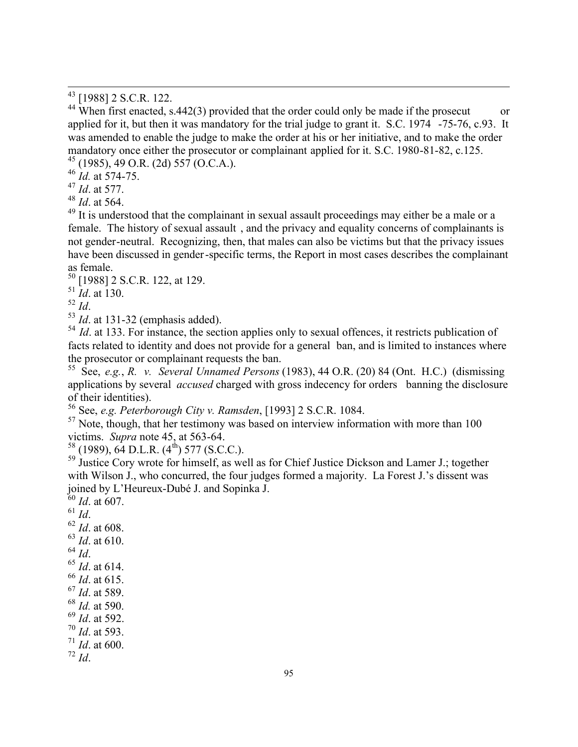<sup>44</sup> When first enacted, s.442(3) provided that the order could only be made if the prosecut or applied for it, but then it was mandatory for the trial judge to grant it. S.C. 1974 -75-76, c.93. It was amended to enable the judge to make the order at his or her initiative, and to make the order mandatory once either the prosecutor or complainant applied for it. S.C. 1980-81-82, c.125. <sup>45</sup> (1985), 49 O.R. (2d) 557 (O.C.A.).

<sup>46</sup> *Id.* at 574-75.

<sup>47</sup> *Id*. at 577.

<sup>48</sup> *Id*. at 564.

 $\overline{a}$ 

<sup>49</sup> It is understood that the complainant in sexual assault proceedings may either be a male or a female. The history of sexual assault , and the privacy and equality concerns of complainants is not gender-neutral. Recognizing, then, that males can also be victims but that the privacy issues have been discussed in gender-specific terms, the Report in most cases describes the complainant as female.

<sup>50</sup> [1988] 2 S.C.R. 122, at 129.

<sup>51</sup> *Id*. at 130.

<sup>52</sup> *Id*.

<sup>53</sup> *Id*. at 131-32 (emphasis added).

<sup>54</sup> *Id.* at 133. For instance, the section applies only to sexual offences, it restricts publication of facts related to identity and does not provide for a general ban, and is limited to instances where the prosecutor or complainant requests the ban.

<sup>55</sup> See, *e.g.*, *R. v. Several Unnamed Persons* (1983), 44 O.R. (20) 84 (Ont. H.C.) (dismissing applications by several *accused* charged with gross indecency for orders banning the disclosure of their identities).

<sup>56</sup> See, *e.g. Peterborough City v. Ramsden*, [1993] 2 S.C.R. 1084.

 $57$  Note, though, that her testimony was based on interview information with more than 100 victims. *Supra* note 45, at 563-64.

 $58$  (1989), 64 D.L.R. (4<sup>th</sup>) 577 (S.C.C.).

<sup>59</sup> Justice Cory wrote for himself, as well as for Chief Justice Dickson and Lamer J.; together with Wilson J., who concurred, the four judges formed a majority. La Forest J.'s dissent was joined by L'Heureux-Dubé J. and Sopinka J.

 *Id.* at 607. <sup>61</sup> *Id*. *Id*. at 608. *Id*. at 610. <sup>64</sup> *Id*. *Id*. at 614. *Id*. at 615. *Id*. at 589. *Id.* at 590. *Id*. at 592. *Id*. at 593. *Id*. at 600. <sup>72</sup> *Id*.

<sup>&</sup>lt;sup>43</sup> [1988] 2 S.C.R. 122.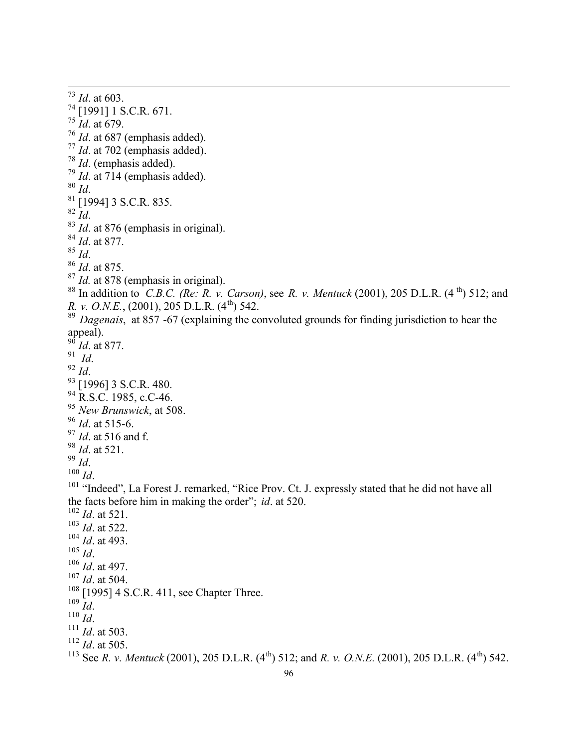*Id*. at 603. [1991] 1 S.C.R. 671. *Id*. at 679. *Id*. at 687 (emphasis added). *Id*. at 702 (emphasis added). *Id*. (emphasis added). *Id*. at 714 (emphasis added). *Id*. [1994] 3 S.C.R. 835.  $82 \over \text{Id}$ . <sup>83</sup> *Id.* at 876 (emphasis in original). *Id*. at 877. *Id*. *Id*. at 875. <sup>87</sup> *Id.* at 878 (emphasis in original). In addition to *C.B.C. (Re: R. v. Carson)*, see *R. v. Mentuck* (2001), 205 D.L.R. (4 th) 512; and *R. v. O.N.E.*, (2001), 205 D.L.R. (4<sup>th</sup>) 542. <sup>89</sup> Dagenais, at 857 -67 (explaining the convoluted grounds for finding jurisdiction to hear the appeal).  $^{90}$  *Id.* at 877. *Id*. *Id*. <sup>93</sup> [1996] 3 S.C.R. 480. <sup>94</sup> R.S.C. 1985, c.C-46. *New Brunswick*, at 508. *Id*. at 515-6. *Id*. at 516 and f. *Id*. at 521. *Id*. *Id*. <sup>101</sup> "Indeed", La Forest J. remarked, "Rice Prov. Ct. J. expressly stated that he did not have all the facts before him in making the order"; *id*. at 520.  $\frac{102}{102}$  *Id.* at 521. *Id*. at 522. *Id*. at 493. *Id*. *Id*. at 497. *Id*. at 504. <sup>108</sup> [1995] 4 S.C.R. 411, see Chapter Three.  $^{109}$   $\stackrel{\text{\tiny L}}{Id}$  . *Id*. *Id*. at 503. *Id*. at 505. 113 See *R. v. Mentuck* (2001), 205 D.L.R. (4<sup>th</sup>) 512; and *R. v. O.N.E.* (2001), 205 D.L.R. (4<sup>th</sup>) 542.

 $\overline{a}$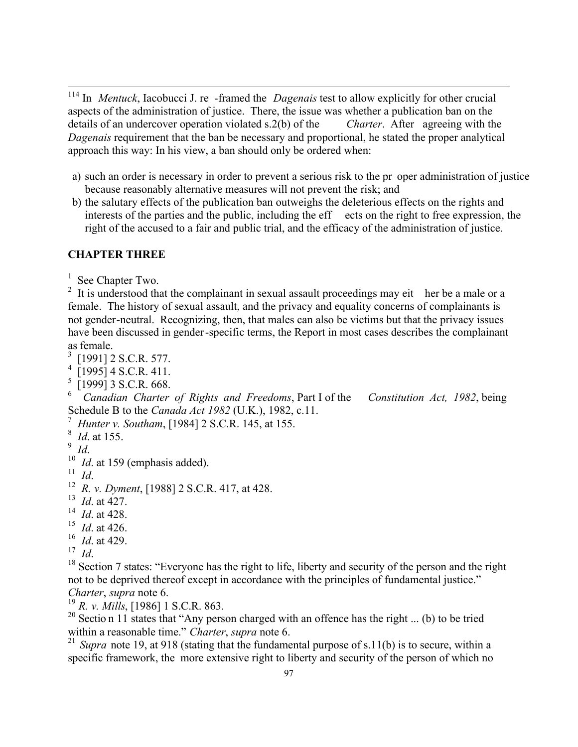<sup>114</sup> In *Mentuck*, Iacobucci J. re -framed the *Dagenais* test to allow explicitly for other crucial aspects of the administration of justice. There, the issue was whether a publication ban on the details of an undercover operation violated s.2(b) of the *Charter*. After agreeing with the *Dagenais* requirement that the ban be necessary and proportional, he stated the proper analytical approach this way: In his view, a ban should only be ordered when:

- a) such an order is necessary in order to prevent a serious risk to the pr oper administration of justice because reasonably alternative measures will not prevent the risk; and
- b) the salutary effects of the publication ban outweighs the deleterious effects on the rights and interests of the parties and the public, including the eff ects on the right to free expression, the right of the accused to a fair and public trial, and the efficacy of the administration of justice.

# **CHAPTER THREE**

 $\overline{a}$ 

<sup>1</sup> See Chapter Two.

 $2$  It is understood that the complainant in sexual assault proceedings may eit her be a male or a female. The history of sexual assault, and the privacy and equality concerns of complainants is not gender-neutral. Recognizing, then, that males can also be victims but that the privacy issues have been discussed in gender-specific terms, the Report in most cases describes the complainant as female.

- $3$  [1991] 2 S.C.R. 577.
- 4 [1995] 4 S.C.R. 411.
- 5 [1999] 3 S.C.R. 668.

6 *Canadian Charter of Rights and Freedoms*, Part I of the *Constitution Act, 1982*, being Schedule B to the *Canada Act 1982* (U.K.), 1982, c.11.

- 7 *Hunter v. Southam*, [1984] 2 S.C.R. 145, at 155.
- 8 *Id*. at 155.
- 9 *Id*.

<sup>10</sup> *Id.* at 159 (emphasis added).

11 *Id*.

- 13 *Id*. at 427.
- 14 *Id*. at 428.
- $^{15}$  *Id.* at 426.
- 16 *Id*. at 429.
- 17 *Id*.

 $18$  Section 7 states: "Everyone has the right to life, liberty and security of the person and the right not to be deprived thereof except in accordance with the principles of fundamental justice." *Charter*, *supra* note 6.

<sup>19</sup> *R. v. Mills*, [1986] 1 S.C.R. 863.

<sup>20</sup> Section 11 states that "Any person charged with an offence has the right ... (b) to be tried within a reasonable time." *Charter*, *supra* note 6.

<sup>21</sup> Supra note 19, at 918 (stating that the fundamental purpose of s.11(b) is to secure, within a specific framework, the more extensive right to liberty and security of the person of which no

<sup>12</sup> *R. v. Dyment*, [1988] 2 S.C.R. 417, at 428.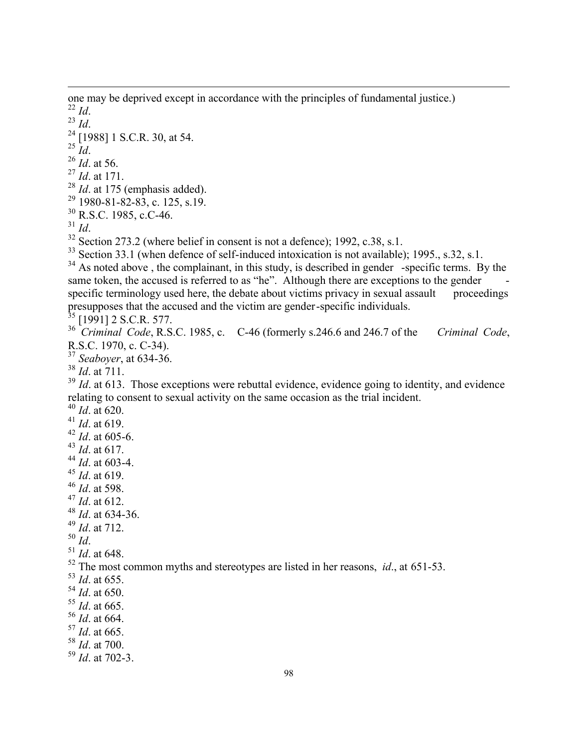one may be deprived except in accordance with the principles of fundamental justice.) *Id*. *Id*. [1988] 1 S.C.R. 30, at 54.  $^{25}$   $\overleftrightarrow{Id}$ . *Id*. at 56. *Id*. at 171. *Id*. at 175 (emphasis added). 1980-81-82-83, c. 125, s.19. R.S.C. 1985, c.C-46. *Id*. Section 273.2 (where belief in consent is not a defence); 1992, c.38, s.1. <sup>33</sup> Section 33.1 (when defence of self-induced intoxication is not available); 1995., s.32, s.1. As noted above, the complainant, in this study, is described in gender -specific terms. By the same token, the accused is referred to as "he". Although there are exceptions to the gender specific terminology used here, the debate about victims privacy in sexual assault proceedings presupposes that the accused and the victim are gender-specific individuals. [1991] 2 S.C.R. 577. *Criminal Code*, R.S.C. 1985, c. C-46 (formerly s.246.6 and 246.7 of the *Criminal Code*, R.S.C. 1970, c. C-34). *Seaboyer*, at 634-36. *Id*. at 711. <sup>39</sup> *Id.* at 613. Those exceptions were rebuttal evidence, evidence going to identity, and evidence relating to consent to sexual activity on the same occasion as the trial incident. *Id*. at 620. *Id*. at 619. *Id*. at 605-6. *Id*. at 617. *Id*. at 603-4. *Id*. at 619. *Id*. at 598. *Id*. at 612. *Id*. at 634-36. *Id*. at 712. *Id*. *Id*. at 648. The most common myths and stereotypes are listed in her reasons, *id*., at 651-53. *Id*. at 655. *Id*. at 650. *Id*. at 665. *Id*. at 664. *Id*. at 665. *Id*. at 700. *Id*. at 702-3.

 $\overline{a}$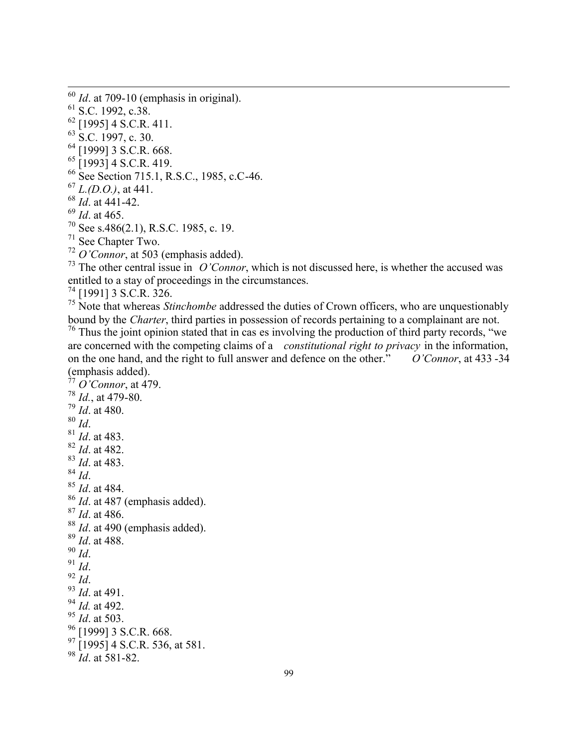S.C. 1992, c.38. [1995] 4 S.C.R. 411. S.C. 1997, c. 30. [1999] 3 S.C.R. 668. [1993] 4 S.C.R. 419. 66 See Section 715.1, R.S.C., 1985, c.C-46. *L.(D.O.)*, at 441. *Id*. at 441-42. *Id*. at 465. See s.486(2.1), R.S.C. 1985, c. 19.

*Id*. at 709-10 (emphasis in original).

See Chapter Two.

 $\overline{a}$ 

*O'Connor*, at 503 (emphasis added).

<sup>73</sup> The other central issue in *O'Connor*, which is not discussed here, is whether the accused was entitled to a stay of proceedings in the circumstances.

[1991] 3 S.C.R. 326.

<sup>75</sup> Note that whereas *Stinchombe* addressed the duties of Crown officers, who are unquestionably bound by the *Charter*, third parties in possession of records pertaining to a complainant are not.

<sup>76</sup> Thus the joint opinion stated that in cas es involving the production of third party records, "we are concerned with the competing claims of a *constitutional right to privacy* in the information, on the one hand, and the right to full answer and defence on the other." O'Connor, at 433-34 on the one hand, and the right to full answer and defence on the other." (emphasis added).

```
77 O'Connor, at 479.
78 Id., at 479-80.
79 Id. at 480.
80 Id. 
81 Id. at 483.
82 Id. at 482.
83 Id. at 483.
84 Id. 
85 Id. at 484.
86 Id. at 487 (emphasis added).
87 Id. at 486.
<sup>88</sup> Id. at 490 (emphasis added).
89 Id. at 488.
90 Id.
91 Id.
92 Id.
93 Id. at 491.
94 Id. at 492.
95 Id. at 503.
<sup>96</sup> [1999] 3 S.C.R. 668.
^{97} [1995] 4 S.C.R. 536, at 581.
98 Id. at 581-82.
```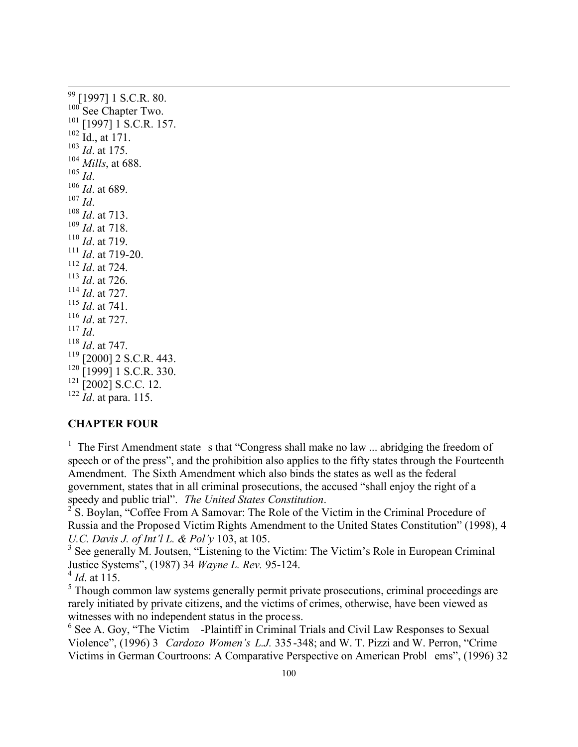<sup>99</sup> [1997] 1 S.C.R. 80. <sup>100</sup> See Chapter Two. [1997] 1 S.C.R. 157. Id., at 171. *Id*. at 175.  *Mills*, at 688. <sup>105</sup> *Id*. *Id*. at 689. <sup>107</sup> *Id*. *Id*. at 713. *Id*. at 718. *Id*. at 719. *Id*. at 719-20. *Id*. at 724. *Id*. at 726. *Id*. at 727. *Id*. at 741. *Id*. at 727. <sup>117</sup> *Id*. *Id*. at 747. [2000] 2 S.C.R. 443. <sup>120</sup> [1999] 1 S.C.R. 330.  $\left[2002\right]$  S.C.C. 12. *Id*. at para. 115.

 $\overline{a}$ 

#### **CHAPTER FOUR**

<sup>1</sup> The First Amendment state s that "Congress shall make no law ... abridging the freedom of speech or of the press", and the prohibition also applies to the fifty states through the Fourteenth Amendment. The Sixth Amendment which also binds the states as well as the federal government, states that in all criminal prosecutions, the accused "shall enjoy the right of a speedy and public trial". *The United States Constitution*.

 $2^2$  S. Boylan, "Coffee From A Samovar: The Role of the Victim in the Criminal Procedure of Russia and the Proposed Victim Rights Amendment to the United States Constitution" (1998), 4 *U.C. Davis J. of Int'l L. & Pol'y* 103, at 105.

<sup>3</sup> See generally M. Joutsen, "Listening to the Victim: The Victim's Role in European Criminal Justice Systems", (1987) 34 *Wayne L. Rev.* 95-124. 4 *Id*. at 115.

<sup>5</sup> Though common law systems generally permit private prosecutions, criminal proceedings are rarely initiated by private citizens, and the victims of crimes, otherwise, have been viewed as witnesses with no independent status in the process.

<sup>6</sup> See A. Goy, "The Victim -Plaintiff in Criminal Trials and Civil Law Responses to Sexual Violence", (1996) 3 *Cardozo Women's L.J.* 335 -348; and W. T. Pizzi and W. Perron, "Crime Victims in German Courtroons: A Comparative Perspective on American Probl ems", (1996) 32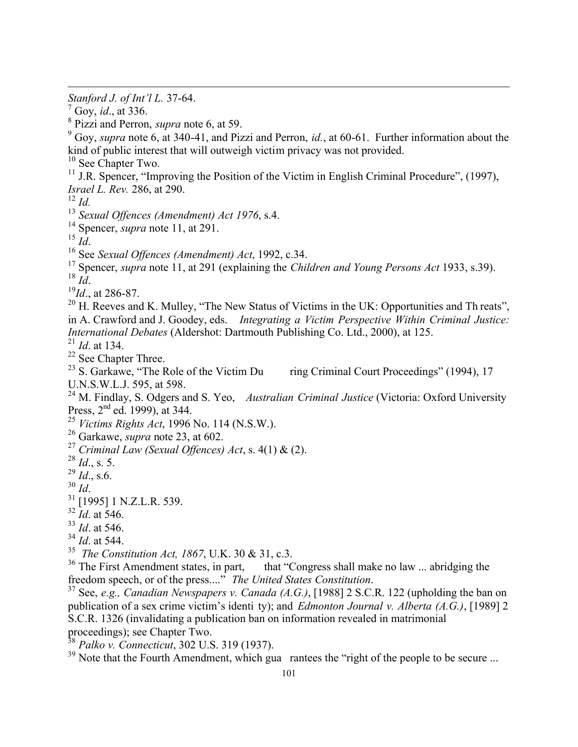*Stanford J. of Int'l L.* 37-64.

9 Goy, *supra* note 6, at 340-41, and Pizzi and Perron, *id.*, at 60-61. Further information about the kind of public interest that will outweigh victim privacy was not provided.

<sup>10</sup> See Chapter Two.

<sup>11</sup> J.R. Spencer, "Improving the Position of the Victim in English Criminal Procedure", (1997), *Israel L. Rev.* 286, at 290.

<sup>12</sup> *Id.*

 $\overline{a}$ 

<sup>13</sup> *Sexual Offences (Amendment) Act 1976*, s.4.

<sup>14</sup> Spencer, *supra* note 11, at 291.

 $^{15}$  *Id*.

<sup>16</sup> See *Sexual Offences (Amendment) Act*, 1992, c.34.

<sup>17</sup> Spencer, *supra* note 11, at 291 (explaining the *Children and Young Persons Act* 1933, s.39). <sup>18</sup> *Id*.

<sup>19</sup>*Id*., at 286-87.

 $20$  H. Reeves and K. Mulley, "The New Status of Victims in the UK: Opportunities and Th reats", in A. Crawford and J. Goodey, eds. *Integrating a Victim Perspective Within Criminal Justice: International Debates* (Aldershot: Dartmouth Publishing Co. Ltd., 2000), at 125.

 $\frac{21}{21}$  *Id.* at 134.

 $^{22}$  See Chapter Three.<br> $^{23}$  S. Garkawe, "The Role of the Victim Du ring Criminal Court Proceedings" (1994), 17

U.N.S.W.L.J. 595, at 598.

<sup>24</sup> M. Findlay, S. Odgers and S. Yeo, *Australian Criminal Justice* (Victoria: Oxford University Press, 2<sup>nd</sup> ed. 1999), at 344.

<sup>25</sup> *Victims Rights Act*, 1996 No. 114 (N.S.W.).

<sup>26</sup> Garkawe, *supra* note 23, at 602.

<sup>27</sup> *Criminal Law (Sexual Offences) Act*, s. 4(1) & (2).

<sup>28</sup> *Id*., s. 5.

<sup>29</sup> *Id*., s.6.

<sup>30</sup> *Id*.

<sup>31</sup> [1995] 1 N.Z.L.R. 539.

 $32$  *Id.* at 546.

<sup>33</sup> *Id*. at 546.

<sup>34</sup> *Id*. at 544.

35 *The Constitution Act, 1867*, U.K. 30 & 31, c.3.

 $36$  The First Amendment states, in part, that "Congress shall make no law ... abridging the freedom speech, or of the press...." *The United States Constitution*.

<sup>37</sup> See, *e.g., Canadian Newspapers v. Canada (A.G.)*, [1988] 2 S.C.R. 122 (upholding the ban on publication of a sex crime victim's identi ty); and *Edmonton Journal v. Alberta (A.G.)*, [1989] 2 S.C.R. 1326 (invalidating a publication ban on information revealed in matrimonial proceedings); see Chapter Two.

<sup>38</sup> *Palko v. Connecticut*, 302 U.S. 319 (1937).

<sup>39</sup> Note that the Fourth Amendment, which gua rantees the "right of the people to be secure ...

<sup>7</sup> Goy, *id*., at 336.

<sup>8</sup> Pizzi and Perron, *supra* note 6, at 59.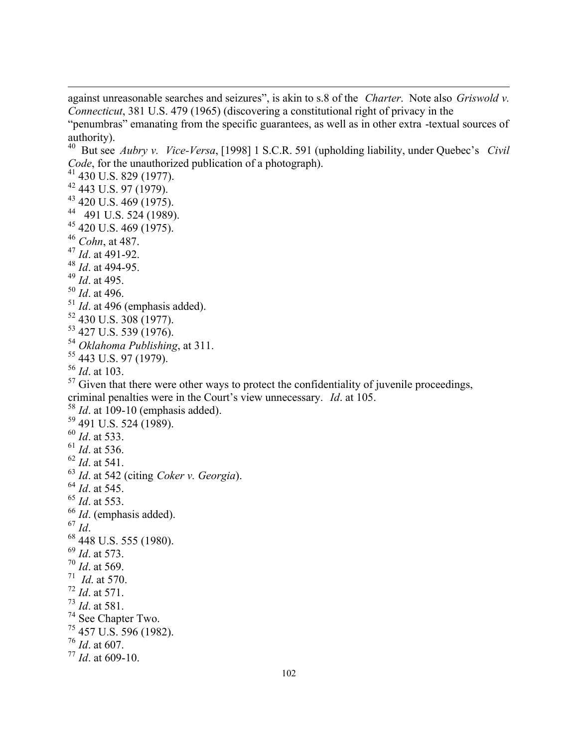against unreasonable searches and seizures", is akin to s.8 of the *Charter*. Note also *Griswold v. Connecticut*, 381 U.S. 479 (1965) (discovering a constitutional right of privacy in the

"penumbras" emanating from the specific guarantees, as well as in other extra -textual sources of authority).

 But see *Aubry v. Vice-Versa*, [1998] 1 S.C.R. 591 (upholding liability, under Quebec's *Civil Code*, for the unauthorized publication of a photograph).

 $^{41}$  430 U.S. 829 (1977).

- 443 U.S. 97 (1979).
- 420 U.S. 469 (1975).
- 491 U.S. 524 (1989).
- 420 U.S. 469 (1975).
- *Cohn*, at 487.
- *Id*. at 491-92.
- *Id*. at 494-95.
- *Id*. at 495.

 $\overline{a}$ 

- *Id*. at 496.
- *Id*. at 496 (emphasis added).
- 430 U.S.  $308$  (1977).
- 427 U.S. 539 (1976).
- *Oklahoma Publishing*, at 311.
- 443 U.S. 97 (1979).

*Id*. at 103.

 Given that there were other ways to protect the confidentiality of juvenile proceedings, criminal penalties were in the Court's view unnecessary. *Id*. at 105.

 *Id*. at 109-10 (emphasis added). 491 U.S. 524 (1989). *Id*. at 533. *Id*. at 536. *Id*. at 541. *Id*. at 542 (citing *Coker v. Georgia*). *Id*. at 545. *Id*. at 553. *Id*. (emphasis added). *Id*. 448 U.S. 555 (1980). *Id*. at 573. *Id*. at 569. *Id*. at 570. *Id*. at 571. *Id*. at 581.  $\frac{74}{75}$  See Chapter Two. 457 U.S. 596 (1982). *Id*. at 607.  $^{77}$  *Id.* at 609-10.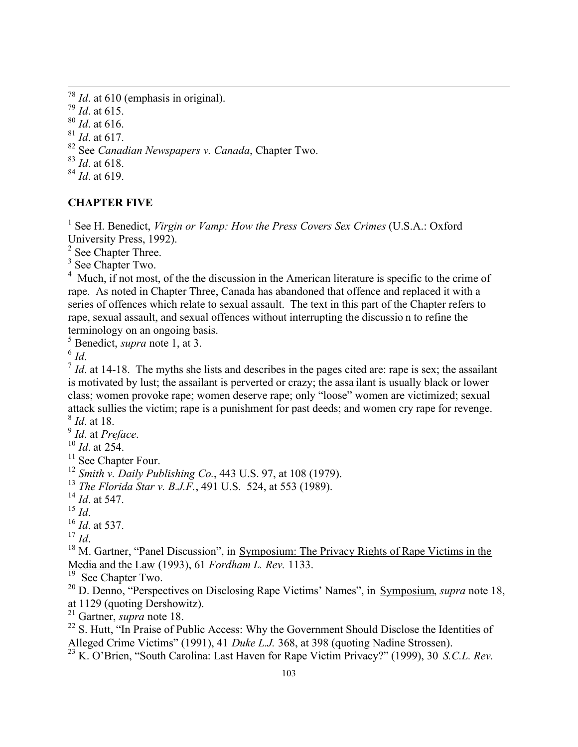*Id*. at 610 (emphasis in original). *Id*. at 615. *Id*. at 616. *Id*. at 617. See *Canadian Newspapers v. Canada*, Chapter Two. *Id*. at 618. *Id*. at 619.

## **CHAPTER FIVE**

<sup>1</sup> See H. Benedict, *Virgin or Vamp: How the Press Covers Sex Crimes* (U.S.A.: Oxford University Press, 1992).

2 See Chapter Three.

<sup>3</sup> See Chapter Two.

<sup>4</sup> Much, if not most, of the the discussion in the American literature is specific to the crime of rape. As noted in Chapter Three, Canada has abandoned that offence and replaced it with a series of offences which relate to sexual assault. The text in this part of the Chapter refers to rape, sexual assault, and sexual offences without interrupting the discussio n to refine the terminology on an ongoing basis.

5 Benedict, *supra* note 1, at 3.

6 *Id*.

 $\overline{a}$ 

 $<sup>7</sup>$  *Id*. at 14-18. The myths she lists and describes in the pages cited are: rape is sex; the assailant</sup> is motivated by lust; the assailant is perverted or crazy; the assa ilant is usually black or lower class; women provoke rape; women deserve rape; only "loose" women are victimized; sexual attack sullies the victim; rape is a punishment for past deeds; and women cry rape for revenge. 8 *Id*. at 18.

9 *Id*. at *Preface*.

<sup>10</sup> *Id*. at 254.

 $\frac{11}{12}$  See Chapter Four.

<sup>12</sup> *Smith v. Daily Publishing Co.*, 443 U.S. 97, at 108 (1979).

<sup>13</sup> *The Florida Star v. B.J.F.*, 491 U.S. 524, at 553 (1989).

<sup>14</sup> *Id*. at 547.

<sup>15</sup> *Id*.

<sup>16</sup> *Id*. at 537.

<sup>17</sup> *Id*.

<sup>18</sup> M. Gartner, "Panel Discussion", in Symposium: The Privacy Rights of Rape Victims in the Media and the Law (1993), 61 *Fordham L. Rev.* 1133.

See Chapter Two.

<sup>20</sup> D. Denno, "Perspectives on Disclosing Rape Victims' Names", in Symposium, *supra* note 18, at 1129 (quoting Dershowitz).

<sup>21</sup> Gartner, *supra* note 18.

<sup>22</sup> S. Hutt, "In Praise of Public Access: Why the Government Should Disclose the Identities of Alleged Crime Victims" (1991), 41 *Duke L.J.* 368, at 398 (quoting Nadine Strossen).

<sup>23</sup> K. O'Brien, "South Carolina: Last Haven for Rape Victim Privacy?" (1999), 30 *S.C.L. Rev.*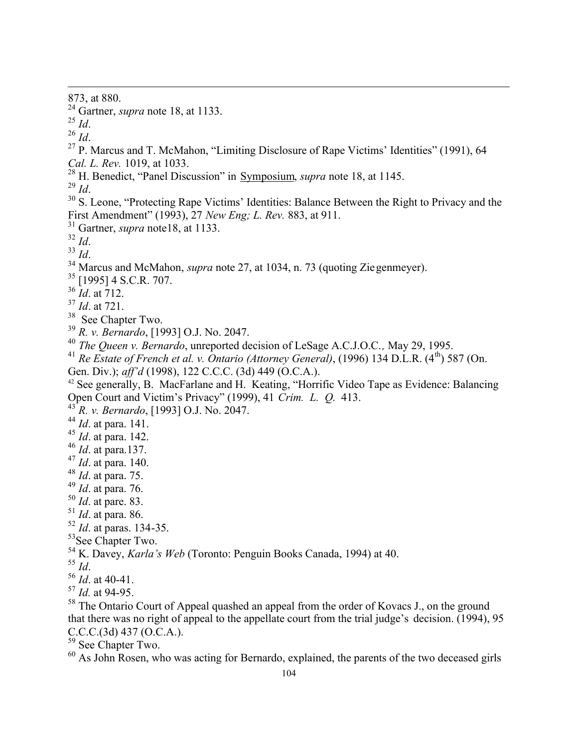873, at 880.

- Gartner, *supra* note 18, at 1133.
- *Id*.
- *Id*.

 $\overline{a}$ 

- <sup>27</sup> P. Marcus and T. McMahon, "Limiting Disclosure of Rape Victims' Identities" (1991), 64 *Cal. L. Rev.* 1019, at 1033.
- H. Benedict, "Panel Discussion" in Symposium, *supra* note 18, at 1145.

*Id*.

- <sup>30</sup> S. Leone, "Protecting Rape Victims' Identities: Balance Between the Right to Privacy and the First Amendment" (1993), 27 *New Eng; L. Rev.* 883, at 911.
- Gartner, *supra* note18, at 1133.
- *Id*.
- *Id*.
- <sup>34</sup> Marcus and McMahon, *supra* note 27, at 1034, n. 73 (quoting Zie genmeyer).
- [1995] 4 S.C.R. 707.
- *Id*. at 712.
- *Id*. at 721.
- <sup>38</sup> See Chapter Two.
- *R. v. Bernardo*, [1993] O.J. No. 2047.
- *The Queen v. Bernardo*, unreported decision of LeSage A.C.J.O.C.*,* May 29, 1995.
- <sup>41</sup> Re Estate of French et al. v. Ontario (Attorney General), (1996) 134 D.L.R. (4<sup>th</sup>) 587 (On.
- Gen. Div.); *aff'd* (1998), 122 C.C.C. (3d) 449 (O.C.A.).
- See generally, B. MacFarlane and H. Keating, "Horrific Video Tape as Evidence: Balancing Open Court and Victim's Privacy" (1999), 41 *Crim. L. Q.* 413.
- *R. v. Bernardo*, [1993] O.J. No. 2047.
- *Id*. at para. 141.
- *Id*. at para. 142.
- *Id*. at para.137.
- *Id*. at para. 140.
- *Id*. at para. 75.
- *Id*. at para. 76.
- *Id*. at pare. 83.
- *Id*. at para. 86.
- *Id*. at paras. 134-35.
- <sup>53</sup>See Chapter Two.
- K. Davey, *Karla's Web* (Toronto: Penguin Books Canada, 1994) at 40.
- *Id*.
- *Id*. at 40-41.
- *Id.* at 94-95.
- <sup>58</sup> The Ontario Court of Appeal quashed an appeal from the order of Kovacs J., on the ground that there was no right of appeal to the appellate court from the trial judge's decision. (1994), 95  $C.C.C.(3d) 437 (O.C.A.).$
- See Chapter Two.
- $\frac{60}{100}$  As John Rosen, who was acting for Bernardo, explained, the parents of the two deceased girls